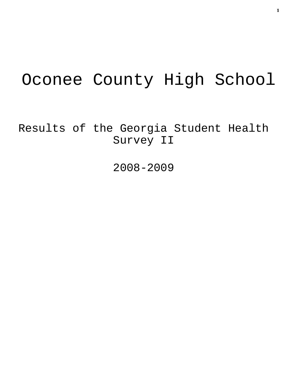# Oconee County High School

Results of the Georgia Student Health Survey II

2008-2009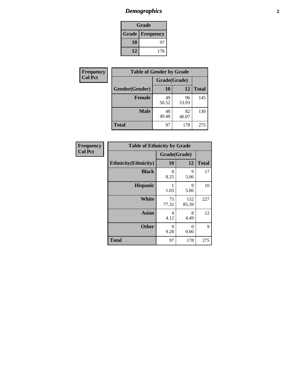# *Demographics* **2**

| Grade                    |     |  |  |
|--------------------------|-----|--|--|
| <b>Grade   Frequency</b> |     |  |  |
| 10                       | 97  |  |  |
| 12                       | 178 |  |  |

| Frequency      | <b>Table of Gender by Grade</b> |              |             |              |  |
|----------------|---------------------------------|--------------|-------------|--------------|--|
| <b>Col Pct</b> |                                 | Grade(Grade) |             |              |  |
|                | Gender(Gender)                  | 10           | 12          | <b>Total</b> |  |
|                | <b>Female</b>                   | 49<br>50.52  | 96<br>53.93 | 145          |  |
|                | <b>Male</b>                     | 48<br>49.48  | 82<br>46.07 | 130          |  |
|                | <b>Total</b>                    | 97           | 178         | 275          |  |

| Frequency<br>Col Pct |
|----------------------|

| <b>Table of Ethnicity by Grade</b> |             |              |              |  |  |
|------------------------------------|-------------|--------------|--------------|--|--|
|                                    |             | Grade(Grade) |              |  |  |
| <b>Ethnicity</b> (Ethnicity)       | 10          | 12           | <b>Total</b> |  |  |
| <b>Black</b>                       | 8<br>8.25   | 9<br>5.06    | 17           |  |  |
| <b>Hispanic</b>                    | 1<br>1.03   | 9<br>5.06    | 10           |  |  |
| <b>White</b>                       | 75<br>77.32 | 152<br>85.39 | 227          |  |  |
| <b>Asian</b>                       | 4<br>4.12   | 8<br>4.49    | 12           |  |  |
| <b>Other</b>                       | 9<br>9.28   | 0<br>0.00    | 9            |  |  |
| <b>Total</b>                       | 97          | 178          | 275          |  |  |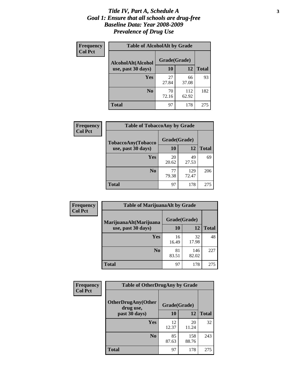#### *Title IV, Part A, Schedule A* **3** *Goal 1: Ensure that all schools are drug-free Baseline Data: Year 2008-2009 Prevalence of Drug Use*

| Frequency<br><b>Col Pct</b> | <b>Table of AlcoholAlt by Grade</b> |              |              |              |  |  |
|-----------------------------|-------------------------------------|--------------|--------------|--------------|--|--|
|                             | AlcoholAlt(Alcohol                  | Grade(Grade) |              |              |  |  |
|                             | use, past 30 days)                  | 10           | 12           | <b>Total</b> |  |  |
|                             | Yes                                 | 27<br>27.84  | 66<br>37.08  | 93           |  |  |
|                             | N <sub>0</sub>                      | 70<br>72.16  | 112<br>62.92 | 182          |  |  |
|                             | <b>Total</b>                        | 97           | 178          | 275          |  |  |

| <b>Frequency</b> | <b>Table of TobaccoAny by Grade</b> |              |              |              |  |
|------------------|-------------------------------------|--------------|--------------|--------------|--|
| <b>Col Pct</b>   | <b>TobaccoAny(Tobacco</b>           | Grade(Grade) |              |              |  |
|                  | use, past 30 days)                  | 10           | 12           | <b>Total</b> |  |
|                  | Yes                                 | 20<br>20.62  | 49<br>27.53  | 69           |  |
|                  | N <sub>0</sub>                      | 77<br>79.38  | 129<br>72.47 | 206          |  |
|                  | Total                               | 97           | 178          | 275          |  |

| Frequency      | <b>Table of MarijuanaAlt by Grade</b>        |              |              |              |  |
|----------------|----------------------------------------------|--------------|--------------|--------------|--|
| <b>Col Pct</b> | MarijuanaAlt(Marijuana<br>use, past 30 days) | Grade(Grade) |              |              |  |
|                |                                              | 10           | 12           | <b>Total</b> |  |
|                | Yes                                          | 16<br>16.49  | 32<br>17.98  | 48           |  |
|                | N <sub>0</sub>                               | 81<br>83.51  | 146<br>82.02 | 227          |  |
|                | <b>Total</b>                                 | 97           | 178          | 275          |  |

| <b>Frequency</b> | <b>Table of OtherDrugAny by Grade</b>  |              |              |              |  |
|------------------|----------------------------------------|--------------|--------------|--------------|--|
| <b>Col Pct</b>   | <b>OtherDrugAny(Other</b><br>drug use, | Grade(Grade) |              |              |  |
|                  | past 30 days)                          | 10           | 12           | <b>Total</b> |  |
|                  | Yes                                    | 12<br>12.37  | 20<br>11.24  | 32           |  |
|                  | N <sub>0</sub>                         | 85<br>87.63  | 158<br>88.76 | 243          |  |
|                  | <b>Total</b>                           | 97           | 178          | 275          |  |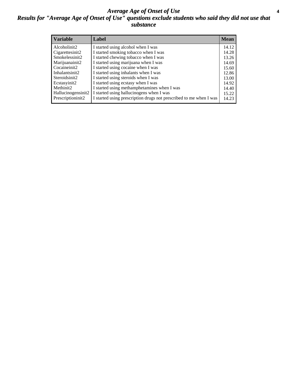### *Average Age of Onset of Use* **4** *Results for "Average Age of Onset of Use" questions exclude students who said they did not use that substance*

| <b>Variable</b>    | Label                                                              | <b>Mean</b> |
|--------------------|--------------------------------------------------------------------|-------------|
| Alcoholinit2       | I started using alcohol when I was                                 | 14.12       |
| Cigarettesinit2    | I started smoking tobacco when I was                               | 14.28       |
| Smokelessinit2     | I started chewing tobacco when I was                               | 13.26       |
| Marijuanainit2     | I started using marijuana when I was                               | 14.69       |
| Cocaineinit2       | I started using cocaine when I was                                 | 15.60       |
| Inhalantsinit2     | I started using inhalants when I was                               | 12.86       |
| Steroidsinit2      | I started using steroids when I was                                | 13.00       |
| Ecstasyinit2       | I started using ecstasy when I was                                 | 14.92       |
| Methinit2          | I started using methamphetamines when I was                        | 14.40       |
| Hallucinogensinit2 | I started using hallucinogens when I was                           | 15.22       |
| Prescriptioninit2  | I started using prescription drugs not prescribed to me when I was | 14.23       |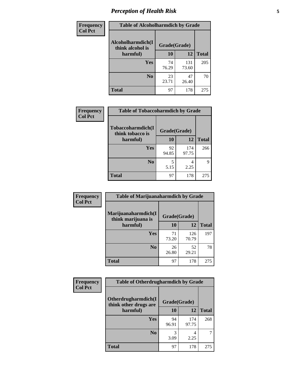# *Perception of Health Risk* **5**

| Frequency      | <b>Table of Alcoholharmdich by Grade</b> |              |             |              |
|----------------|------------------------------------------|--------------|-------------|--------------|
| <b>Col Pct</b> | Alcoholharmdich(I<br>think alcohol is    | Grade(Grade) |             |              |
|                | harmful)                                 | 10           | 12          | <b>Total</b> |
|                | <b>Yes</b>                               | 74           | 131         | 205          |
|                |                                          | 76.29        | 73.60       |              |
|                | N <sub>0</sub>                           | 23<br>23.71  | 47<br>26.40 | 70           |
|                | <b>Total</b>                             | 97           | 178         | 275          |

| Frequency      | <b>Table of Tobaccoharmdich by Grade</b>          |              |              |              |
|----------------|---------------------------------------------------|--------------|--------------|--------------|
| <b>Col Pct</b> | Tobaccoharmdich(I<br>think tobacco is<br>harmful) | Grade(Grade) |              |              |
|                |                                                   | 10           | 12           | <b>Total</b> |
|                | <b>Yes</b>                                        | 92<br>94.85  | 174<br>97.75 | 266          |
|                | N <sub>0</sub>                                    | 5.15         | 4<br>2.25    |              |
|                | <b>Total</b>                                      | 97           | 178          | 275          |

| Frequency      | <b>Table of Marijuanaharmdich by Grade</b> |             |              |              |  |
|----------------|--------------------------------------------|-------------|--------------|--------------|--|
| <b>Col Pct</b> | Marijuanaharmdich(I<br>think marijuana is  |             | Grade(Grade) |              |  |
|                | harmful)                                   | 10          | 12           | <b>Total</b> |  |
|                | Yes                                        | 71<br>73.20 | 126<br>70.79 | 197          |  |
|                | N <sub>0</sub>                             | 26<br>26.80 | 52<br>29.21  | 78           |  |
|                | <b>Total</b>                               | 97          | 178          | 275          |  |

| <b>Frequency</b> | <b>Table of Otherdrugharmdich by Grade</b>   |              |              |              |  |  |  |  |
|------------------|----------------------------------------------|--------------|--------------|--------------|--|--|--|--|
| <b>Col Pct</b>   | Otherdrugharmdich(I<br>think other drugs are | Grade(Grade) |              |              |  |  |  |  |
|                  | harmful)                                     | 10           | 12           | <b>Total</b> |  |  |  |  |
|                  | Yes                                          | 94<br>96.91  | 174<br>97.75 | 268          |  |  |  |  |
|                  | N <sub>0</sub>                               | 3.09         | 4<br>2.25    |              |  |  |  |  |
|                  | <b>Total</b>                                 | 97           | 178          | 275          |  |  |  |  |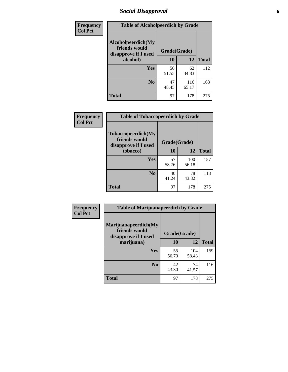# *Social Disapproval* **6**

| Frequency      | <b>Table of Alcoholpeerdich by Grade</b>                    |              |              |     |
|----------------|-------------------------------------------------------------|--------------|--------------|-----|
| <b>Col Pct</b> | Alcoholpeerdich(My<br>friends would<br>disapprove if I used | Grade(Grade) |              |     |
|                | alcohol)                                                    | 10           | <b>Total</b> |     |
|                | <b>Yes</b>                                                  | 50<br>51.55  | 62<br>34.83  | 112 |
|                | N <sub>0</sub>                                              | 47<br>48.45  | 116<br>65.17 | 163 |
|                | <b>Total</b>                                                | 97           | 178          | 275 |

| <b>Frequency</b> |
|------------------|
| <b>Col Pct</b>   |

| <b>Table of Tobaccopeerdich by Grade</b>                    |              |              |              |  |  |  |
|-------------------------------------------------------------|--------------|--------------|--------------|--|--|--|
| Tobaccopeerdich(My<br>friends would<br>disapprove if I used | Grade(Grade) |              |              |  |  |  |
| tobacco)                                                    | 10           | 12           | <b>Total</b> |  |  |  |
| Yes                                                         | 57<br>58.76  | 100<br>56.18 | 157          |  |  |  |
| N <sub>0</sub>                                              | 40<br>41.24  | 78<br>43.82  | 118          |  |  |  |
| <b>Total</b>                                                | 97           | 178          | 275          |  |  |  |

| Frequency      | <b>Table of Marijuanapeerdich by Grade</b>                    |              |              |              |  |  |  |  |
|----------------|---------------------------------------------------------------|--------------|--------------|--------------|--|--|--|--|
| <b>Col Pct</b> | Marijuanapeerdich(My<br>friends would<br>disapprove if I used | Grade(Grade) |              |              |  |  |  |  |
|                | marijuana)                                                    | 10           | 12           | <b>Total</b> |  |  |  |  |
|                | <b>Yes</b>                                                    | 55<br>56.70  | 104<br>58.43 | 159          |  |  |  |  |
|                | N <sub>0</sub>                                                | 42<br>43.30  | 74<br>41.57  | 116          |  |  |  |  |
|                | <b>Total</b>                                                  | 97           | 178          | 275          |  |  |  |  |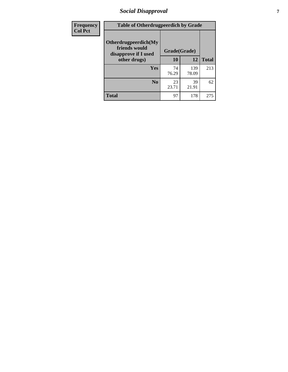# *Social Disapproval* **7**

| Frequency      | <b>Table of Otherdrugpeerdich by Grade</b>                    |              |              |              |  |  |  |  |
|----------------|---------------------------------------------------------------|--------------|--------------|--------------|--|--|--|--|
| <b>Col Pct</b> | Otherdrugpeerdich(My<br>friends would<br>disapprove if I used | Grade(Grade) |              |              |  |  |  |  |
|                | other drugs)                                                  | 10           | 12           | <b>Total</b> |  |  |  |  |
|                | Yes                                                           | 74<br>76.29  | 139<br>78.09 | 213          |  |  |  |  |
|                | N <sub>0</sub>                                                | 23<br>23.71  | 39<br>21.91  | 62           |  |  |  |  |
|                | <b>Total</b>                                                  | 97           | 178          | 275          |  |  |  |  |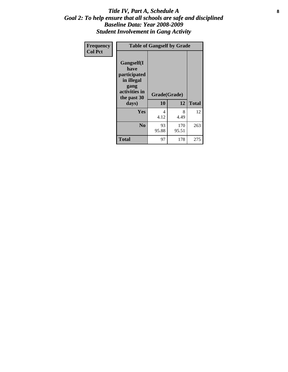### Title IV, Part A, Schedule A **8** *Goal 2: To help ensure that all schools are safe and disciplined Baseline Data: Year 2008-2009 Student Involvement in Gang Activity*

| Frequency      | <b>Table of Gangself by Grade</b>                                                                 |                    |              |              |  |  |
|----------------|---------------------------------------------------------------------------------------------------|--------------------|--------------|--------------|--|--|
| <b>Col Pct</b> | Gangself(I<br>have<br>participated<br>in illegal<br>gang<br>activities in<br>the past 30<br>days) | Grade(Grade)<br>10 | 12           | <b>Total</b> |  |  |
|                | Yes                                                                                               | 4<br>4.12          | 8<br>4.49    | 12           |  |  |
|                | N <sub>0</sub>                                                                                    | 93<br>95.88        | 170<br>95.51 | 263          |  |  |
|                | <b>Total</b>                                                                                      | 97                 | 178          | 275          |  |  |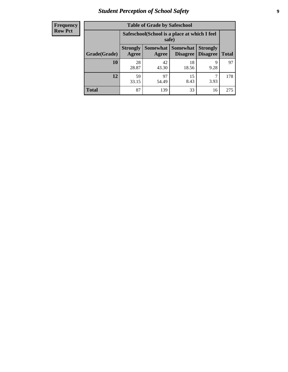# *Student Perception of School Safety* **9**

| <b>Frequency</b><br>Row Pct |
|-----------------------------|
|                             |

| <b>Table of Grade by Safeschool</b> |                                                        |                          |                             |                                    |              |  |  |
|-------------------------------------|--------------------------------------------------------|--------------------------|-----------------------------|------------------------------------|--------------|--|--|
|                                     | Safeschool (School is a place at which I feel<br>safe) |                          |                             |                                    |              |  |  |
| Grade(Grade)                        | <b>Strongly</b><br>Agree                               | <b>Somewhat</b><br>Agree | <b>Somewhat</b><br>Disagree | <b>Strongly</b><br><b>Disagree</b> | <b>Total</b> |  |  |
| <b>10</b>                           | 28<br>28.87                                            | 42<br>43.30              | 18<br>18.56                 | 9<br>9.28                          | 97           |  |  |
| 12                                  | 59<br>33.15                                            | 97<br>54.49              | 15<br>8.43                  | 3.93                               | 178          |  |  |
| <b>Total</b>                        | 87                                                     | 139                      | 33                          | 16                                 | 275          |  |  |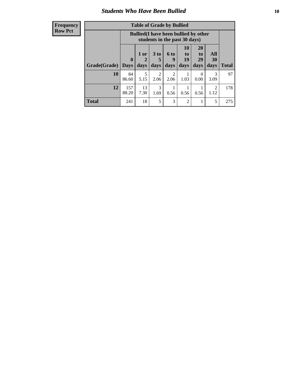### *Students Who Have Been Bullied* **10**

| <b>Frequency</b> |
|------------------|
| Row Pct          |

| <b>Table of Grade by Bullied</b> |                  |                                                                               |                              |                        |                        |                        |                          |              |
|----------------------------------|------------------|-------------------------------------------------------------------------------|------------------------------|------------------------|------------------------|------------------------|--------------------------|--------------|
|                                  |                  | <b>Bullied</b> (I have been bullied by other<br>students in the past 30 days) |                              |                        |                        |                        |                          |              |
| Grade(Grade)                     | 0<br><b>Days</b> | 1 or<br>days                                                                  | 3 <sub>to</sub><br>5<br>days | 6 to<br>9<br>days      | 10<br>to<br>19<br>days | 20<br>to<br>29<br>days | All<br><b>30</b><br>days | <b>Total</b> |
| 10                               | 84<br>86.60      | 5<br>5.15                                                                     | 2<br>2.06                    | $\overline{2}$<br>2.06 | 1.03                   | $\theta$<br>0.00       | 3<br>3.09                | 97           |
| 12                               | 157<br>88.20     | 13<br>7.30                                                                    | 3<br>1.69                    | 0.56                   | 0.56                   | 0.56                   | $\mathfrak{D}$<br>1.12   | 178          |
| <b>Total</b>                     | 241              | 18                                                                            | 5                            | 3                      | 2                      |                        | 5                        | 275          |

 $\blacksquare$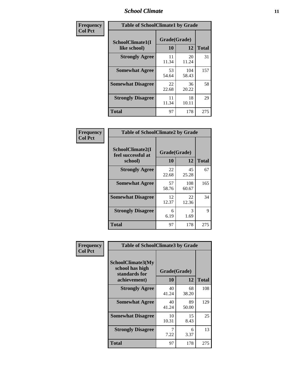### *School Climate* **11**

| <b>Frequency</b> | <b>Table of SchoolClimate1 by Grade</b> |                    |              |              |  |  |  |
|------------------|-----------------------------------------|--------------------|--------------|--------------|--|--|--|
| <b>Col Pct</b>   | SchoolClimate1(I<br>like school)        | Grade(Grade)<br>10 | 12           | <b>Total</b> |  |  |  |
|                  | <b>Strongly Agree</b>                   | 11<br>11.34        | 20<br>11.24  | 31           |  |  |  |
|                  | <b>Somewhat Agree</b>                   | 53<br>54.64        | 104<br>58.43 | 157          |  |  |  |
|                  | <b>Somewhat Disagree</b>                | 22<br>22.68        | 36<br>20.22  | 58           |  |  |  |
|                  | <b>Strongly Disagree</b>                | 11<br>11.34        | 18<br>10.11  | 29           |  |  |  |
|                  | <b>Total</b>                            | 97                 | 178          | 275          |  |  |  |

| <b>Table of SchoolClimate2 by Grade</b>           |                    |              |              |  |
|---------------------------------------------------|--------------------|--------------|--------------|--|
| SchoolClimate2(I<br>feel successful at<br>school) | Grade(Grade)<br>10 | 12           | <b>Total</b> |  |
| <b>Strongly Agree</b>                             | 22<br>22.68        | 45<br>25.28  | 67           |  |
| <b>Somewhat Agree</b>                             | 57<br>58.76        | 108<br>60.67 | 165          |  |
| <b>Somewhat Disagree</b>                          | 12<br>12.37        | 22<br>12.36  | 34           |  |
| <b>Strongly Disagree</b>                          | 6<br>6.19          | 3<br>1.69    | 9            |  |
| <b>Total</b>                                      | 97                 | 178          | 275          |  |

| Frequency      | <b>Table of SchoolClimate3 by Grade</b>                               |                    |             |              |  |
|----------------|-----------------------------------------------------------------------|--------------------|-------------|--------------|--|
| <b>Col Pct</b> | SchoolClimate3(My<br>school has high<br>standards for<br>achievement) | Grade(Grade)<br>10 | 12          | <b>Total</b> |  |
|                |                                                                       |                    |             |              |  |
|                | <b>Strongly Agree</b>                                                 | 40<br>41.24        | 68<br>38.20 | 108          |  |
|                | <b>Somewhat Agree</b>                                                 | 40<br>41.24        | 89<br>50.00 | 129          |  |
|                | <b>Somewhat Disagree</b>                                              | 10<br>10.31        | 15<br>8.43  | 25           |  |
|                | <b>Strongly Disagree</b>                                              | 7.22               | 6<br>3.37   | 13           |  |
|                | Total                                                                 | 97                 | 178         | 275          |  |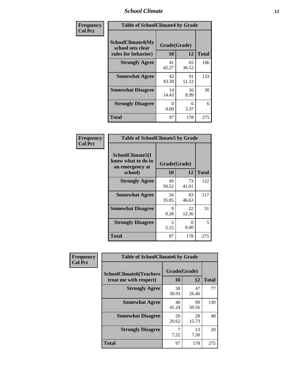### *School Climate* **12**

| Frequency      | <b>Table of SchoolClimate4 by Grade</b>                              |                    |             |              |
|----------------|----------------------------------------------------------------------|--------------------|-------------|--------------|
| <b>Col Pct</b> | <b>SchoolClimate4(My</b><br>school sets clear<br>rules for behavior) | Grade(Grade)<br>10 | 12          | <b>Total</b> |
|                | <b>Strongly Agree</b>                                                | 41<br>42.27        | 65<br>36.52 | 106          |
|                | <b>Somewhat Agree</b>                                                | 42<br>43.30        | 91<br>51.12 | 133          |
|                | <b>Somewhat Disagree</b>                                             | 14<br>14.43        | 16<br>8.99  | 30           |
|                | <b>Strongly Disagree</b>                                             | 0<br>0.00          | 6<br>3.37   | 6            |
|                | <b>Total</b>                                                         | 97                 | 178         | 275          |

| <b>Table of SchoolClimate5 by Grade</b>                   |              |             |              |  |  |
|-----------------------------------------------------------|--------------|-------------|--------------|--|--|
| SchoolClimate5(I<br>know what to do in<br>an emergency at | Grade(Grade) |             |              |  |  |
| school)                                                   | 10           | 12          | <b>Total</b> |  |  |
| <b>Strongly Agree</b>                                     | 49<br>50.52  | 73<br>41.01 | 122          |  |  |
| <b>Somewhat Agree</b>                                     | 34<br>35.05  | 83<br>46.63 | 117          |  |  |
| <b>Somewhat Disagree</b>                                  | 9<br>9.28    | 22<br>12.36 | 31           |  |  |
| <b>Strongly Disagree</b>                                  | 5<br>5.15    | 0<br>0.00   | 5            |  |  |
| <b>Total</b>                                              | 97           | 178         | 275          |  |  |

| Frequency      | <b>Table of SchoolClimate6 by Grade</b>                  |                    |             |              |
|----------------|----------------------------------------------------------|--------------------|-------------|--------------|
| <b>Col Pct</b> | <b>SchoolClimate6(Teachers</b><br>treat me with respect) | Grade(Grade)<br>10 | 12          | <b>Total</b> |
|                | <b>Strongly Agree</b>                                    | 30<br>30.93        | 47<br>26.40 | 77           |
|                | <b>Somewhat Agree</b>                                    | 40<br>41.24        | 90<br>50.56 | 130          |
|                | <b>Somewhat Disagree</b>                                 | 20<br>20.62        | 28<br>15.73 | 48           |
|                | <b>Strongly Disagree</b>                                 | 7<br>7.22          | 13<br>7.30  | 20           |
|                | <b>Total</b>                                             | 97                 | 178         | 275          |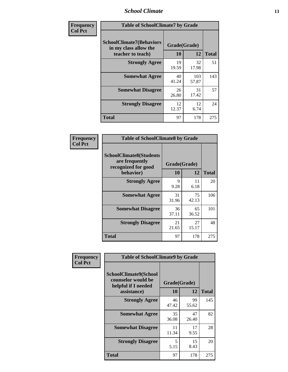### *School Climate* **13**

| Frequency      |                                                                               | <b>Table of SchoolClimate7 by Grade</b> |              |              |  |
|----------------|-------------------------------------------------------------------------------|-----------------------------------------|--------------|--------------|--|
| <b>Col Pct</b> | <b>SchoolClimate7(Behaviors</b><br>in my class allow the<br>teacher to teach) | Grade(Grade)<br><b>10</b>               | 12           | <b>Total</b> |  |
|                | <b>Strongly Agree</b>                                                         | 19<br>19.59                             | 32<br>17.98  | 51           |  |
|                | <b>Somewhat Agree</b>                                                         | 40<br>41.24                             | 103<br>57.87 | 143          |  |
|                | <b>Somewhat Disagree</b>                                                      | 26<br>26.80                             | 31<br>17.42  | 57           |  |
|                | <b>Strongly Disagree</b>                                                      | 12<br>12.37                             | 12<br>6.74   | 24           |  |
|                | <b>Total</b>                                                                  | 97                                      | 178          | 275          |  |

| Frequency      | <b>Table of SchoolClimate8 by Grade</b>                                              |                    |             |              |
|----------------|--------------------------------------------------------------------------------------|--------------------|-------------|--------------|
| <b>Col Pct</b> | <b>SchoolClimate8(Students</b><br>are frequently<br>recognized for good<br>behavior) | Grade(Grade)<br>10 | 12          | <b>Total</b> |
|                | <b>Strongly Agree</b>                                                                | 9<br>9.28          | 11<br>6.18  | 20           |
|                | <b>Somewhat Agree</b>                                                                | 31<br>31.96        | 75<br>42.13 | 106          |
|                | <b>Somewhat Disagree</b>                                                             | 36<br>37.11        | 65<br>36.52 | 101          |
|                | <b>Strongly Disagree</b>                                                             | 21<br>21.65        | 27<br>15.17 | 48           |
|                | <b>Total</b>                                                                         | 97                 | 178         | 275          |

| Frequency      | <b>Table of SchoolClimate9 by Grade</b>                                           |                    |             |              |
|----------------|-----------------------------------------------------------------------------------|--------------------|-------------|--------------|
| <b>Col Pct</b> | SchoolClimate9(School<br>counselor would be<br>helpful if I needed<br>assistance) | Grade(Grade)<br>10 | 12          | <b>Total</b> |
|                | <b>Strongly Agree</b>                                                             | 46<br>47.42        | 99<br>55.62 | 145          |
|                | <b>Somewhat Agree</b>                                                             | 35<br>36.08        | 47<br>26.40 | 82           |
|                | <b>Somewhat Disagree</b>                                                          | 11<br>11.34        | 17<br>9.55  | 28           |
|                | <b>Strongly Disagree</b>                                                          | 5<br>5.15          | 15<br>8.43  | 20           |
|                | Total                                                                             | 97                 | 178         | 275          |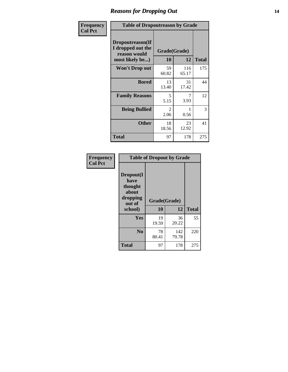### *Reasons for Dropping Out* **14**

| <b>Frequency</b> |                                                                          | <b>Table of Dropoutreason by Grade</b> |                    |              |  |
|------------------|--------------------------------------------------------------------------|----------------------------------------|--------------------|--------------|--|
| <b>Col Pct</b>   | Dropoutreason(If<br>I dropped out the<br>reason would<br>most likely be) | 10                                     | Grade(Grade)<br>12 | <b>Total</b> |  |
|                  | Won't Drop out                                                           | 59<br>60.82                            | 116<br>65.17       | 175          |  |
|                  | <b>Bored</b>                                                             | 13<br>13.40                            | 31<br>17.42        | 44           |  |
|                  | <b>Family Reasons</b>                                                    | 5<br>5.15                              | 7<br>3.93          | 12           |  |
|                  | <b>Being Bullied</b>                                                     | 2<br>2.06                              | 0.56               | 3            |  |
|                  | <b>Other</b>                                                             | 18<br>18.56                            | 23<br>12.92        | 41           |  |
|                  | <b>Total</b>                                                             | 97                                     | 178                | 275          |  |

| Frequency      | <b>Table of Dropout by Grade</b>                                       |                    |              |              |  |
|----------------|------------------------------------------------------------------------|--------------------|--------------|--------------|--|
| <b>Col Pct</b> | Dropout(I<br>have<br>thought<br>about<br>dropping<br>out of<br>school) | Grade(Grade)<br>10 | 12           | <b>Total</b> |  |
|                |                                                                        |                    |              |              |  |
|                | Yes                                                                    | 19<br>19.59        | 36<br>20.22  | 55           |  |
|                | N <sub>0</sub>                                                         | 78<br>80.41        | 142<br>79.78 | 220          |  |
|                |                                                                        |                    |              |              |  |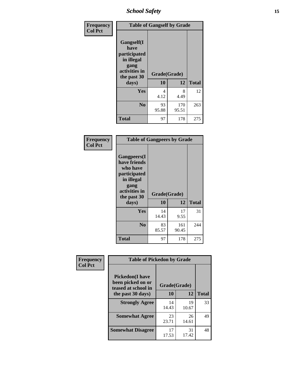*School Safety* **15**

| Frequency      |                                                                                                   | <b>Table of Gangself by Grade</b> |              |              |  |
|----------------|---------------------------------------------------------------------------------------------------|-----------------------------------|--------------|--------------|--|
| <b>Col Pct</b> | Gangself(I<br>have<br>participated<br>in illegal<br>gang<br>activities in<br>the past 30<br>days) | Grade(Grade)<br>10                | 12           | <b>Total</b> |  |
|                | Yes                                                                                               | 4<br>4.12                         | 8<br>4.49    | 12           |  |
|                | N <sub>0</sub>                                                                                    | 93<br>95.88                       | 170<br>95.51 | 263          |  |
|                | <b>Total</b>                                                                                      | 97                                | 178          | 275          |  |

| Frequency<br><b>Col Pct</b> | <b>Table of Gangpeers by Grade</b>                                                                                             |                    |              |              |
|-----------------------------|--------------------------------------------------------------------------------------------------------------------------------|--------------------|--------------|--------------|
|                             | <b>Gangpeers</b> (I<br>have friends<br>who have<br>participated<br>in illegal<br>gang<br>activities in<br>the past 30<br>days) | Grade(Grade)<br>10 | 12           | <b>Total</b> |
|                             | <b>Yes</b>                                                                                                                     | 14<br>14.43        | 17<br>9.55   | 31           |
|                             | N <sub>0</sub>                                                                                                                 | 83<br>85.57        | 161<br>90.45 | 244          |
|                             | <b>Total</b>                                                                                                                   | 97                 | 178          | 275          |

| Frequency      | <b>Table of Pickedon by Grade</b>                                   |              |             |              |  |  |  |  |  |
|----------------|---------------------------------------------------------------------|--------------|-------------|--------------|--|--|--|--|--|
| <b>Col Pct</b> | <b>Pickedon</b> (I have<br>been picked on or<br>teased at school in | Grade(Grade) |             |              |  |  |  |  |  |
|                | the past 30 days)                                                   | 10           | 12          | <b>Total</b> |  |  |  |  |  |
|                | <b>Strongly Agree</b>                                               | 14<br>14.43  | 19<br>10.67 | 33           |  |  |  |  |  |
|                | <b>Somewhat Agree</b>                                               | 23<br>23.71  | 26<br>14.61 | 49           |  |  |  |  |  |
|                | <b>Somewhat Disagree</b>                                            | 17<br>17.53  | 31<br>17.42 | 48           |  |  |  |  |  |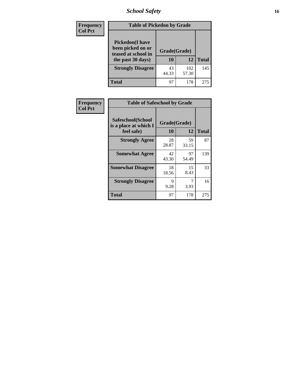# *School Safety* **16**

| Frequency      | <b>Table of Pickedon by Grade</b>                                                        |                    |              |              |  |  |  |  |  |
|----------------|------------------------------------------------------------------------------------------|--------------------|--------------|--------------|--|--|--|--|--|
| <b>Col Pct</b> | <b>Pickedon</b> (I have<br>been picked on or<br>teased at school in<br>the past 30 days) | Grade(Grade)<br>10 | 12           | <b>Total</b> |  |  |  |  |  |
|                | <b>Strongly Disagree</b>                                                                 | 43<br>44.33        | 102<br>57.30 | 145          |  |  |  |  |  |
|                | Total                                                                                    | 97                 | 178          | 275          |  |  |  |  |  |

| Frequency      | <b>Table of Safeschool by Grade</b>                      |                    |             |              |  |  |  |  |
|----------------|----------------------------------------------------------|--------------------|-------------|--------------|--|--|--|--|
| <b>Col Pct</b> | Safeschool(School<br>is a place at which I<br>feel safe) | Grade(Grade)<br>10 | 12          | <b>Total</b> |  |  |  |  |
|                | <b>Strongly Agree</b>                                    | 28<br>28.87        | 59<br>33.15 | 87           |  |  |  |  |
|                | <b>Somewhat Agree</b>                                    | 42<br>43.30        | 97<br>54.49 | 139          |  |  |  |  |
|                | <b>Somewhat Disagree</b>                                 | 18<br>18.56        | 15<br>8.43  | 33           |  |  |  |  |
|                | <b>Strongly Disagree</b>                                 | 9<br>9.28          | 3.93        | 16           |  |  |  |  |
|                | <b>Total</b>                                             | 97                 | 178         | 275          |  |  |  |  |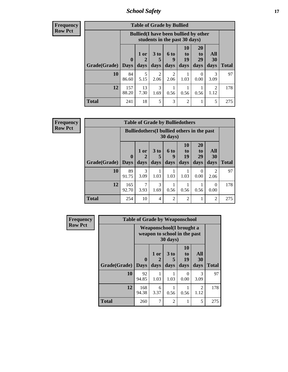*School Safety* **17**

| Frequency |  |
|-----------|--|
| Row Pct   |  |

| <b>Table of Grade by Bullied</b> |                                                                               |                     |                              |                          |                        |                               |                   |              |  |
|----------------------------------|-------------------------------------------------------------------------------|---------------------|------------------------------|--------------------------|------------------------|-------------------------------|-------------------|--------------|--|
|                                  | <b>Bullied</b> (I have been bullied by other<br>students in the past 30 days) |                     |                              |                          |                        |                               |                   |              |  |
| Grade(Grade)                     | $\mathbf{0}$<br><b>Days</b>                                                   | $1$ or<br>2<br>days | 3 <sub>to</sub><br>5<br>days | <b>6 to</b><br>9<br>days | 10<br>to<br>19<br>days | <b>20</b><br>to<br>29<br>days | All<br>30<br>days | <b>Total</b> |  |
| 10                               | 84<br>86.60                                                                   | 5<br>5.15           | 2<br>2.06                    | $\overline{2}$<br>2.06   | 1.03                   | $\theta$<br>0.00              | 3.09              | 97           |  |
| 12                               | 157<br>88.20                                                                  | 13<br>7.30          | 3<br>1.69                    | 0.56                     | 0.56                   | 0.56                          | 2<br>1.12         | 178          |  |
| <b>Total</b>                     | 241                                                                           | 18                  | 5                            | 3                        | $\overline{2}$         |                               | 5                 | 275          |  |

| <b>Frequency</b> |
|------------------|
| <b>Row Pct</b>   |

| <b>Table of Grade by Bulliedothers</b> |                                                                         |             |                      |               |                          |                  |                        |              |  |  |
|----------------------------------------|-------------------------------------------------------------------------|-------------|----------------------|---------------|--------------------------|------------------|------------------------|--------------|--|--|
|                                        | <b>Bulliedothers</b> (I bullied others in the past<br>$30 \text{ days}$ |             |                      |               |                          |                  |                        |              |  |  |
|                                        | $\mathbf 0$                                                             | $1$ or<br>2 | 3 <sub>to</sub><br>5 | 6 to<br>9     | 10<br>$\mathbf{t}$<br>19 | 20<br>to<br>29   | All<br>30              |              |  |  |
| <b>Grade</b> (Grade) Days              |                                                                         | days        | days                 | days          | days                     | days             | days                   | <b>Total</b> |  |  |
| 10                                     | 89<br>91.75                                                             | 3<br>3.09   | 1.03                 | 1.03          | 1.03                     | $\Omega$<br>0.00 | $\mathfrak{D}$<br>2.06 | 97           |  |  |
| 12                                     | 165<br>92.70                                                            | 3.93        | 3<br>1.69            | 0.56          | 0.56                     | 0.56             | 0<br>0.00              | 178          |  |  |
| <b>Total</b>                           | 254                                                                     | 10          | 4                    | $\mathcal{D}$ | $\overline{2}$           |                  | $\mathfrak{D}$         | 275          |  |  |

| Frequency      | <b>Table of Grade by Weaponschool</b> |                         |                                                                  |                   |                               |                   |              |  |  |  |  |
|----------------|---------------------------------------|-------------------------|------------------------------------------------------------------|-------------------|-------------------------------|-------------------|--------------|--|--|--|--|
| <b>Row Pct</b> |                                       |                         | <b>Weaponschool</b> (I brought a<br>weapon to school in the past | 30 days)          |                               |                   |              |  |  |  |  |
|                | Grade(Grade)                          | $\bf{0}$<br><b>Days</b> | 1 or<br>days                                                     | 3 to<br>5<br>days | <b>10</b><br>to<br>19<br>days | All<br>30<br>days | <b>Total</b> |  |  |  |  |
|                | 10                                    | 92<br>94.85             | 1.03                                                             | 1.03              | 0<br>0.00                     | 3<br>3.09         | 97           |  |  |  |  |
|                | 12                                    | 168<br>94.38            | 6<br>3.37                                                        | 0.56              | 0.56                          | 2<br>1.12         | 178          |  |  |  |  |
|                | <b>Total</b>                          | 260                     | 7                                                                | $\overline{2}$    |                               | 5                 | 275          |  |  |  |  |

ł,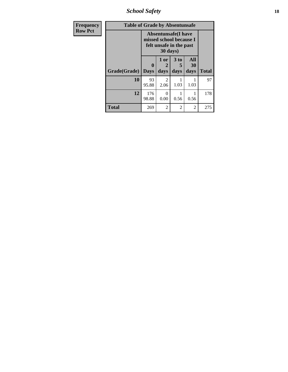*School Safety* **18**

| <b>Frequency</b> | <b>Table of Grade by Absentunsafe</b> |                  |                   |                                                                                   |                   |              |  |  |  |  |  |
|------------------|---------------------------------------|------------------|-------------------|-----------------------------------------------------------------------------------|-------------------|--------------|--|--|--|--|--|
| <b>Row Pct</b>   |                                       |                  | 30 days)          | <b>Absentunsafe</b> (I have<br>missed school because I<br>felt unsafe in the past |                   |              |  |  |  |  |  |
|                  | Grade(Grade)                          | 0<br><b>Days</b> | 1 or<br>2<br>days | 3 to<br>5<br>days                                                                 | All<br>30<br>days | <b>Total</b> |  |  |  |  |  |
|                  | 10                                    | 93<br>95.88      | 2<br>2.06         | 1.03                                                                              | 1.03              | 97           |  |  |  |  |  |
|                  | 12                                    | 176<br>98.88     | 0<br>0.00         | 0.56                                                                              | 0.56              | 178          |  |  |  |  |  |
|                  | <b>Total</b>                          | 269              | 2                 | 2                                                                                 | 2                 | 275          |  |  |  |  |  |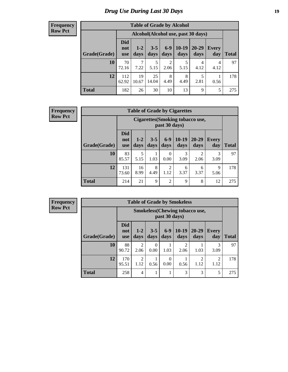# *Drug Use During Last 30 Days* **19**

#### **Frequency Row Pct**

| <b>Table of Grade by Alcohol</b> |                                 |                                     |                 |                        |                 |                   |                     |       |  |  |  |
|----------------------------------|---------------------------------|-------------------------------------|-----------------|------------------------|-----------------|-------------------|---------------------|-------|--|--|--|
|                                  |                                 | Alcohol (Alcohol use, past 30 days) |                 |                        |                 |                   |                     |       |  |  |  |
| Grade(Grade)                     | <b>Did</b><br>not<br><b>use</b> | $1-2$<br>days                       | $3 - 5$<br>days | $6-9$<br>days          | $10-19$<br>days | $20 - 29$<br>days | <b>Every</b><br>day | Total |  |  |  |
| 10                               | 70<br>72.16                     | 7<br>7.22                           | 5<br>5.15       | $\overline{2}$<br>2.06 | 5<br>5.15       | 4<br>4.12         | 4<br>4.12           | 97    |  |  |  |
| 12                               | 112<br>62.92                    | 19<br>10.67                         | 25<br>14.04     | 8<br>4.49              | 8<br>4.49       | 5<br>2.81         | 0.56                | 178   |  |  |  |
| <b>Total</b>                     | 182                             | 26                                  | 30              | 10                     | 13              | 9                 | 5                   | 275   |  |  |  |

| <b>Frequency</b> |  |
|------------------|--|
| <b>Row Pct</b>   |  |

| <b>Table of Grade by Cigarettes</b> |                                 |                                                          |                 |                        |                 |                        |                     |              |  |  |
|-------------------------------------|---------------------------------|----------------------------------------------------------|-----------------|------------------------|-----------------|------------------------|---------------------|--------------|--|--|
|                                     |                                 | <b>Cigarettes</b> (Smoking tobacco use,<br>past 30 days) |                 |                        |                 |                        |                     |              |  |  |
| Grade(Grade)                        | <b>Did</b><br>not<br><b>use</b> | $1 - 2$<br>days                                          | $3 - 5$<br>days | $6 - 9$<br>days        | $10-19$<br>days | 20-29<br>days          | <b>Every</b><br>day | <b>Total</b> |  |  |
| 10                                  | 83<br>85.57                     | 5<br>5.15                                                | 1.03            | $\theta$<br>0.00       | 3<br>3.09       | $\mathfrak{D}$<br>2.06 | 3<br>3.09           | 97           |  |  |
| 12                                  | 131<br>73.60                    | 16<br>8.99                                               | 8<br>4.49       | $\overline{2}$<br>1.12 | 6<br>3.37       | 6<br>3.37              | 9<br>5.06           | 178          |  |  |
| <b>Total</b>                        | 214                             | 21                                                       | 9               | $\overline{2}$         | 9               | 8                      | 12                  | 275          |  |  |

| <b>Table of Grade by Smokeless</b> |                                 |                                                        |                  |                 |                 |                   |                     |              |  |
|------------------------------------|---------------------------------|--------------------------------------------------------|------------------|-----------------|-----------------|-------------------|---------------------|--------------|--|
|                                    |                                 | <b>Smokeless</b> (Chewing tobaccouse,<br>past 30 days) |                  |                 |                 |                   |                     |              |  |
| Grade(Grade)                       | <b>Did</b><br>not<br><b>use</b> | $1 - 2$<br>days                                        | $3 - 5$<br>days  | $6 - 9$<br>days | $10-19$<br>days | $20 - 29$<br>days | <b>Every</b><br>day | <b>Total</b> |  |
| 10                                 | 88<br>90.72                     | 2<br>2.06                                              | $\Omega$<br>0.00 | 1.03            | 2<br>2.06       | 1.03              | 3<br>3.09           | 97           |  |
| 12                                 | 170<br>95.51                    | 2<br>1.12                                              | 0.56             | 0<br>0.00       | 0.56            | 1.12              | 2<br>1.12           | 178          |  |
| <b>Total</b>                       | 258                             | 4                                                      | ı                |                 | 3               | 3                 | 5                   | 275          |  |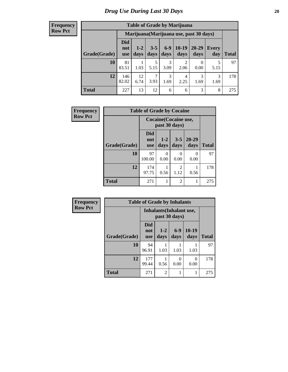| <b>Table of Grade by Marijuana</b> |                          |                                         |                 |                 |                        |                   |              |       |  |
|------------------------------------|--------------------------|-----------------------------------------|-----------------|-----------------|------------------------|-------------------|--------------|-------|--|
|                                    |                          | Marijuana (Marijuana use, past 30 days) |                 |                 |                        |                   |              |       |  |
| Grade(Grade)                       | Did<br>not<br><b>use</b> | $1 - 2$<br>days                         | $3 - 5$<br>days | $6 - 9$<br>days | $10-19$<br>days        | $20 - 29$<br>days | Every<br>day | Total |  |
| 10                                 | 81<br>83.51              | 1.03                                    | 5<br>5.15       | 3<br>3.09       | 2<br>2.06              | 0<br>0.00         | 5<br>5.15    | 97    |  |
| 12                                 | 146<br>82.02             | 12<br>6.74                              | 3.93            | 3<br>1.69       | $\overline{4}$<br>2.25 | 3<br>1.69         | 3<br>1.69    | 178   |  |
| <b>Total</b>                       | 227                      | 13                                      | 12              | 6               | 6                      | 3                 | 8            | 275   |  |

| Frequency      | <b>Table of Grade by Cocaine</b> |                                        |                  |                 |                   |              |  |  |
|----------------|----------------------------------|----------------------------------------|------------------|-----------------|-------------------|--------------|--|--|
| <b>Row Pct</b> |                                  | Cocaine (Cocaine use,<br>past 30 days) |                  |                 |                   |              |  |  |
|                | Grade(Grade)                     | Did<br>not<br>use                      | $1 - 2$<br>days  | $3 - 5$<br>days | $20 - 29$<br>days | <b>Total</b> |  |  |
|                | 10                               | 97<br>100.00                           | $\left($<br>0.00 | 0<br>0.00       | 0<br>0.00         | 97           |  |  |
|                | 12                               | 174<br>97.75                           | 0.56             | 2<br>1.12       | 0.56              | 178          |  |  |
|                | <b>Total</b>                     | 271                                    |                  | 2               |                   | 275          |  |  |

| Frequency      | <b>Table of Grade by Inhalants</b> |                                                  |                |               |                 |              |  |  |
|----------------|------------------------------------|--------------------------------------------------|----------------|---------------|-----------------|--------------|--|--|
| <b>Row Pct</b> |                                    | <b>Inhalants</b> (Inhalant use,<br>past 30 days) |                |               |                 |              |  |  |
|                | Grade(Grade)                       | <b>Did</b><br>not<br><b>use</b>                  | $1-2$<br>days  | $6-9$<br>days | $10-19$<br>days | <b>Total</b> |  |  |
|                | 10                                 | 94<br>96.91                                      | 1.03           | 1.03          | 1.03            | 97           |  |  |
|                | 12                                 | 177<br>99.44                                     | 0.56           | 0<br>0.00     | 0<br>0.00       | 178          |  |  |
|                | <b>Total</b>                       | 271                                              | $\overline{2}$ |               | 1               | 275          |  |  |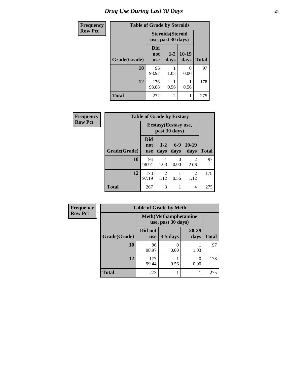| <b>Frequency</b> | <b>Table of Grade by Steroids</b> |                          |                                                |                 |              |  |  |  |
|------------------|-----------------------------------|--------------------------|------------------------------------------------|-----------------|--------------|--|--|--|
| <b>Row Pct</b>   |                                   |                          | <b>Steroids</b> (Steroid<br>use, past 30 days) |                 |              |  |  |  |
|                  | Grade(Grade)                      | Did<br>not<br><b>use</b> | $1 - 2$<br>days                                | $10-19$<br>days | <b>Total</b> |  |  |  |
|                  | 10                                | 96<br>98.97              | 1.03                                           | 0.00            | 97           |  |  |  |
|                  | 12                                | 176<br>98.88             | 0.56                                           | 0.56            | 178          |  |  |  |
|                  | <b>Total</b>                      | 272                      | $\overline{2}$                                 |                 | 275          |  |  |  |

| Frequency      | <b>Table of Grade by Ecstasy</b> |                                        |                        |                  |                        |              |  |
|----------------|----------------------------------|----------------------------------------|------------------------|------------------|------------------------|--------------|--|
| <b>Row Pct</b> |                                  | Ecstasy (Ecstasy use,<br>past 30 days) |                        |                  |                        |              |  |
|                | Grade(Grade)                     | Did<br>not<br>use                      | $1 - 2$<br>days        | $6-9$<br>days    | $10-19$<br>days        | <b>Total</b> |  |
|                | 10                               | 94<br>96.91                            | 1.03                   | $\Omega$<br>0.00 | 2<br>2.06              | 97           |  |
|                | 12                               | 173<br>97.19                           | $\overline{2}$<br>1.12 | 0.56             | $\overline{c}$<br>1.12 | 178          |  |
|                | <b>Total</b>                     | 267                                    | 3                      | 1                | 4                      | 275          |  |

| <b>Frequency</b> | <b>Table of Grade by Meth</b> |                       |                                                    |                   |              |  |  |  |
|------------------|-------------------------------|-----------------------|----------------------------------------------------|-------------------|--------------|--|--|--|
| <b>Row Pct</b>   |                               |                       | <b>Meth</b> (Methamphetamine<br>use, past 30 days) |                   |              |  |  |  |
|                  | Grade(Grade)                  | Did not<br><b>use</b> | $3-5$ days                                         | $20 - 29$<br>days | <b>Total</b> |  |  |  |
|                  | 10                            | 96<br>98.97           | 0.00                                               | 1.03              | 97           |  |  |  |
|                  | 12                            | 177<br>99.44          | 0.56                                               | 0<br>0.00         | 178          |  |  |  |
|                  | <b>Total</b>                  | 273                   |                                                    |                   | 275          |  |  |  |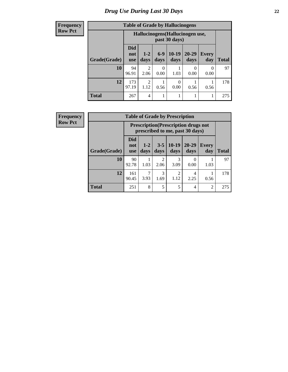#### **Frequency Row Pct**

| <b>Table of Grade by Hallucinogens</b>                                                                                                             |              |                                                   |                           |           |                           |           |              |  |
|----------------------------------------------------------------------------------------------------------------------------------------------------|--------------|---------------------------------------------------|---------------------------|-----------|---------------------------|-----------|--------------|--|
|                                                                                                                                                    |              | Hallucinogens (Hallucinogen use,<br>past 30 days) |                           |           |                           |           |              |  |
| <b>Did</b><br>$10-19$<br>$20 - 29$<br>$6-9$<br><b>Every</b><br>$1 - 2$<br>not<br>Grade(Grade)<br>days<br>days<br>days<br>day<br>days<br><b>use</b> |              |                                                   |                           |           |                           |           | <b>Total</b> |  |
| 10                                                                                                                                                 | 94<br>96.91  | $\mathfrak{D}$<br>2.06                            | $\mathbf{\Omega}$<br>0.00 | 1.03      | $\mathbf{\Omega}$<br>0.00 | 0<br>0.00 | 97           |  |
| 12                                                                                                                                                 | 173<br>97.19 | 2<br>1.12                                         | 0.56                      | 0<br>0.00 | 0.56                      | 0.56      | 178          |  |
| <b>Total</b>                                                                                                                                       | 267          | 4                                                 |                           |           |                           |           | 275          |  |

| <b>Table of Grade by Prescription</b> |                                 |                                                                                |                        |                              |                   |                     |              |  |
|---------------------------------------|---------------------------------|--------------------------------------------------------------------------------|------------------------|------------------------------|-------------------|---------------------|--------------|--|
|                                       |                                 | <b>Prescription</b> (Prescription drugs not<br>prescribed to me, past 30 days) |                        |                              |                   |                     |              |  |
| Grade(Grade)                          | <b>Did</b><br>not<br><b>use</b> | $1 - 2$<br>days                                                                | days                   | $3 - 5 \mid 10 - 19$<br>days | $20 - 29$<br>days | <b>Every</b><br>day | <b>Total</b> |  |
| 10                                    | 90<br>92.78                     | 1.03                                                                           | $\mathfrak{D}$<br>2.06 | 3.09                         | 0.00              | 1.03                | 97           |  |
| 12                                    | 161<br>90.45                    | 3.93                                                                           | 3<br>1.69              | $\overline{2}$<br>1.12       | 4<br>2.25         | 0.56                | 178          |  |
| <b>Total</b>                          | 251                             | 8                                                                              | 5                      | 5                            | 4                 | 2                   | 275          |  |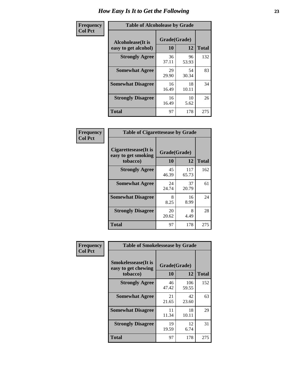| Frequency      | <b>Table of Alcoholease by Grade</b>              |                    |             |              |
|----------------|---------------------------------------------------|--------------------|-------------|--------------|
| <b>Col Pct</b> | <b>Alcoholease</b> (It is<br>easy to get alcohol) | Grade(Grade)<br>10 | 12          | <b>Total</b> |
|                | <b>Strongly Agree</b>                             | 36<br>37.11        | 96<br>53.93 | 132          |
|                | <b>Somewhat Agree</b>                             | 29<br>29.90        | 54<br>30.34 | 83           |
|                | <b>Somewhat Disagree</b>                          | 16<br>16.49        | 18<br>10.11 | 34           |
|                | <b>Strongly Disagree</b>                          | 16<br>16.49        | 10<br>5.62  | 26           |
|                | <b>Total</b>                                      | 97                 | 178         | 275          |

| Frequency      |                                                         | <b>Table of Cigarettesease by Grade</b> |              |              |  |  |  |  |
|----------------|---------------------------------------------------------|-----------------------------------------|--------------|--------------|--|--|--|--|
| <b>Col Pct</b> | Cigarettesease(It is<br>easy to get smoking<br>tobacco) | Grade(Grade)<br>10                      | 12           | <b>Total</b> |  |  |  |  |
|                | <b>Strongly Agree</b>                                   | 45<br>46.39                             | 117<br>65.73 | 162          |  |  |  |  |
|                | <b>Somewhat Agree</b>                                   | 24<br>24.74                             | 37<br>20.79  | 61           |  |  |  |  |
|                | <b>Somewhat Disagree</b>                                | 8<br>8.25                               | 16<br>8.99   | 24           |  |  |  |  |
|                | <b>Strongly Disagree</b>                                | 20<br>20.62                             | 8<br>4.49    | 28           |  |  |  |  |
|                | <b>Total</b>                                            | 97                                      | 178          | 275          |  |  |  |  |

| Frequency      | <b>Table of Smokelessease by Grade</b>             |             |              |              |
|----------------|----------------------------------------------------|-------------|--------------|--------------|
| <b>Col Pct</b> | <b>Smokelessease</b> (It is<br>easy to get chewing |             |              |              |
|                | tobacco)                                           | <b>10</b>   | 12           | <b>Total</b> |
|                | <b>Strongly Agree</b>                              | 46<br>47.42 | 106<br>59.55 | 152          |
|                | <b>Somewhat Agree</b>                              | 21<br>21.65 | 42<br>23.60  | 63           |
|                | <b>Somewhat Disagree</b>                           | 11<br>11.34 | 18<br>10.11  | 29           |
|                | <b>Strongly Disagree</b>                           | 19<br>19.59 | 12<br>6.74   | 31           |
|                | <b>Total</b>                                       | 97          | 178          | 275          |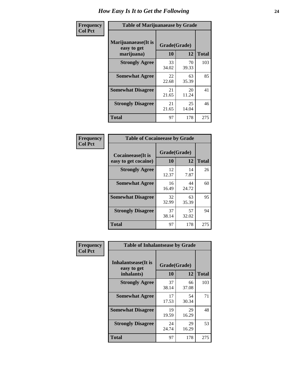| Frequency      | <b>Table of Marijuanaease by Grade</b>           |                    |             |              |  |  |  |  |  |  |
|----------------|--------------------------------------------------|--------------------|-------------|--------------|--|--|--|--|--|--|
| <b>Col Pct</b> | Marijuanaease(It is<br>easy to get<br>marijuana) | Grade(Grade)<br>10 | 12          | <b>Total</b> |  |  |  |  |  |  |
|                | <b>Strongly Agree</b>                            | 33<br>34.02        | 70<br>39.33 | 103          |  |  |  |  |  |  |
|                | <b>Somewhat Agree</b>                            | 22<br>22.68        | 63<br>35.39 | 85           |  |  |  |  |  |  |
|                | <b>Somewhat Disagree</b>                         | 21<br>21.65        | 20<br>11.24 | 41           |  |  |  |  |  |  |
|                | <b>Strongly Disagree</b>                         | 21<br>21.65        | 25<br>14.04 | 46           |  |  |  |  |  |  |
|                | <b>Total</b>                                     | 97                 | 178         | 275          |  |  |  |  |  |  |

| <b>Table of Cocaineease by Grade</b>      |                    |             |              |  |  |  |  |  |  |  |
|-------------------------------------------|--------------------|-------------|--------------|--|--|--|--|--|--|--|
| Cocaineease(It is<br>easy to get cocaine) | Grade(Grade)<br>10 | 12          | <b>Total</b> |  |  |  |  |  |  |  |
| <b>Strongly Agree</b>                     | 12<br>12.37        | 14<br>7.87  | 26           |  |  |  |  |  |  |  |
| <b>Somewhat Agree</b>                     | 16<br>16.49        | 44<br>24.72 | 60           |  |  |  |  |  |  |  |
| <b>Somewhat Disagree</b>                  | 32<br>32.99        | 63<br>35.39 | 95           |  |  |  |  |  |  |  |
| <b>Strongly Disagree</b>                  | 37<br>38.14        | 57<br>32.02 | 94           |  |  |  |  |  |  |  |
| <b>Total</b>                              | 97                 | 178         | 275          |  |  |  |  |  |  |  |

| Frequency      | <b>Table of Inhalantsease by Grade</b>                   |                           |             |              |  |  |  |  |
|----------------|----------------------------------------------------------|---------------------------|-------------|--------------|--|--|--|--|
| <b>Col Pct</b> | <b>Inhalantsease</b> (It is<br>easy to get<br>inhalants) | Grade(Grade)<br><b>10</b> | 12          | <b>Total</b> |  |  |  |  |
|                | <b>Strongly Agree</b>                                    | 37<br>38.14               | 66<br>37.08 | 103          |  |  |  |  |
|                | <b>Somewhat Agree</b>                                    | 17<br>17.53               | 54<br>30.34 | 71           |  |  |  |  |
|                | <b>Somewhat Disagree</b>                                 | 19<br>19.59               | 29<br>16.29 | 48           |  |  |  |  |
|                | <b>Strongly Disagree</b>                                 | 24<br>24.74               | 29<br>16.29 | 53           |  |  |  |  |
|                | <b>Total</b>                                             | 97                        | 178         | 275          |  |  |  |  |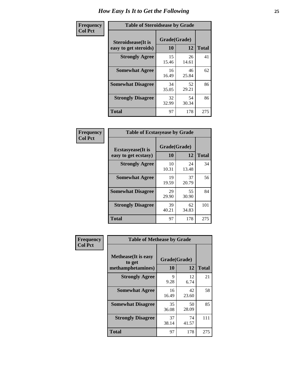| Frequency      | <b>Table of Steroidsease by Grade</b>               |                    |             |              |  |  |  |  |  |
|----------------|-----------------------------------------------------|--------------------|-------------|--------------|--|--|--|--|--|
| <b>Col Pct</b> | <b>Steroidsease</b> (It is<br>easy to get steroids) | Grade(Grade)<br>10 | 12          | <b>Total</b> |  |  |  |  |  |
|                | <b>Strongly Agree</b>                               | 15<br>15.46        | 26<br>14.61 | 41           |  |  |  |  |  |
|                | <b>Somewhat Agree</b>                               | 16<br>16.49        | 46<br>25.84 | 62           |  |  |  |  |  |
|                | <b>Somewhat Disagree</b>                            | 34<br>35.05        | 52<br>29.21 | 86           |  |  |  |  |  |
|                | <b>Strongly Disagree</b>                            | 32<br>32.99        | 54<br>30.34 | 86           |  |  |  |  |  |
|                | <b>Total</b>                                        | 97                 | 178         | 275          |  |  |  |  |  |

| Frequency      | <b>Table of Ecstasyease by Grade</b>              |                    |             |              |  |  |  |  |  |  |
|----------------|---------------------------------------------------|--------------------|-------------|--------------|--|--|--|--|--|--|
| <b>Col Pct</b> | <b>Ecstasyease</b> (It is<br>easy to get ecstasy) | Grade(Grade)<br>10 | 12          | <b>Total</b> |  |  |  |  |  |  |
|                | <b>Strongly Agree</b>                             | 10<br>10.31        | 24<br>13.48 | 34           |  |  |  |  |  |  |
|                | <b>Somewhat Agree</b>                             | 19<br>19.59        | 37<br>20.79 | 56           |  |  |  |  |  |  |
|                | <b>Somewhat Disagree</b>                          | 29<br>29.90        | 55<br>30.90 | 84           |  |  |  |  |  |  |
|                | <b>Strongly Disagree</b>                          | 39<br>40.21        | 62<br>34.83 | 101          |  |  |  |  |  |  |
|                | Total                                             | 97                 | 178         | 275          |  |  |  |  |  |  |

| Frequency      | <b>Table of Methease by Grade</b>                          |                    |             |              |  |  |  |  |  |  |  |
|----------------|------------------------------------------------------------|--------------------|-------------|--------------|--|--|--|--|--|--|--|
| <b>Col Pct</b> | <b>Methease</b> (It is easy<br>to get<br>methamphetamines) | Grade(Grade)<br>10 | 12          | <b>Total</b> |  |  |  |  |  |  |  |
|                | <b>Strongly Agree</b>                                      | 9<br>9.28          | 12<br>6.74  | 21           |  |  |  |  |  |  |  |
|                | <b>Somewhat Agree</b>                                      | 16<br>16.49        | 42<br>23.60 | 58           |  |  |  |  |  |  |  |
|                | <b>Somewhat Disagree</b>                                   | 35<br>36.08        | 50<br>28.09 | 85           |  |  |  |  |  |  |  |
|                | <b>Strongly Disagree</b>                                   | 37<br>38.14        | 74<br>41.57 | 111          |  |  |  |  |  |  |  |
|                | <b>Total</b>                                               | 97                 | 178         | 275          |  |  |  |  |  |  |  |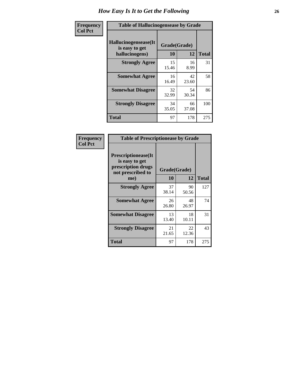| <b>Frequency</b> |                                                          | <b>Table of Hallucinogensease by Grade</b> |             |              |  |  |  |  |  |  |  |
|------------------|----------------------------------------------------------|--------------------------------------------|-------------|--------------|--|--|--|--|--|--|--|
| <b>Col Pct</b>   | Hallucinogensease(It<br>is easy to get<br>hallucinogens) | Grade(Grade)<br>10                         | 12          | <b>Total</b> |  |  |  |  |  |  |  |
|                  | <b>Strongly Agree</b>                                    | 15<br>15.46                                | 16<br>8.99  | 31           |  |  |  |  |  |  |  |
|                  | <b>Somewhat Agree</b>                                    | 16<br>16.49                                | 42<br>23.60 | 58           |  |  |  |  |  |  |  |
|                  | <b>Somewhat Disagree</b>                                 | 32<br>32.99                                | 54<br>30.34 | 86           |  |  |  |  |  |  |  |
|                  | <b>Strongly Disagree</b>                                 | 34<br>35.05                                | 66<br>37.08 | 100          |  |  |  |  |  |  |  |
|                  | <b>Total</b>                                             | 97                                         | 178         | 275          |  |  |  |  |  |  |  |

| Frequency<br>  Col Pct |
|------------------------|
|                        |

| <b>Table of Prescriptionease by Grade</b>                                                |              |             |              |  |  |  |  |  |  |  |
|------------------------------------------------------------------------------------------|--------------|-------------|--------------|--|--|--|--|--|--|--|
| <b>Prescriptionease</b> (It<br>is easy to get<br>prescription drugs<br>not prescribed to | Grade(Grade) |             |              |  |  |  |  |  |  |  |
| me)                                                                                      | 10           | 12          | <b>Total</b> |  |  |  |  |  |  |  |
| <b>Strongly Agree</b>                                                                    | 37<br>38.14  | 90<br>50.56 | 127          |  |  |  |  |  |  |  |
| <b>Somewhat Agree</b>                                                                    | 26<br>26.80  | 48<br>26.97 | 74           |  |  |  |  |  |  |  |
| <b>Somewhat Disagree</b>                                                                 | 13<br>13.40  | 18<br>10.11 | 31           |  |  |  |  |  |  |  |
| <b>Strongly Disagree</b>                                                                 | 21<br>21.65  | 22<br>12.36 | 43           |  |  |  |  |  |  |  |
| Total                                                                                    | 97           | 178         | 275          |  |  |  |  |  |  |  |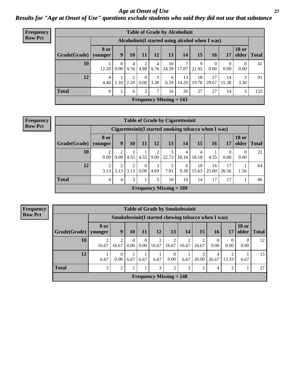*Age at Onset of Use* **27** *Results for "Age at Onset of Use" questions exclude students who said they did not use that substance*

| <b>Frequency</b> | <b>Table of Grade by Alcoholinit</b>            |                        |                      |           |                  |               |                           |             |             |             |                  |                       |              |
|------------------|-------------------------------------------------|------------------------|----------------------|-----------|------------------|---------------|---------------------------|-------------|-------------|-------------|------------------|-----------------------|--------------|
| <b>Row Pct</b>   | Alcoholinit(I started using alcohol when I was) |                        |                      |           |                  |               |                           |             |             |             |                  |                       |              |
|                  | Grade(Grade)                                    | <b>8 or</b><br>younger | 9                    | 10        | 11               | 12            | 13                        | 14          | 15          | 16          | 17               | <b>18 or</b><br>older | <b>Total</b> |
|                  | 10                                              | 12.20                  | $\mathbf{0}$<br>0.00 | 4<br>9.76 | 4.88             | 4<br>9.76     | 10<br>24.39               | 7<br>17.07  | 9<br>21.95  | 0<br>0.00   | $\Omega$<br>0.00 | $\Omega$<br>0.00      | 41           |
|                  | 12                                              | $\overline{4}$<br>4.40 | 1.10                 | ↑<br>2.20 | $\Omega$<br>0.00 | 3<br>3.30     | 6<br>6.59                 | 13<br>14.29 | 18<br>19.78 | 27<br>29.67 | 14<br>15.38      | 3<br>3.30             | 91           |
|                  | <b>Total</b>                                    | 9                      | 1                    | 6         | 2                | $\mathcal{I}$ | 16                        | 20          | 27          | 27          | 14               | 3                     | 132          |
|                  |                                                 |                        |                      |           |                  |               | Frequency Missing $= 143$ |             |             |             |                  |                       |              |

| <b>Frequency</b> | <b>Table of Grade by Cigarettesinit</b>               |           |           |           |      |           |                           |            |             |             |             |                       |              |
|------------------|-------------------------------------------------------|-----------|-----------|-----------|------|-----------|---------------------------|------------|-------------|-------------|-------------|-----------------------|--------------|
| <b>Row Pct</b>   | Cigarettesinit (I started smoking tobacco when I was) |           |           |           |      |           |                           |            |             |             |             |                       |              |
|                  | $Grade(Grade)$ younger                                | 8 or      | 9         | 10        | 11   | 12        | 13                        | 14         | 15          | 16          | 17          | <b>18 or</b><br>older | <b>Total</b> |
|                  | 10                                                    | 2<br>9.09 | 2<br>9.09 | 4.55      | 4.55 | 9.09      | 5<br>22.73                | 4<br>18.18 | 4<br>18.18  | 4.55        | 0<br>0.00   | 0.00                  | 22           |
|                  | 12                                                    | C<br>3.13 | 2<br>3.13 | 2<br>3.13 | 0.00 | 3<br>4.69 | 7.81                      | 6<br>9.38  | 10<br>15.63 | 16<br>25.00 | 17<br>26.56 | 1.56                  | 64           |
|                  | <b>Total</b>                                          | 4         | 4         | 3         |      |           | 10                        | 10         | 14          | 17          | 17          |                       | 86           |
|                  |                                                       |           |           |           |      |           | Frequency Missing $= 189$ |            |             |             |             |                       |              |

| <b>Table of Grade by Smokelessinit</b> |                           |                                                     |                  |                  |            |                         |       |                         |                  |                  |                       |              |
|----------------------------------------|---------------------------|-----------------------------------------------------|------------------|------------------|------------|-------------------------|-------|-------------------------|------------------|------------------|-----------------------|--------------|
|                                        |                           | Smokelessinit(I started chewing tobacco when I was) |                  |                  |            |                         |       |                         |                  |                  |                       |              |
| Grade(Grade)                           | 8 or<br>younger           | 9                                                   | 10               | 11               | 12         | 13                      | 14    | 15                      | 16 <sup>1</sup>  | 17               | <b>18 or</b><br>older | <b>Total</b> |
| 10                                     | $\mathfrak{D}$<br>16.67   | 2<br>16.67                                          | $\Omega$<br>0.00 | $\theta$<br>0.00 | 2<br>16.67 | $\overline{2}$<br>16.67 | 16.67 | $\mathfrak{D}$<br>16.67 | $\Omega$<br>0.00 | $\Omega$<br>0.00 | $\Omega$<br>0.00      | 12           |
| 12                                     | 6.67                      | $\Omega$<br>0.00                                    | 6.67             | 6.67             | 6.67       | 0<br>0.00               | 6.67  | 3<br>20.00              | 4<br>26.67       | 13.33            | 6.67                  | 15           |
| <b>Total</b>                           | 3                         | 2                                                   | 1                |                  | 3          | 2                       | 3     | 5                       | 4                | $\mathfrak{D}$   |                       | 27           |
|                                        | Frequency Missing $= 248$ |                                                     |                  |                  |            |                         |       |                         |                  |                  |                       |              |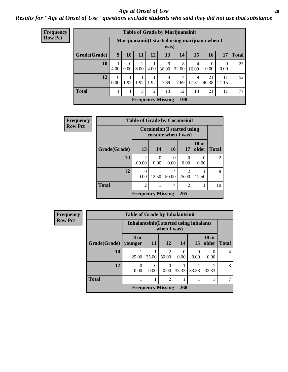#### *Age at Onset of Use* **28**

*Results for "Age at Onset of Use" questions exclude students who said they did not use that substance*

| <b>Frequency</b> | <b>Table of Grade by Marijuanainit</b> |                      |                  |                          |                |                           |                        |            |             |                                                |              |  |  |  |  |
|------------------|----------------------------------------|----------------------|------------------|--------------------------|----------------|---------------------------|------------------------|------------|-------------|------------------------------------------------|--------------|--|--|--|--|
| <b>Row Pct</b>   |                                        |                      |                  |                          |                | was)                      |                        |            |             | Marijuanainit(I started using marijuana when I |              |  |  |  |  |
|                  | Grade(Grade)                           | 9                    | 10               | 11                       | 12             | 13                        | 14                     | 15         | 16          | 17                                             | <b>Total</b> |  |  |  |  |
|                  | 10                                     | 4.00                 | $\theta$<br>0.00 | $\overline{2}$<br>8.00   | 4.00           | 9<br>36.00                | 8<br>32.00             | 4<br>16.00 | 0<br>0.00   | $\theta$<br>0.00                               | 25           |  |  |  |  |
|                  | 12                                     | $\Omega$<br>$0.00 -$ |                  | $1.92$   $1.92$   $1.92$ |                | 4<br>7.69                 | $\overline{4}$<br>7.69 | 9<br>17.31 | 21<br>40.38 | 11<br>21.15                                    | 52           |  |  |  |  |
|                  | <b>Total</b>                           |                      |                  | 3                        | $\mathfrak{D}$ | 13                        | 12                     | 13         | 21          | 11                                             | 77           |  |  |  |  |
|                  |                                        |                      |                  |                          |                | Frequency Missing $= 198$ |                        |            |             |                                                |              |  |  |  |  |

| <b>Frequency</b> | <b>Table of Grade by Cocaineinit</b> |                           |                                                            |            |                         |                       |                |  |
|------------------|--------------------------------------|---------------------------|------------------------------------------------------------|------------|-------------------------|-----------------------|----------------|--|
| <b>Row Pct</b>   |                                      |                           | <b>Cocaineinit</b> (I started using<br>cocaine when I was) |            |                         |                       |                |  |
|                  | Grade(Grade)                         | 13                        | 14                                                         | 16         | 17                      | <b>18 or</b><br>older | <b>Total</b>   |  |
|                  | 10                                   | $\overline{c}$<br>100.00  | $\left($<br>0.00                                           | 0<br>0.00  | $\Omega$<br>0.00        | $\Omega$<br>0.00      | $\overline{2}$ |  |
|                  | 12                                   | 0<br>0.00                 | 12.50                                                      | 4<br>50.00 | $\overline{2}$<br>25.00 | 12.50                 | 8              |  |
|                  | <b>Total</b>                         | $\overline{c}$            |                                                            | 4          | $\overline{2}$          |                       | 10             |  |
|                  |                                      | Frequency Missing $= 265$ |                                                            |            |                         |                       |                |  |

| <b>Frequency</b> | <b>Table of Grade by Inhalantsinit</b> |                 |                                                         |                        |                                |           |                       |                |  |  |
|------------------|----------------------------------------|-----------------|---------------------------------------------------------|------------------------|--------------------------------|-----------|-----------------------|----------------|--|--|
| <b>Row Pct</b>   |                                        |                 | Inhalantsinit (I started using inhalants<br>when I was) |                        |                                |           |                       |                |  |  |
|                  | Grade(Grade)                           | 8 or<br>vounger | -11                                                     | <b>12</b>              | 14                             | 15        | <b>18 or</b><br>older | <b>Total</b>   |  |  |
|                  | 10                                     | 25.00           | 25.00                                                   | $\mathcal{D}$<br>50.00 | 0.00                           | 0<br>0.00 | $\theta$<br>0.00      | $\overline{4}$ |  |  |
|                  | 12                                     | 0<br>0.00       | $\Omega$<br>0.00                                        | 0<br>0.00              | 33.33                          | 33.33     | 33.33                 | 3              |  |  |
|                  | <b>Total</b>                           |                 |                                                         | $\mathfrak{D}$         |                                |           |                       |                |  |  |
|                  |                                        |                 |                                                         |                        | <b>Frequency Missing = 268</b> |           |                       |                |  |  |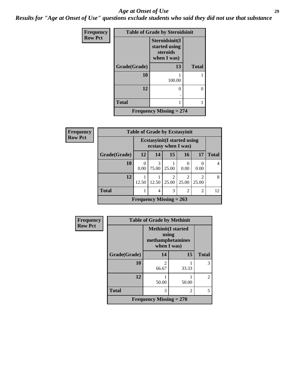#### *Age at Onset of Use* **29**

*Results for "Age at Onset of Use" questions exclude students who said they did not use that substance*

| Frequency      | <b>Table of Grade by Steroidsinit</b> |                                                            |              |  |  |  |  |
|----------------|---------------------------------------|------------------------------------------------------------|--------------|--|--|--|--|
| <b>Row Pct</b> |                                       | Steroidsinit(I<br>started using<br>steroids<br>when I was) |              |  |  |  |  |
|                | Grade(Grade)                          | 13                                                         | <b>Total</b> |  |  |  |  |
|                | 10                                    | 100.00                                                     |              |  |  |  |  |
|                | 12                                    | 0                                                          | 0            |  |  |  |  |
|                | <b>Total</b>                          |                                                            |              |  |  |  |  |
|                |                                       | <b>Frequency Missing = 274</b>                             |              |  |  |  |  |

| Frequency      | <b>Table of Grade by Ecstasyinit</b> |                           |                                                            |                         |                         |                         |              |  |
|----------------|--------------------------------------|---------------------------|------------------------------------------------------------|-------------------------|-------------------------|-------------------------|--------------|--|
| <b>Row Pct</b> |                                      |                           | <b>Ecstasyinit</b> (I started using<br>ecstasy when I was) |                         |                         |                         |              |  |
|                | Grade(Grade)                         | <b>12</b>                 | 14                                                         | 15                      | 16                      | 17                      | <b>Total</b> |  |
|                | 10                                   | 0.00                      | 3<br>75.00                                                 | 25.00                   | 0<br>0.00               | 0.00                    |              |  |
|                | 12                                   | 12.50                     | 12.50                                                      | $\mathfrak{D}$<br>25.00 | $\overline{c}$<br>25.00 | $\mathfrak{D}$<br>25.00 | 8            |  |
|                | <b>Total</b>                         |                           | 4                                                          | 3                       | $\overline{2}$          | $\overline{c}$          | 12           |  |
|                |                                      | Frequency Missing $= 263$ |                                                            |                         |                         |                         |              |  |

| Frequency      |              | <b>Table of Grade by Methinit</b>                                     |                |                |  |  |  |  |
|----------------|--------------|-----------------------------------------------------------------------|----------------|----------------|--|--|--|--|
| <b>Row Pct</b> |              | <b>Methinit(I started</b><br>using<br>methamphetamines<br>when I was) |                |                |  |  |  |  |
|                | Grade(Grade) | 14                                                                    | 15             | <b>Total</b>   |  |  |  |  |
|                | 10           | $\mathfrak{D}$<br>66.67                                               | 33.33          | 3              |  |  |  |  |
|                | 12           | 50.00                                                                 | 50.00          | $\overline{c}$ |  |  |  |  |
|                | <b>Total</b> | 3                                                                     | $\overline{c}$ | 5              |  |  |  |  |
|                |              | Frequency Missing $= 270$                                             |                |                |  |  |  |  |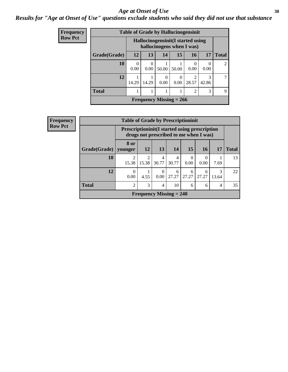#### Age at Onset of Use **30**

*Results for "Age at Onset of Use" questions exclude students who said they did not use that substance*

| Frequency      |              | <b>Table of Grade by Hallucinogensinit</b> |                                                                |                           |       |                |            |              |  |  |
|----------------|--------------|--------------------------------------------|----------------------------------------------------------------|---------------------------|-------|----------------|------------|--------------|--|--|
| <b>Row Pct</b> |              |                                            | Hallucinogensinit(I started using<br>hallucinogens when I was) |                           |       |                |            |              |  |  |
|                | Grade(Grade) | 12                                         | 13                                                             | 14                        | 15    | 16             | 17         | <b>Total</b> |  |  |
|                | 10           | $\Omega$<br>0.00                           | 0.00                                                           | 50.00                     | 50.00 | 0<br>0.00      | 0.00       | 2            |  |  |
|                | 12           | 14.29                                      | 14.29                                                          | 0.00                      | 0.00  | 2<br>28.57     | 3<br>42.86 | 7            |  |  |
|                | <b>Total</b> |                                            |                                                                |                           |       | $\overline{2}$ | 3          | 9            |  |  |
|                |              |                                            |                                                                | Frequency Missing $= 266$ |       |                |            |              |  |  |

| <b>Frequency</b> |              | <b>Table of Grade by Prescriptioninit</b>            |            |                                |            |                  |                                        |            |              |
|------------------|--------------|------------------------------------------------------|------------|--------------------------------|------------|------------------|----------------------------------------|------------|--------------|
| <b>Row Pct</b>   |              | <b>Prescriptioninit(I started using prescription</b> |            |                                |            |                  | drugs not prescribed to me when I was) |            |              |
|                  | Grade(Grade) | 8 or<br>younger                                      | <b>12</b>  | <b>13</b>                      | 14         | <b>15</b>        | 16                                     | 17         | <b>Total</b> |
|                  | 10           | $\mathfrak{D}$<br>15.38                              | 2<br>15.38 | 4<br>30.77                     | 4<br>30.77 | $\Omega$<br>0.00 | 0.00                                   | 7.69       | 13           |
|                  | 12           | 0<br>0.00                                            | 4.55       | $\Omega$<br>0.00               | 6<br>27.27 | 6<br>27.27       | 6<br>27.27                             | 3<br>13.64 | 22           |
|                  | <b>Total</b> | $\mathfrak{D}$                                       | 3          | $\overline{\mathcal{A}}$       | 10         | 6                | 6                                      | 4          | 35           |
|                  |              |                                                      |            | <b>Frequency Missing = 240</b> |            |                  |                                        |            |              |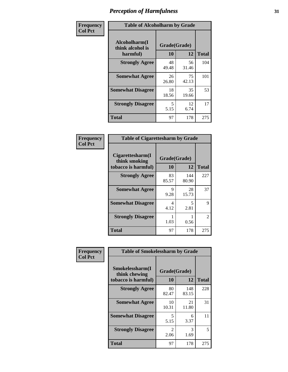| Frequency      | <b>Table of Alcoholharm by Grade</b>          |                    |             |              |  |
|----------------|-----------------------------------------------|--------------------|-------------|--------------|--|
| <b>Col Pct</b> | Alcoholharm(I<br>think alcohol is<br>harmful) | Grade(Grade)<br>10 | 12          | <b>Total</b> |  |
|                | <b>Strongly Agree</b>                         | 48<br>49.48        | 56<br>31.46 | 104          |  |
|                | <b>Somewhat Agree</b>                         | 26<br>26.80        | 75<br>42.13 | 101          |  |
|                | <b>Somewhat Disagree</b>                      | 18<br>18.56        | 35<br>19.66 | 53           |  |
|                | <b>Strongly Disagree</b>                      | 5<br>5.15          | 12<br>6.74  | 17           |  |
|                | <b>Total</b>                                  | 97                 | 178         | 275          |  |

| <b>Table of Cigarettesharm by Grade</b>                  |                    |              |              |  |  |  |  |
|----------------------------------------------------------|--------------------|--------------|--------------|--|--|--|--|
| Cigarettesharm(I<br>think smoking<br>tobacco is harmful) | Grade(Grade)<br>10 | 12           | <b>Total</b> |  |  |  |  |
| <b>Strongly Agree</b>                                    | 83<br>85.57        | 144<br>80.90 | 227          |  |  |  |  |
| <b>Somewhat Agree</b>                                    | 9<br>9.28          | 28<br>15.73  | 37           |  |  |  |  |
| <b>Somewhat Disagree</b>                                 | 4<br>4.12          | 5<br>2.81    | 9            |  |  |  |  |
| <b>Strongly Disagree</b>                                 | 1<br>1.03          | 0.56         | 2            |  |  |  |  |
| <b>Total</b>                                             | 97                 | 178          | 275          |  |  |  |  |

| Frequency      | <b>Table of Smokelessharm by Grade</b>                  |                          |              |              |  |  |  |
|----------------|---------------------------------------------------------|--------------------------|--------------|--------------|--|--|--|
| <b>Col Pct</b> | Smokelessharm(I<br>think chewing<br>tobacco is harmful) | Grade(Grade)<br>12<br>10 |              | <b>Total</b> |  |  |  |
|                | <b>Strongly Agree</b>                                   | 80<br>82.47              | 148<br>83.15 | 228          |  |  |  |
|                | <b>Somewhat Agree</b>                                   | 10<br>10.31              | 21<br>11.80  | 31           |  |  |  |
|                | <b>Somewhat Disagree</b>                                | 5<br>5.15                | 6<br>3.37    | 11           |  |  |  |
|                | <b>Strongly Disagree</b>                                | $\mathfrak{D}$<br>2.06   | 3<br>1.69    | 5            |  |  |  |
|                | <b>Total</b>                                            | 97                       | 178          | 275          |  |  |  |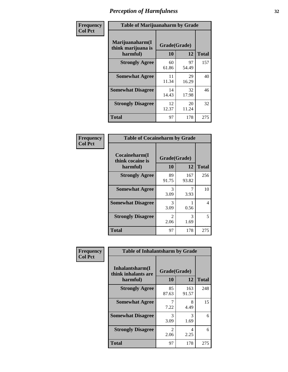| Frequency      | <b>Table of Marijuanaharm by Grade</b>            |                    |             |              |  |  |
|----------------|---------------------------------------------------|--------------------|-------------|--------------|--|--|
| <b>Col Pct</b> | Marijuanaharm(I<br>think marijuana is<br>harmful) | Grade(Grade)<br>10 | 12          | <b>Total</b> |  |  |
|                | <b>Strongly Agree</b>                             | 60<br>61.86        | 97<br>54.49 | 157          |  |  |
|                | <b>Somewhat Agree</b>                             | 11<br>11.34        | 29<br>16.29 | 40           |  |  |
|                | <b>Somewhat Disagree</b>                          | 14<br>14.43        | 32<br>17.98 | 46           |  |  |
|                | <b>Strongly Disagree</b>                          | 12<br>12.37        | 20<br>11.24 | 32           |  |  |
|                | <b>Total</b>                                      | 97                 | 178         | 275          |  |  |

| <b>Table of Cocaineharm by Grade</b>          |                    |              |     |  |  |  |
|-----------------------------------------------|--------------------|--------------|-----|--|--|--|
| Cocaineharm(I<br>think cocaine is<br>harmful) | Grade(Grade)<br>10 | <b>Total</b> |     |  |  |  |
| <b>Strongly Agree</b>                         | 89<br>91.75        | 167<br>93.82 | 256 |  |  |  |
| <b>Somewhat Agree</b>                         | 3<br>3.09          | 3.93         | 10  |  |  |  |
| <b>Somewhat Disagree</b>                      | 3<br>3.09          | 0.56         | 4   |  |  |  |
| <b>Strongly Disagree</b>                      | 2<br>2.06          | 3<br>1.69    | 5   |  |  |  |
| <b>Total</b>                                  | 97                 | 178          | 275 |  |  |  |

| Frequency      | <b>Table of Inhalantsharm by Grade</b>              |                        |              |              |  |
|----------------|-----------------------------------------------------|------------------------|--------------|--------------|--|
| <b>Col Pct</b> | Inhalantsharm(I)<br>think inhalants are<br>harmful) | Grade(Grade)<br>10     | 12           | <b>Total</b> |  |
|                | <b>Strongly Agree</b>                               | 85<br>87.63            | 163<br>91.57 | 248          |  |
|                | <b>Somewhat Agree</b>                               | 7.22                   | 8<br>4.49    | 15           |  |
|                | <b>Somewhat Disagree</b>                            | 3<br>3.09              | 3<br>1.69    | 6            |  |
|                | <b>Strongly Disagree</b>                            | $\mathfrak{D}$<br>2.06 | 4<br>2.25    | 6            |  |
|                | <b>Total</b>                                        | 97                     | 178          | 275          |  |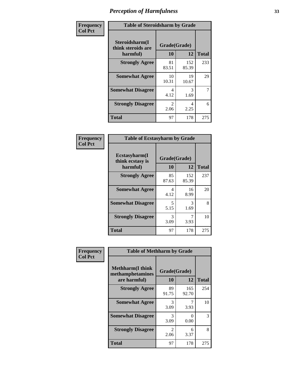| Frequency      | <b>Table of Steroidsharm by Grade</b>            |                                     |              |              |
|----------------|--------------------------------------------------|-------------------------------------|--------------|--------------|
| <b>Col Pct</b> | Steroidsharm(I<br>think steroids are<br>harmful) | Grade(Grade)<br>10                  | 12           | <b>Total</b> |
|                | <b>Strongly Agree</b>                            | 81<br>83.51                         | 152<br>85.39 | 233          |
|                | <b>Somewhat Agree</b>                            | 10<br>10.31                         | 19<br>10.67  | 29           |
|                | <b>Somewhat Disagree</b>                         | 4<br>4.12                           | 3<br>1.69    | 7            |
|                | <b>Strongly Disagree</b>                         | $\mathcal{D}_{\mathcal{L}}$<br>2.06 | 4<br>2.25    | 6            |
|                | <b>Total</b>                                     | 97                                  | 178          | 275          |

| <b>Table of Ecstasyharm by Grade</b>          |                    |              |              |  |  |
|-----------------------------------------------|--------------------|--------------|--------------|--|--|
| Ecstasyharm(I<br>think ecstasy is<br>harmful) | Grade(Grade)<br>10 | 12           | <b>Total</b> |  |  |
| <b>Strongly Agree</b>                         | 85<br>87.63        | 152<br>85.39 | 237          |  |  |
| <b>Somewhat Agree</b>                         | 4<br>4.12          | 16<br>8.99   | 20           |  |  |
| <b>Somewhat Disagree</b>                      | 5<br>5.15          | 3<br>1.69    | 8            |  |  |
| <b>Strongly Disagree</b>                      | 3<br>3.09          | 3.93         | 10           |  |  |
| <b>Total</b>                                  | 97                 | 178          | 275          |  |  |

| Frequency      | <b>Table of Methharm by Grade</b>                            |                           |              |              |  |
|----------------|--------------------------------------------------------------|---------------------------|--------------|--------------|--|
| <b>Col Pct</b> | <b>Methharm</b> (I think<br>methamphetamines<br>are harmful) | Grade(Grade)<br><b>10</b> | 12           | <b>Total</b> |  |
|                | <b>Strongly Agree</b>                                        | 89<br>91.75               | 165<br>92.70 | 254          |  |
|                | <b>Somewhat Agree</b>                                        | 3<br>3.09                 | 3.93         | 10           |  |
|                | <b>Somewhat Disagree</b>                                     | 3<br>3.09                 | 0<br>0.00    | 3            |  |
|                | <b>Strongly Disagree</b>                                     | $\mathfrak{D}$<br>2.06    | 6<br>3.37    | 8            |  |
|                | <b>Total</b>                                                 | 97                        | 178          | 275          |  |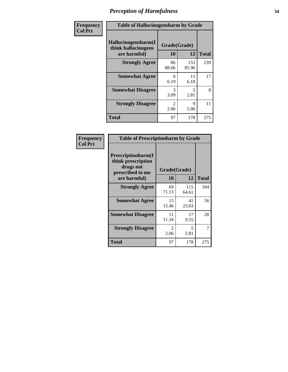| Frequency      | <b>Table of Hallucinogensharm by Grade</b>                 |                    |                                  |              |
|----------------|------------------------------------------------------------|--------------------|----------------------------------|--------------|
| <b>Col Pct</b> | Hallucinogensharm(I<br>think hallucinogens<br>are harmful) | Grade(Grade)<br>10 | 12                               | <b>Total</b> |
|                | <b>Strongly Agree</b>                                      | 86<br>88.66        | 153<br>85.96                     | 239          |
|                | <b>Somewhat Agree</b>                                      | 6<br>6.19          | 11<br>6.18                       | 17           |
|                | <b>Somewhat Disagree</b>                                   | 3<br>3.09          | $\overline{\phantom{0}}$<br>2.81 | 8            |
|                | <b>Strongly Disagree</b>                                   | 2<br>2.06          | 9<br>5.06                        | 11           |
|                | <b>Total</b>                                               | 97                 | 178                              | 275          |

| <b>Table of Prescriptionharm by Grade</b>                                 |                        |              |              |  |
|---------------------------------------------------------------------------|------------------------|--------------|--------------|--|
| Prescriptionharm(I<br>think prescription<br>drugs not<br>prescribed to me | Grade(Grade)           |              |              |  |
| are harmful)                                                              | 10                     | 12           | <b>Total</b> |  |
| <b>Strongly Agree</b>                                                     | 69<br>71.13            | 115<br>64.61 | 184          |  |
| <b>Somewhat Agree</b>                                                     | 15<br>15.46            | 41<br>23.03  | 56           |  |
| <b>Somewhat Disagree</b>                                                  | 11<br>11.34            | 17<br>9.55   | 28           |  |
| <b>Strongly Disagree</b>                                                  | $\mathfrak{D}$<br>2.06 | 5<br>2.81    | 7            |  |
| <b>Total</b>                                                              | 97                     | 178          | 275          |  |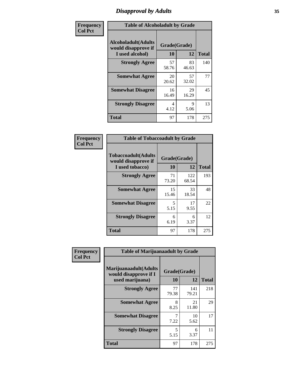# *Disapproval by Adults* **35**

| Frequency      | <b>Table of Alcoholadult by Grade</b>                                 |                    |             |              |  |
|----------------|-----------------------------------------------------------------------|--------------------|-------------|--------------|--|
| <b>Col Pct</b> | <b>Alcoholadult</b> (Adults<br>would disapprove if<br>I used alcohol) | Grade(Grade)<br>10 | 12          | <b>Total</b> |  |
|                | <b>Strongly Agree</b>                                                 | 57<br>58.76        | 83<br>46.63 | 140          |  |
|                | <b>Somewhat Agree</b>                                                 | 20<br>20.62        | 57<br>32.02 | 77           |  |
|                | <b>Somewhat Disagree</b>                                              | 16<br>16.49        | 29<br>16.29 | 45           |  |
|                | <b>Strongly Disagree</b>                                              | 4<br>4.12          | 9<br>5.06   | 13           |  |
|                | <b>Total</b>                                                          | 97                 | 178         | 275          |  |

| <b>Table of Tobaccoadult by Grade</b>                                |                    |              |              |  |  |
|----------------------------------------------------------------------|--------------------|--------------|--------------|--|--|
| <b>Tobaccoadult(Adults</b><br>would disapprove if<br>I used tobacco) | Grade(Grade)<br>10 | 12           | <b>Total</b> |  |  |
| <b>Strongly Agree</b>                                                | 71<br>73.20        | 122<br>68.54 | 193          |  |  |
| <b>Somewhat Agree</b>                                                | 15<br>15.46        | 33<br>18.54  | 48           |  |  |
| <b>Somewhat Disagree</b>                                             | 5<br>5.15          | 17<br>9.55   | 22           |  |  |
| <b>Strongly Disagree</b>                                             | 6<br>6.19          | 6<br>3.37    | 12           |  |  |
| <b>Total</b>                                                         | 97                 | 178          | 275          |  |  |

| Frequency      | <b>Table of Marijuanaadult by Grade</b>                           |                    |              |              |  |
|----------------|-------------------------------------------------------------------|--------------------|--------------|--------------|--|
| <b>Col Pct</b> | Marijuanaadult(Adults<br>would disapprove if I<br>used marijuana) | Grade(Grade)<br>10 | 12           | <b>Total</b> |  |
|                | <b>Strongly Agree</b>                                             | 77<br>79.38        | 141<br>79.21 | 218          |  |
|                | <b>Somewhat Agree</b>                                             | 8<br>8.25          | 21<br>11.80  | 29           |  |
|                | <b>Somewhat Disagree</b>                                          | 7<br>7.22          | 10<br>5.62   | 17           |  |
|                | <b>Strongly Disagree</b>                                          | 5<br>5.15          | 6<br>3.37    | 11           |  |
|                | <b>Total</b>                                                      | 97                 | 178          | 275          |  |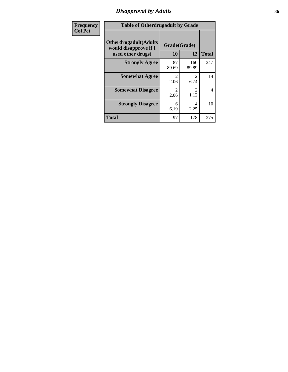# *Disapproval by Adults* **36**

| <b>Frequency</b> | <b>Table of Otherdrugadult by Grade</b>                                     |                        |                       |              |
|------------------|-----------------------------------------------------------------------------|------------------------|-----------------------|--------------|
| <b>Col Pct</b>   | <b>Otherdrugadult</b> (Adults<br>would disapprove if I<br>used other drugs) | Grade(Grade)<br>10     | 12                    | <b>Total</b> |
|                  | <b>Strongly Agree</b>                                                       | 87<br>89.69            | 160<br>89.89          | 247          |
|                  | <b>Somewhat Agree</b>                                                       | $\mathfrak{D}$<br>2.06 | 12<br>6.74            | 14           |
|                  | <b>Somewhat Disagree</b>                                                    | 2<br>2.06              | $\mathcal{L}$<br>1.12 | 4            |
|                  | <b>Strongly Disagree</b>                                                    | 6<br>6.19              | 4<br>2.25             | 10           |
|                  | <b>Total</b>                                                                | 97                     | 178                   | 275          |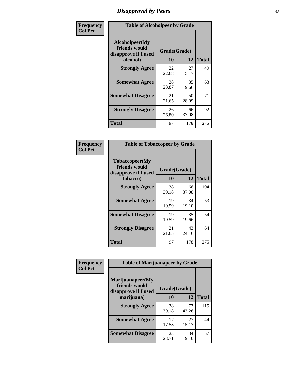# *Disapproval by Peers* **37**

| Frequency      | <b>Table of Alcoholpeer by Grade</b>                    |              |             |              |  |
|----------------|---------------------------------------------------------|--------------|-------------|--------------|--|
| <b>Col Pct</b> | Alcoholpeer(My<br>friends would<br>disapprove if I used | Grade(Grade) |             |              |  |
|                | alcohol)                                                | 10           | 12          | <b>Total</b> |  |
|                | <b>Strongly Agree</b>                                   | 22<br>22.68  | 27<br>15.17 | 49           |  |
|                | <b>Somewhat Agree</b>                                   | 28<br>28.87  | 35<br>19.66 | 63           |  |
|                | <b>Somewhat Disagree</b>                                | 21<br>21.65  | 50<br>28.09 | 71           |  |
|                | <b>Strongly Disagree</b>                                | 26<br>26.80  | 66<br>37.08 | 92           |  |
|                | Total                                                   | 97           | 178         | 275          |  |

| Frequency      | <b>Table of Tobaccopeer by Grade</b>                                |                    |             |              |  |
|----------------|---------------------------------------------------------------------|--------------------|-------------|--------------|--|
| <b>Col Pct</b> | Tobaccopeer(My<br>friends would<br>disapprove if I used<br>tobacco) | Grade(Grade)<br>10 | 12          | <b>Total</b> |  |
|                | <b>Strongly Agree</b>                                               | 38<br>39.18        | 66<br>37.08 | 104          |  |
|                | <b>Somewhat Agree</b>                                               | 19<br>19.59        | 34<br>19.10 | 53           |  |
|                | <b>Somewhat Disagree</b>                                            | 19<br>19.59        | 35<br>19.66 | 54           |  |
|                | <b>Strongly Disagree</b>                                            | 21<br>21.65        | 43<br>24.16 | 64           |  |
|                | Total                                                               | 97                 | 178         | 275          |  |

| Frequency<br><b>Col Pct</b> | <b>Table of Marijuanapeer by Grade</b> |              |             |              |
|-----------------------------|----------------------------------------|--------------|-------------|--------------|
|                             | Marijuanapeer(My<br>friends would      | Grade(Grade) |             |              |
|                             | disapprove if I used<br>marijuana)     | 10           | 12          | <b>Total</b> |
|                             | <b>Strongly Agree</b>                  | 38<br>39.18  | 77<br>43.26 | 115          |
|                             | <b>Somewhat Agree</b>                  | 17<br>17.53  | 27<br>15.17 | 44           |
|                             | <b>Somewhat Disagree</b>               | 23<br>23.71  | 34<br>19.10 | 57           |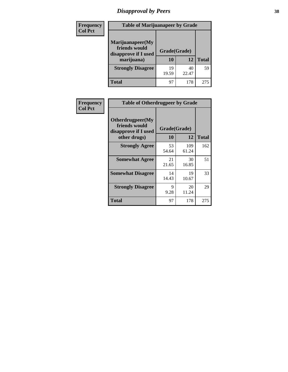# *Disapproval by Peers* **38**

| <b>Frequency</b> | <b>Table of Marijuanapeer by Grade</b>                                  |                    |             |              |  |
|------------------|-------------------------------------------------------------------------|--------------------|-------------|--------------|--|
| <b>Col Pct</b>   | Marijuanapeer(My<br>friends would<br>disapprove if I used<br>marijuana) | Grade(Grade)<br>10 | 12          | <b>Total</b> |  |
|                  | <b>Strongly Disagree</b>                                                | 19<br>19.59        | 40<br>22.47 | 59           |  |
|                  | <b>Total</b>                                                            | 97                 | 178         | 275          |  |

| <b>Frequency</b> | <b>Table of Otherdrugpeer by Grade</b>                                    |                    |              |              |
|------------------|---------------------------------------------------------------------------|--------------------|--------------|--------------|
| <b>Col Pct</b>   | Otherdrugpeer(My<br>friends would<br>disapprove if I used<br>other drugs) | Grade(Grade)<br>10 | 12           | <b>Total</b> |
|                  | <b>Strongly Agree</b>                                                     | 53<br>54.64        | 109<br>61.24 | 162          |
|                  | <b>Somewhat Agree</b>                                                     | 21<br>21.65        | 30<br>16.85  | 51           |
|                  | <b>Somewhat Disagree</b>                                                  | 14<br>14.43        | 19<br>10.67  | 33           |
|                  | <b>Strongly Disagree</b>                                                  | 9<br>9.28          | 20<br>11.24  | 29           |
|                  | Total                                                                     | 97                 | 178          | 275          |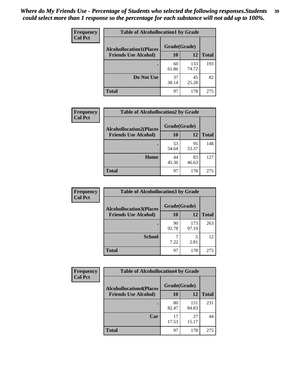| Frequency<br><b>Col Pct</b> | <b>Table of Alcohollocation1 by Grade</b> |              |              |              |
|-----------------------------|-------------------------------------------|--------------|--------------|--------------|
|                             | <b>Alcohollocation1(Places</b>            | Grade(Grade) |              |              |
|                             | <b>Friends Use Alcohol)</b>               | 10           | 12           | <b>Total</b> |
|                             |                                           | 60<br>61.86  | 133<br>74.72 | 193          |
|                             | Do Not Use                                | 37<br>38.14  | 45<br>25.28  | 82           |
|                             | <b>Total</b>                              | 97           | 178          | 275          |

| Frequency      | <b>Table of Alcohollocation2 by Grade</b>                     |                    |             |              |
|----------------|---------------------------------------------------------------|--------------------|-------------|--------------|
| <b>Col Pct</b> | <b>Alcohollocation2(Places</b><br><b>Friends Use Alcohol)</b> | Grade(Grade)<br>10 | <b>12</b>   | <b>Total</b> |
|                |                                                               | 53<br>54.64        | 95<br>53.37 | 148          |
|                | Home                                                          | 44<br>45.36        | 83<br>46.63 | 127          |
|                | <b>Total</b>                                                  | 97                 | 178         | 275          |

| Frequency<br><b>Col Pct</b> | <b>Table of Alcohollocation 3 by Grade</b>                    |                    |              |              |
|-----------------------------|---------------------------------------------------------------|--------------------|--------------|--------------|
|                             | <b>Alcohollocation3(Places</b><br><b>Friends Use Alcohol)</b> | Grade(Grade)<br>10 | 12           | <b>Total</b> |
|                             |                                                               | 90<br>92.78        | 173<br>97.19 | 263          |
|                             | <b>School</b>                                                 | 7.22               | 5<br>2.81    | 12           |
|                             | <b>Total</b>                                                  | 97                 | 178          | 275          |

| <b>Frequency</b> | <b>Table of Alcohollocation4 by Grade</b> |              |              |              |  |
|------------------|-------------------------------------------|--------------|--------------|--------------|--|
| <b>Col Pct</b>   | <b>Alcohollocation4(Places</b>            | Grade(Grade) |              |              |  |
|                  | <b>Friends Use Alcohol)</b>               | 10           | 12           | <b>Total</b> |  |
|                  |                                           | 80<br>82.47  | 151<br>84.83 | 231          |  |
|                  | Car                                       | 17<br>17.53  | 27<br>15.17  | 44           |  |
|                  | <b>Total</b>                              | 97           | 178          | 275          |  |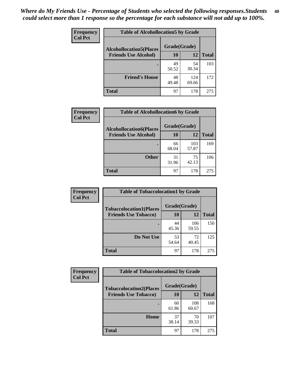| Frequency<br><b>Col Pct</b> | <b>Table of Alcohollocation5 by Grade</b> |              |              |              |  |
|-----------------------------|-------------------------------------------|--------------|--------------|--------------|--|
|                             | <b>Alcohollocation5(Places</b>            | Grade(Grade) |              |              |  |
|                             | <b>Friends Use Alcohol)</b>               | 10           | 12           | <b>Total</b> |  |
|                             |                                           | 49<br>50.52  | 54<br>30.34  | 103          |  |
|                             | <b>Friend's House</b>                     | 48<br>49.48  | 124<br>69.66 | 172          |  |
|                             | <b>Total</b>                              | 97           | 178          | 275          |  |

| <b>Frequency</b> | <b>Table of Alcohollocation6 by Grade</b> |              |              |              |
|------------------|-------------------------------------------|--------------|--------------|--------------|
| <b>Col Pct</b>   | <b>Alcohollocation6(Places</b>            | Grade(Grade) |              |              |
|                  | <b>Friends Use Alcohol)</b>               | 10           | 12           | <b>Total</b> |
|                  |                                           | 66<br>68.04  | 103<br>57.87 | 169          |
|                  | <b>Other</b>                              | 31<br>31.96  | 75<br>42.13  | 106          |
|                  | <b>Total</b>                              | 97           | 178          | 275          |

| <b>Frequency</b> | <b>Table of Tobaccolocation1 by Grade</b> |              |              |              |
|------------------|-------------------------------------------|--------------|--------------|--------------|
| <b>Col Pct</b>   | <b>Tobaccolocation1(Places</b>            | Grade(Grade) |              |              |
|                  | <b>Friends Use Tobacco)</b>               | 10           | 12           | <b>Total</b> |
|                  |                                           | 44<br>45.36  | 106<br>59.55 | 150          |
|                  | Do Not Use                                | 53<br>54.64  | 72<br>40.45  | 125          |
|                  | <b>Total</b>                              | 97           | 178          | 275          |

| Frequency      | <b>Table of Tobaccolocation2 by Grade</b> |              |              |              |  |
|----------------|-------------------------------------------|--------------|--------------|--------------|--|
| <b>Col Pct</b> | <b>Tobaccolocation2(Places</b>            | Grade(Grade) |              |              |  |
|                | <b>Friends Use Tobacco)</b>               | 10           | 12           | <b>Total</b> |  |
|                |                                           | 60<br>61.86  | 108<br>60.67 | 168          |  |
|                | Home                                      | 37<br>38.14  | 70<br>39.33  | 107          |  |
|                | <b>Total</b>                              | 97           | 178          | 275          |  |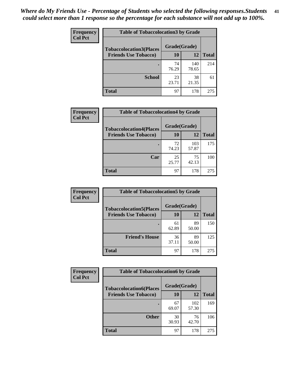| Frequency      | <b>Table of Tobaccolocation 3 by Grade</b> |              |              |              |
|----------------|--------------------------------------------|--------------|--------------|--------------|
| <b>Col Pct</b> | <b>Tobaccolocation3(Places</b>             | Grade(Grade) |              |              |
|                | <b>Friends Use Tobacco)</b>                | 10           | 12           | <b>Total</b> |
|                |                                            | 74<br>76.29  | 140<br>78.65 | 214          |
|                | <b>School</b>                              | 23<br>23.71  | 38<br>21.35  | 61           |
|                | <b>Total</b>                               | 97           | 178          | 275          |

| Frequency      | <b>Table of Tobaccolocation4 by Grade</b> |              |              |              |
|----------------|-------------------------------------------|--------------|--------------|--------------|
| <b>Col Pct</b> | <b>Tobaccolocation4(Places</b>            | Grade(Grade) |              |              |
|                | <b>Friends Use Tobacco)</b>               | 10           | 12           | <b>Total</b> |
|                |                                           | 72<br>74.23  | 103<br>57.87 | 175          |
|                | Car                                       | 25<br>25.77  | 75<br>42.13  | 100          |
|                | <b>Total</b>                              | 97           | 178          | 275          |

| Frequency<br><b>Col Pct</b> | <b>Table of Tobaccolocation5 by Grade</b> |              |             |              |
|-----------------------------|-------------------------------------------|--------------|-------------|--------------|
|                             | <b>Tobaccolocation5(Places</b>            | Grade(Grade) |             |              |
|                             | <b>Friends Use Tobacco)</b>               | 10           | <b>12</b>   | <b>Total</b> |
|                             |                                           | 61<br>62.89  | 89<br>50.00 | 150          |
|                             | <b>Friend's House</b>                     | 36<br>37.11  | 89<br>50.00 | 125          |
|                             | <b>Total</b>                              | 97           | 178         | 275          |

| <b>Frequency</b> | <b>Table of Tobaccolocation6 by Grade</b> |              |              |              |
|------------------|-------------------------------------------|--------------|--------------|--------------|
| <b>Col Pct</b>   | <b>Tobaccolocation6(Places</b>            | Grade(Grade) |              |              |
|                  | <b>Friends Use Tobacco)</b>               | 10           | 12           | <b>Total</b> |
|                  |                                           | 67<br>69.07  | 102<br>57.30 | 169          |
|                  | <b>Other</b>                              | 30<br>30.93  | 76<br>42.70  | 106          |
|                  | <b>Total</b>                              | 97           | 178          | 275          |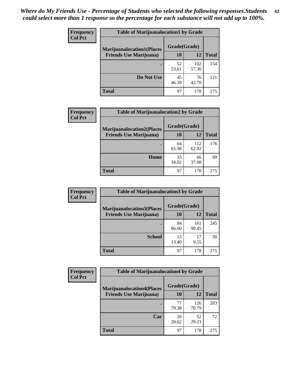| <b>Frequency</b> | <b>Table of Marijuanalocation1 by Grade</b> |              |              |              |
|------------------|---------------------------------------------|--------------|--------------|--------------|
| <b>Col Pct</b>   | <b>Marijuanalocation1(Places</b>            | Grade(Grade) |              |              |
|                  | <b>Friends Use Marijuana</b> )              | 10           | 12           | <b>Total</b> |
|                  |                                             | 52<br>53.61  | 102<br>57.30 | 154          |
|                  | Do Not Use                                  | 45<br>46.39  | 76<br>42.70  | 121          |
|                  | Total                                       | 97           | 178          | 275          |

| <b>Frequency</b> | <b>Table of Marijuanalocation2 by Grade</b>                        |                    |              |              |
|------------------|--------------------------------------------------------------------|--------------------|--------------|--------------|
| <b>Col Pct</b>   | <b>Marijuanalocation2(Places</b><br><b>Friends Use Marijuana</b> ) | Grade(Grade)<br>10 | 12           | <b>Total</b> |
|                  |                                                                    | 64<br>65.98        | 112<br>62.92 | 176          |
|                  | Home                                                               | 33<br>34.02        | 66<br>37.08  | 99           |
|                  | <b>Total</b>                                                       | 97                 | 178          | 275          |

| Frequency<br><b>Col Pct</b> | <b>Table of Marijuanalocation3 by Grade</b> |              |       |              |
|-----------------------------|---------------------------------------------|--------------|-------|--------------|
|                             | <b>Marijuanalocation3(Places</b>            | Grade(Grade) |       |              |
|                             | <b>Friends Use Marijuana</b> )              | 10           | 12    | <b>Total</b> |
|                             |                                             | 84           | 161   | 245          |
|                             |                                             | 86.60        | 90.45 |              |
|                             | <b>School</b>                               | 13           | 17    | 30           |
|                             |                                             | 13.40        | 9.55  |              |
|                             | <b>Total</b>                                | 97           | 178   | 275          |

| <b>Frequency</b> | <b>Table of Marijuanalocation4 by Grade</b> |              |              |              |  |
|------------------|---------------------------------------------|--------------|--------------|--------------|--|
| <b>Col Pct</b>   | <b>Marijuanalocation4(Places</b>            | Grade(Grade) |              |              |  |
|                  | <b>Friends Use Marijuana</b> )              | <b>10</b>    | 12           | <b>Total</b> |  |
|                  |                                             | 77<br>79.38  | 126<br>70.79 | 203          |  |
|                  | Car                                         | 20<br>20.62  | 52<br>29.21  | 72           |  |
|                  | <b>Total</b>                                | 97           | 178          | 275          |  |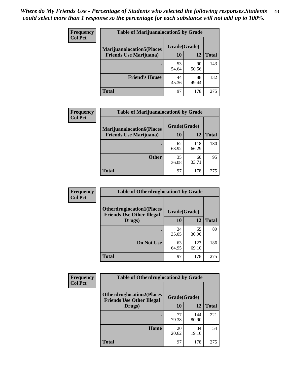| <b>Frequency</b> | <b>Table of Marijuanalocation5 by Grade</b> |              |             |              |
|------------------|---------------------------------------------|--------------|-------------|--------------|
| <b>Col Pct</b>   | <b>Marijuanalocation5(Places</b>            | Grade(Grade) |             |              |
|                  | <b>Friends Use Marijuana</b> )              | 10           | 12          | <b>Total</b> |
|                  |                                             | 53<br>54.64  | 90<br>50.56 | 143          |
|                  | <b>Friend's House</b>                       | 44<br>45.36  | 88<br>49.44 | 132          |
|                  | <b>Total</b>                                | 97           | 178         | 275          |

| <b>Frequency</b> | <b>Table of Marijuanalocation6 by Grade</b>                        |                    |              |              |
|------------------|--------------------------------------------------------------------|--------------------|--------------|--------------|
| <b>Col Pct</b>   | <b>Marijuanalocation6(Places</b><br><b>Friends Use Marijuana</b> ) | Grade(Grade)<br>10 | 12           | <b>Total</b> |
|                  |                                                                    | 62<br>63.92        | 118<br>66.29 | 180          |
|                  | <b>Other</b>                                                       | 35<br>36.08        | 60<br>33.71  | 95           |
|                  | <b>Total</b>                                                       | 97                 | 178          | 275          |

| <b>Frequency</b> | <b>Table of Otherdruglocation1 by Grade</b>                          |              |              |              |
|------------------|----------------------------------------------------------------------|--------------|--------------|--------------|
| <b>Col Pct</b>   | <b>Otherdruglocation1(Places</b><br><b>Friends Use Other Illegal</b> | Grade(Grade) |              |              |
|                  | Drugs)                                                               | 10           | 12           | <b>Total</b> |
|                  |                                                                      | 34<br>35.05  | 55<br>30.90  | 89           |
|                  | Do Not Use                                                           | 63<br>64.95  | 123<br>69.10 | 186          |
|                  | <b>Total</b>                                                         | 97           | 178          | 275          |

| <b>Frequency</b> | <b>Table of Otherdruglocation2 by Grade</b>                          |             |              |              |
|------------------|----------------------------------------------------------------------|-------------|--------------|--------------|
| <b>Col Pct</b>   | <b>Otherdruglocation2(Places</b><br><b>Friends Use Other Illegal</b> |             | Grade(Grade) |              |
|                  | Drugs)                                                               | 10          | 12           | <b>Total</b> |
|                  |                                                                      | 77<br>79.38 | 144<br>80.90 | 221          |
|                  | <b>Home</b>                                                          | 20<br>20.62 | 34<br>19.10  | 54           |
|                  | <b>Total</b>                                                         | 97          | 178          | 275          |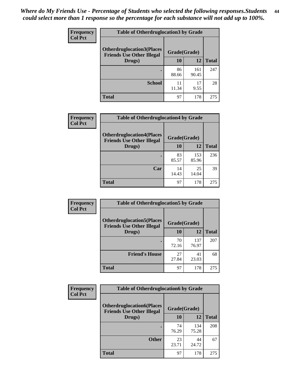| <b>Frequency</b> | <b>Table of Otherdruglocation 3 by Grade</b>                         |              |              |              |
|------------------|----------------------------------------------------------------------|--------------|--------------|--------------|
| <b>Col Pct</b>   | <b>Otherdruglocation3(Places</b><br><b>Friends Use Other Illegal</b> | Grade(Grade) |              |              |
|                  | Drugs)                                                               | 10           | 12           | <b>Total</b> |
|                  | ٠                                                                    | 86<br>88.66  | 161<br>90.45 | 247          |
|                  | <b>School</b>                                                        | 11<br>11.34  | 17<br>9.55   | 28           |
|                  | <b>Total</b>                                                         | 97           | 178          | 275          |

| Frequency      | <b>Table of Otherdruglocation4 by Grade</b>                          |              |              |              |
|----------------|----------------------------------------------------------------------|--------------|--------------|--------------|
| <b>Col Pct</b> | <b>Otherdruglocation4(Places</b><br><b>Friends Use Other Illegal</b> | Grade(Grade) |              |              |
|                | Drugs)                                                               | 10           | 12           | <b>Total</b> |
|                |                                                                      | 83<br>85.57  | 153<br>85.96 | 236          |
|                | Car                                                                  | 14<br>14.43  | 25<br>14.04  | 39           |
|                | <b>Total</b>                                                         | 97           | 178          | 275          |

| Frequency      | <b>Table of Otherdruglocation5 by Grade</b>                          |              |              |              |
|----------------|----------------------------------------------------------------------|--------------|--------------|--------------|
| <b>Col Pct</b> | <b>Otherdruglocation5(Places</b><br><b>Friends Use Other Illegal</b> | Grade(Grade) |              |              |
|                | Drugs)                                                               | 10           | 12           | <b>Total</b> |
|                |                                                                      | 70<br>72.16  | 137<br>76.97 | 207          |
|                | <b>Friend's House</b>                                                | 27<br>27.84  | 41<br>23.03  | 68           |
|                | <b>Total</b>                                                         | 97           | 178          | 275          |

| <b>Frequency</b> | <b>Table of Otherdruglocation6 by Grade</b>                          |              |              |              |
|------------------|----------------------------------------------------------------------|--------------|--------------|--------------|
| <b>Col Pct</b>   | <b>Otherdruglocation6(Places</b><br><b>Friends Use Other Illegal</b> | Grade(Grade) |              |              |
|                  | Drugs)                                                               | 10           | 12           | <b>Total</b> |
|                  |                                                                      | 74<br>76.29  | 134<br>75.28 | 208          |
|                  | <b>Other</b>                                                         | 23<br>23.71  | 44<br>24.72  | 67           |
|                  | <b>Total</b>                                                         | 97           | 178          | 275          |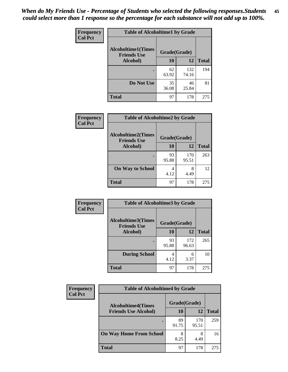| <b>Frequency</b> | <b>Table of Alcoholtime1 by Grade</b>           |              |              |              |
|------------------|-------------------------------------------------|--------------|--------------|--------------|
| <b>Col Pct</b>   | <b>Alcoholtime1(Times</b><br><b>Friends Use</b> | Grade(Grade) |              |              |
|                  | Alcohol)                                        | 10           | 12           | <b>Total</b> |
|                  |                                                 | 62<br>63.92  | 132<br>74.16 | 194          |
|                  | Do Not Use                                      | 35<br>36.08  | 46<br>25.84  | 81           |
|                  | <b>Total</b>                                    | 97           | 178          | 275          |

| Frequency      | <b>Table of Alcoholtime2 by Grade</b>           |              |              |              |
|----------------|-------------------------------------------------|--------------|--------------|--------------|
| <b>Col Pct</b> | <b>Alcoholtime2(Times</b><br><b>Friends Use</b> | Grade(Grade) |              |              |
|                | Alcohol)                                        | 10           | 12           | <b>Total</b> |
|                |                                                 | 93<br>95.88  | 170<br>95.51 | 263          |
|                | <b>On Way to School</b>                         | 4<br>4.12    | 8<br>4.49    | 12           |
|                | <b>Total</b>                                    | 97           | 178          | 275          |

| Frequency<br><b>Col Pct</b> | <b>Table of Alcoholtime3 by Grade</b>                           |             |              |              |
|-----------------------------|-----------------------------------------------------------------|-------------|--------------|--------------|
|                             | <b>Alcoholtime3(Times</b><br>Grade(Grade)<br><b>Friends Use</b> |             |              |              |
|                             | Alcohol)                                                        | 10          | 12           | <b>Total</b> |
|                             |                                                                 | 93<br>95.88 | 172<br>96.63 | 265          |
|                             | <b>During School</b>                                            | 4<br>4.12   | 6<br>3.37    | 10           |
|                             | Total                                                           | 97          | 178          | 275          |

| <b>Frequency</b> | <b>Table of Alcoholtime4 by Grade</b> |              |              |              |  |
|------------------|---------------------------------------|--------------|--------------|--------------|--|
| <b>Col Pct</b>   | <b>Alcoholtime4(Times</b>             | Grade(Grade) |              |              |  |
|                  | <b>Friends Use Alcohol)</b>           | 10           | 12           | <b>Total</b> |  |
|                  | ٠                                     | 89<br>91.75  | 170<br>95.51 | 259          |  |
|                  | <b>On Way Home From School</b>        | 8<br>8.25    | 8<br>4.49    | 16           |  |
|                  | <b>Total</b>                          | 97           | 178          | 275          |  |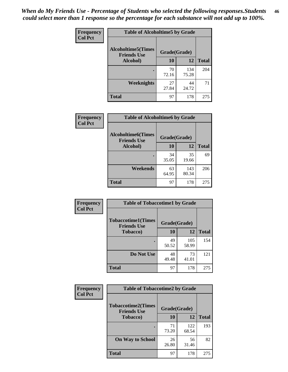*When do My Friends Use - Percentage of Students who selected the following responses.Students could select more than 1 response so the percentage for each substance will not add up to 100%.* **46**

| <b>Frequency</b> | <b>Table of Alcoholtime5 by Grade</b>           |              |              |              |
|------------------|-------------------------------------------------|--------------|--------------|--------------|
| <b>Col Pct</b>   | <b>Alcoholtime5(Times</b><br><b>Friends Use</b> | Grade(Grade) |              |              |
|                  | Alcohol)                                        | 10           | 12           | <b>Total</b> |
|                  |                                                 | 70<br>72.16  | 134<br>75.28 | 204          |
|                  | Weeknights                                      | 27<br>27.84  | 44<br>24.72  | 71           |
|                  | <b>Total</b>                                    | 97           | 178          | 275          |

| Frequency      | <b>Table of Alcoholtime6 by Grade</b>           |              |              |              |
|----------------|-------------------------------------------------|--------------|--------------|--------------|
| <b>Col Pct</b> | <b>Alcoholtime6(Times</b><br><b>Friends Use</b> | Grade(Grade) |              |              |
|                | Alcohol)                                        | 10           | 12           | <b>Total</b> |
|                | ٠                                               | 34<br>35.05  | 35<br>19.66  | 69           |
|                | Weekends                                        | 63<br>64.95  | 143<br>80.34 | 206          |
|                | <b>Total</b>                                    | 97           | 178          | 275          |

| <b>Frequency</b> | <b>Table of Tobaccotime1 by Grade</b>           |              |              |              |
|------------------|-------------------------------------------------|--------------|--------------|--------------|
| <b>Col Pct</b>   | <b>Tobaccotime1(Times</b><br><b>Friends Use</b> | Grade(Grade) |              |              |
|                  | <b>Tobacco</b> )                                | 10           | 12           | <b>Total</b> |
|                  |                                                 | 49<br>50.52  | 105<br>58.99 | 154          |
|                  | Do Not Use                                      | 48<br>49.48  | 73<br>41.01  | 121          |
|                  | <b>Total</b>                                    | 97           | 178          | 275          |

| Frequency      | <b>Table of Tobaccotime2 by Grade</b>           |              |              |              |
|----------------|-------------------------------------------------|--------------|--------------|--------------|
| <b>Col Pct</b> | <b>Tobaccotime2(Times</b><br><b>Friends Use</b> | Grade(Grade) |              |              |
|                | <b>Tobacco</b> )                                | 10           | 12           | <b>Total</b> |
|                |                                                 | 71<br>73.20  | 122<br>68.54 | 193          |
|                | <b>On Way to School</b>                         | 26<br>26.80  | 56<br>31.46  | 82           |
|                | <b>Total</b>                                    | 97           | 178          | 275          |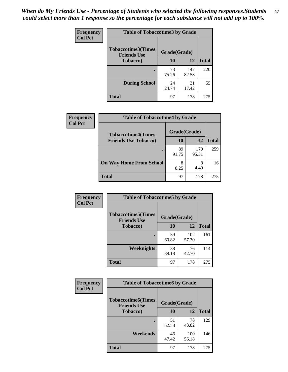*When do My Friends Use - Percentage of Students who selected the following responses.Students could select more than 1 response so the percentage for each substance will not add up to 100%.* **47**

| <b>Frequency</b> | <b>Table of Tobaccotime3 by Grade</b>           |              |              |              |
|------------------|-------------------------------------------------|--------------|--------------|--------------|
| <b>Col Pct</b>   | <b>Tobaccotime3(Times</b><br><b>Friends Use</b> | Grade(Grade) |              |              |
|                  | <b>Tobacco</b> )                                | 10           | 12           | <b>Total</b> |
|                  |                                                 | 73<br>75.26  | 147<br>82.58 | 220          |
|                  | <b>During School</b>                            | 24<br>24.74  | 31<br>17.42  | 55           |
|                  | <b>Total</b>                                    | 97           | 178          | 275          |

| <b>Frequency</b> | <b>Table of Tobaccotime4 by Grade</b> |              |              |              |
|------------------|---------------------------------------|--------------|--------------|--------------|
| <b>Col Pct</b>   | <b>Tobaccotime4(Times</b>             | Grade(Grade) |              |              |
|                  | <b>Friends Use Tobacco)</b>           | 10           | 12           | <b>Total</b> |
|                  |                                       | 89<br>91.75  | 170<br>95.51 | 259          |
|                  | <b>On Way Home From School</b>        | 8<br>8.25    | 8<br>4.49    | 16           |
|                  | <b>Total</b>                          | 97           | 178          | 275          |

| <b>Frequency</b> | <b>Table of Tobaccotime5 by Grade</b>           |              |              |              |
|------------------|-------------------------------------------------|--------------|--------------|--------------|
| <b>Col Pct</b>   | <b>Tobaccotime5(Times</b><br><b>Friends Use</b> | Grade(Grade) |              |              |
|                  | <b>Tobacco</b> )                                | 10           | 12           | <b>Total</b> |
|                  |                                                 | 59<br>60.82  | 102<br>57.30 | 161          |
|                  | Weeknights                                      | 38<br>39.18  | 76<br>42.70  | 114          |
|                  | <b>Total</b>                                    | 97           | 178          | 275          |

| Frequency      | <b>Table of Tobaccotime6 by Grade</b>           |              |              |              |
|----------------|-------------------------------------------------|--------------|--------------|--------------|
| <b>Col Pct</b> | <b>Tobaccotime6(Times</b><br><b>Friends Use</b> | Grade(Grade) |              |              |
|                | <b>Tobacco</b> )                                | 10           | <b>12</b>    | <b>Total</b> |
|                |                                                 | 51<br>52.58  | 78<br>43.82  | 129          |
|                | Weekends                                        | 46<br>47.42  | 100<br>56.18 | 146          |
|                | <b>Total</b>                                    | 97           | 178          | 275          |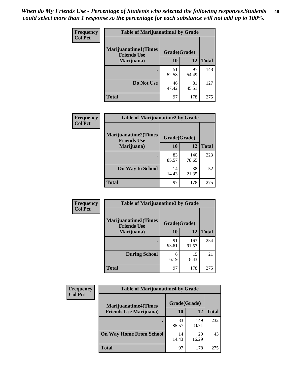| Frequency      | <b>Table of Marijuanatime1 by Grade</b>           |              |             |              |
|----------------|---------------------------------------------------|--------------|-------------|--------------|
| <b>Col Pct</b> | <b>Marijuanatime1(Times</b><br><b>Friends Use</b> | Grade(Grade) |             |              |
|                | Marijuana)                                        | 10           | 12          | <b>Total</b> |
|                |                                                   | 51<br>52.58  | 97<br>54.49 | 148          |
|                | Do Not Use                                        | 46<br>47.42  | 81<br>45.51 | 127          |
|                | <b>Total</b>                                      | 97           | 178         | 275          |

| <b>Frequency</b> | <b>Table of Marijuanatime2 by Grade</b>           |              |              |              |
|------------------|---------------------------------------------------|--------------|--------------|--------------|
| <b>Col Pct</b>   | <b>Marijuanatime2(Times</b><br><b>Friends Use</b> | Grade(Grade) |              |              |
|                  | Marijuana)                                        | 10           | 12           | <b>Total</b> |
|                  |                                                   | 83<br>85.57  | 140<br>78.65 | 223          |
|                  | <b>On Way to School</b>                           | 14<br>14.43  | 38<br>21.35  | 52           |
|                  | <b>Total</b>                                      | 97           | 178          | 275          |

| Frequency      | <b>Table of Marijuanatime3 by Grade</b>    |              |              |              |
|----------------|--------------------------------------------|--------------|--------------|--------------|
| <b>Col Pct</b> | Marijuanatime3(Times<br><b>Friends Use</b> | Grade(Grade) |              |              |
|                | Marijuana)                                 | 10           | 12           | <b>Total</b> |
|                |                                            | 91<br>93.81  | 163<br>91.57 | 254          |
|                | <b>During School</b>                       | 6<br>6.19    | 15<br>8.43   | 21           |
|                | <b>Total</b>                               | 97           | 178          | 275          |

| <b>Frequency</b><br><b>Col Pct</b> | <b>Table of Marijuanatime4 by Grade</b> |              |              |              |
|------------------------------------|-----------------------------------------|--------------|--------------|--------------|
|                                    | <b>Marijuanatime4</b> (Times            | Grade(Grade) |              |              |
|                                    | <b>Friends Use Marijuana</b> )          | 10           | 12           | <b>Total</b> |
|                                    |                                         | 83<br>85.57  | 149<br>83.71 | 232          |
|                                    | <b>On Way Home From School</b>          | 14<br>14.43  | 29<br>16.29  | 43           |
|                                    | <b>Total</b>                            | 97           | 178          | 275          |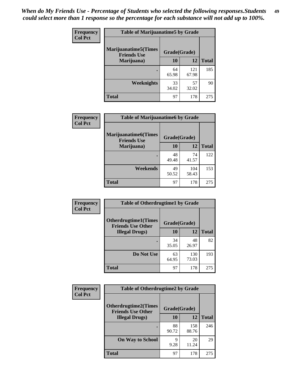| Frequency      | <b>Table of Marijuanatime5 by Grade</b>            |              |              |              |
|----------------|----------------------------------------------------|--------------|--------------|--------------|
| <b>Col Pct</b> | <b>Marijuanatime5</b> (Times<br><b>Friends Use</b> | Grade(Grade) |              |              |
|                | Marijuana)                                         | 10           | 12           | <b>Total</b> |
|                |                                                    | 64<br>65.98  | 121<br>67.98 | 185          |
|                | Weeknights                                         | 33<br>34.02  | 57<br>32.02  | 90           |
|                | <b>Total</b>                                       | 97           | 178          | 275          |

| Frequency      | <b>Table of Marijuanatime6 by Grade</b>    |              |              |              |
|----------------|--------------------------------------------|--------------|--------------|--------------|
| <b>Col Pct</b> | Marijuanatime6(Times<br><b>Friends Use</b> | Grade(Grade) |              |              |
|                | Marijuana)                                 | 10           | 12           | <b>Total</b> |
|                |                                            | 48<br>49.48  | 74<br>41.57  | 122          |
|                | Weekends                                   | 49<br>50.52  | 104<br>58.43 | 153          |
|                | <b>Total</b>                               | 97           | 178          | 275          |

| Frequency<br><b>Col Pct</b> | <b>Table of Otherdrugtime1 by Grade</b>                                 |             |              |              |
|-----------------------------|-------------------------------------------------------------------------|-------------|--------------|--------------|
|                             | <b>Otherdrugtime1(Times</b><br>Grade(Grade)<br><b>Friends Use Other</b> |             |              |              |
|                             | <b>Illegal Drugs)</b>                                                   | 10          | 12           | <b>Total</b> |
|                             |                                                                         | 34<br>35.05 | 48<br>26.97  | 82           |
|                             | Do Not Use                                                              | 63<br>64.95 | 130<br>73.03 | 193          |
|                             | <b>Total</b>                                                            | 97          | 178          | 275          |

| Frequency      | <b>Table of Otherdrugtime2 by Grade</b>                 |              |              |              |
|----------------|---------------------------------------------------------|--------------|--------------|--------------|
| <b>Col Pct</b> | <b>Otherdrugtime2(Times</b><br><b>Friends Use Other</b> | Grade(Grade) |              |              |
|                | <b>Illegal Drugs</b> )                                  | 10           | 12           | <b>Total</b> |
|                |                                                         | 88<br>90.72  | 158<br>88.76 | 246          |
|                | <b>On Way to School</b>                                 | 9<br>9.28    | 20<br>11.24  | 29           |
|                | Total                                                   | 97           | 178          | 275          |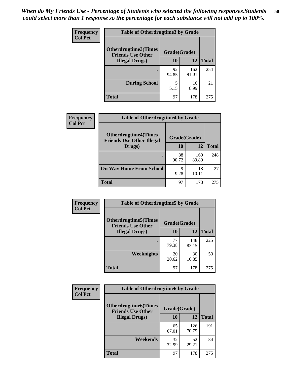| <b>Frequency</b> | <b>Table of Otherdrugtime3 by Grade</b>                          |             |              |              |
|------------------|------------------------------------------------------------------|-------------|--------------|--------------|
| <b>Col Pct</b>   | Otherdrugtime3(Times<br>Grade(Grade)<br><b>Friends Use Other</b> |             |              |              |
|                  | <b>Illegal Drugs</b> )                                           | 10          | 12           | <b>Total</b> |
|                  |                                                                  | 92<br>94.85 | 162<br>91.01 | 254          |
|                  | <b>During School</b>                                             | 5<br>5.15   | 16<br>8.99   | 21           |
|                  | <b>Total</b>                                                     | 97          | 178          | 275          |

| <b>Frequency</b> | <b>Table of Otherdrugtime4 by Grade</b>                         |              |              |              |
|------------------|-----------------------------------------------------------------|--------------|--------------|--------------|
| <b>Col Pct</b>   | <b>Otherdrugtime4(Times</b><br><b>Friends Use Other Illegal</b> | Grade(Grade) |              |              |
|                  | Drugs)                                                          | 10           | 12           | <b>Total</b> |
|                  |                                                                 | 88<br>90.72  | 160<br>89.89 | 248          |
|                  | <b>On Way Home From School</b>                                  | 9<br>9.28    | 18<br>10.11  | 27           |
|                  | <b>Total</b>                                                    | 97           | 178          | 275          |

| <b>Frequency</b> | <b>Table of Otherdrugtime5 by Grade</b>                                  |             |              |              |
|------------------|--------------------------------------------------------------------------|-------------|--------------|--------------|
| <b>Col Pct</b>   | <b>Otherdrugtime5</b> (Times<br>Grade(Grade)<br><b>Friends Use Other</b> |             |              |              |
|                  | <b>Illegal Drugs</b> )                                                   | 10          | 12           | <b>Total</b> |
|                  |                                                                          | 77<br>79.38 | 148<br>83.15 | 225          |
|                  | Weeknights                                                               | 20<br>20.62 | 30<br>16.85  | 50           |
|                  | Total                                                                    | 97          | 178          | 275          |

| <b>Frequency</b> | <b>Table of Otherdrugtime6 by Grade</b>                 |              |              |              |
|------------------|---------------------------------------------------------|--------------|--------------|--------------|
| <b>Col Pct</b>   | <b>Otherdrugtime6(Times</b><br><b>Friends Use Other</b> | Grade(Grade) |              |              |
|                  | <b>Illegal Drugs</b> )                                  | 10           | 12           | <b>Total</b> |
|                  | ٠                                                       | 65<br>67.01  | 126<br>70.79 | 191          |
|                  | Weekends                                                | 32<br>32.99  | 52<br>29.21  | 84           |
|                  | <b>Total</b>                                            | 97           | 178          | 275          |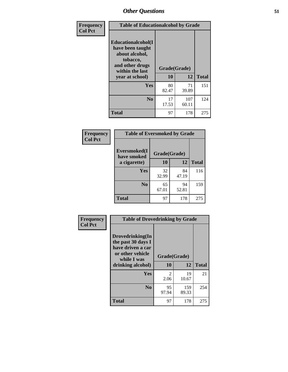| Frequency      | <b>Table of Educationalcohol by Grade</b>                                                                  |              |              |              |
|----------------|------------------------------------------------------------------------------------------------------------|--------------|--------------|--------------|
| <b>Col Pct</b> | Educationalcohol(I<br>have been taught<br>about alcohol,<br>tobacco,<br>and other drugs<br>within the last | Grade(Grade) |              |              |
|                | year at school)                                                                                            | 10           | 12           | <b>Total</b> |
|                | <b>Yes</b>                                                                                                 | 80<br>82.47  | 71<br>39.89  | 151          |
|                | N <sub>0</sub>                                                                                             | 17<br>17.53  | 107<br>60.11 | 124          |
|                | <b>Total</b>                                                                                               | 97           | 178          | 275          |

| Frequency      | <b>Table of Eversmoked by Grade</b> |              |             |              |
|----------------|-------------------------------------|--------------|-------------|--------------|
| <b>Col Pct</b> | Eversmoked(I<br>have smoked         | Grade(Grade) |             |              |
|                | a cigarette)                        | 10           | 12          | <b>Total</b> |
|                | <b>Yes</b>                          | 32<br>32.99  | 84<br>47.19 | 116          |
|                | N <sub>0</sub>                      | 65<br>67.01  | 94<br>52.81 | 159          |
|                | <b>Total</b>                        | 97           | 178         | 275          |

| Frequency      | <b>Table of Drovedrinking by Grade</b>                                                                              |                        |              |              |
|----------------|---------------------------------------------------------------------------------------------------------------------|------------------------|--------------|--------------|
| <b>Col Pct</b> | Drovedrinking(In<br>the past 30 days I<br>have driven a car<br>or other vehicle<br>while I was<br>drinking alcohol) | Grade(Grade)<br>10     | 12           | <b>Total</b> |
|                | <b>Yes</b>                                                                                                          | $\mathfrak{D}$<br>2.06 | 19<br>10.67  | 21           |
|                | N <sub>0</sub>                                                                                                      | 95<br>97.94            | 159<br>89.33 | 254          |
|                | <b>Total</b>                                                                                                        | 97                     | 178          | 275          |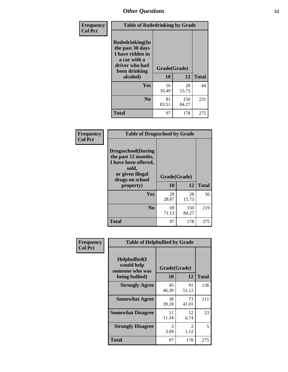| Frequency<br><b>Col Pct</b> | <b>Table of Rodedrinking by Grade</b>                                                                      |              |              |              |
|-----------------------------|------------------------------------------------------------------------------------------------------------|--------------|--------------|--------------|
|                             | Rodedrinking(In<br>the past 30 days<br>I have ridden in<br>a car with a<br>driver who had<br>been drinking | Grade(Grade) |              |              |
|                             | alcohol)                                                                                                   | 10           | 12           | <b>Total</b> |
|                             | <b>Yes</b>                                                                                                 | 16<br>16.49  | 28<br>15.73  | 44           |
|                             | N <sub>0</sub>                                                                                             | 81<br>83.51  | 150<br>84.27 | 231          |
|                             | <b>Total</b>                                                                                               | 97           | 178          | 275          |

#### **Frequency Col Pct**

| <b>Table of Drugsschool by Grade</b>                                                                                      |              |             |              |
|---------------------------------------------------------------------------------------------------------------------------|--------------|-------------|--------------|
| <b>Drugsschool</b> (During<br>the past 12 months,<br>I have been offered,<br>sold,<br>or given illegal<br>drugs on school | Grade(Grade) |             |              |
| property)                                                                                                                 | 10           | 12          | <b>Total</b> |
| Yes                                                                                                                       | 28<br>28.87  | 28<br>15.73 | 56           |
| N <sub>0</sub>                                                                                                            | 69           | 150         | 219          |
|                                                                                                                           | 71.13        | 84.27       |              |

| Frequency      | <b>Table of Helpbullied by Grade</b>           |              |             |              |
|----------------|------------------------------------------------|--------------|-------------|--------------|
| <b>Col Pct</b> | Helpbullied(I<br>would help<br>someone who was | Grade(Grade) |             |              |
|                | being bullied)                                 | <b>10</b>    | 12          | <b>Total</b> |
|                | <b>Strongly Agree</b>                          | 45<br>46.39  | 91<br>51.12 | 136          |
|                | <b>Somewhat Agree</b>                          | 38<br>39.18  | 73<br>41.01 | 111          |
|                | <b>Somewhat Disagree</b>                       | 11<br>11.34  | 12<br>6.74  | 23           |
|                | <b>Strongly Disagree</b>                       | 3<br>3.09    | 2<br>1.12   | 5            |
|                | <b>Total</b>                                   | 97           | 178         | 275          |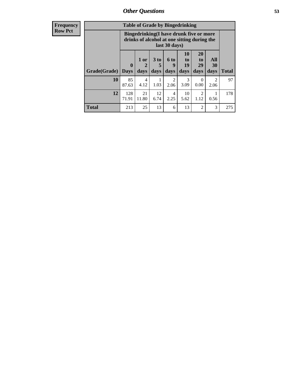| <b>Frequency</b> |
|------------------|
| <b>Row Pct</b>   |

| <b>Table of Grade by Bingedrinking</b> |                             |                                                                                                         |                              |                          |                        |                        |                          |              |
|----------------------------------------|-----------------------------|---------------------------------------------------------------------------------------------------------|------------------------------|--------------------------|------------------------|------------------------|--------------------------|--------------|
|                                        |                             | Bingedrinking(I have drunk five or more<br>drinks of alcohol at one sitting during the<br>last 30 days) |                              |                          |                        |                        |                          |              |
| Grade(Grade)                           | $\mathbf{0}$<br><b>Days</b> | 1 or<br>2<br>days                                                                                       | 3 <sub>to</sub><br>5<br>days | <b>6 to</b><br>9<br>days | 10<br>to<br>19<br>days | 20<br>to<br>29<br>days | All<br><b>30</b><br>days | <b>Total</b> |
| 10                                     | 85                          | 4                                                                                                       |                              | $\overline{2}$           | 3                      | $\Omega$               | $\mathfrak{D}$           | 97           |
|                                        | 87.63                       | 4.12                                                                                                    | 1.03                         | 2.06                     | 3.09                   | 0.00                   | 2.06                     |              |
| 12                                     | 128<br>71.91                | 21<br>11.80                                                                                             | 12<br>6.74                   | 4<br>2.25                | 10<br>5.62             | 2<br>1.12              | 0.56                     | 178          |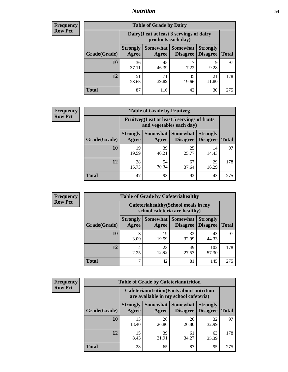## *Nutrition* **54**

| Frequency      |
|----------------|
| <b>Row Pct</b> |

| <b>Table of Grade by Dairy</b> |                          |                                                                 |                             |                                    |              |  |  |  |
|--------------------------------|--------------------------|-----------------------------------------------------------------|-----------------------------|------------------------------------|--------------|--|--|--|
|                                |                          | Dairy (I eat at least 3 servings of dairy<br>products each day) |                             |                                    |              |  |  |  |
| Grade(Grade)                   | <b>Strongly</b><br>Agree | Somewhat<br>Agree                                               | <b>Somewhat</b><br>Disagree | <b>Strongly</b><br><b>Disagree</b> | <b>Total</b> |  |  |  |
| 10                             | 36<br>37.11              | 45<br>46.39                                                     | ┑<br>7.22                   | 9<br>9.28                          | 97           |  |  |  |
| 12                             | 51<br>28.65              | 71<br>39.89                                                     | 35<br>19.66                 | 21<br>11.80                        | 178          |  |  |  |
| <b>Total</b>                   | 87                       | 116                                                             | 42                          | 30                                 | 275          |  |  |  |

| <b>Frequency</b> |  |
|------------------|--|
| <b>Row Pct</b>   |  |

| V | <b>Table of Grade by Fruitveg</b> |                          |                                                                          |                                    |                                    |              |  |  |  |
|---|-----------------------------------|--------------------------|--------------------------------------------------------------------------|------------------------------------|------------------------------------|--------------|--|--|--|
|   |                                   |                          | Fruitveg(I eat at least 5 servings of fruits<br>and vegetables each day) |                                    |                                    |              |  |  |  |
|   | Grade(Grade)                      | <b>Strongly</b><br>Agree | Somewhat  <br>Agree                                                      | <b>Somewhat</b><br><b>Disagree</b> | <b>Strongly</b><br><b>Disagree</b> | <b>Total</b> |  |  |  |
|   | 10                                | 19<br>19.59              | 39<br>40.21                                                              | 25<br>25.77                        | 14<br>14.43                        | 97           |  |  |  |
|   | 12                                | 28<br>15.73              | 54<br>30.34                                                              | 67<br>37.64                        | 29<br>16.29                        | 178          |  |  |  |
|   | <b>Total</b>                      | 47                       | 93                                                                       | 92                                 | 43                                 | 275          |  |  |  |

| <b>Frequency</b> | <b>Table of Grade by Cafeteriahealthy</b> |                                                                       |             |                                   |                                    |              |  |
|------------------|-------------------------------------------|-----------------------------------------------------------------------|-------------|-----------------------------------|------------------------------------|--------------|--|
| <b>Row Pct</b>   |                                           | Cafeteriahealthy (School meals in my<br>school cafeteria are healthy) |             |                                   |                                    |              |  |
|                  | Grade(Grade)                              | <b>Strongly</b><br>Agree                                              | Agree       | Somewhat   Somewhat  <br>Disagree | <b>Strongly</b><br><b>Disagree</b> | <b>Total</b> |  |
|                  | 10                                        | 3.09                                                                  | 19<br>19.59 | 32<br>32.99                       | 43<br>44.33                        | 97           |  |
|                  | 12                                        | 4<br>2.25                                                             | 23<br>12.92 | 49<br>27.53                       | 102<br>57.30                       | 178          |  |
|                  | Total                                     | −                                                                     | 42          | 81                                | 145                                | 275          |  |

| <b>Frequency</b> |
|------------------|
| <b>Row Pct</b>   |

| <b>Table of Grade by Cafeterianutrition</b>                                               |                          |             |                                        |                                    |              |  |  |
|-------------------------------------------------------------------------------------------|--------------------------|-------------|----------------------------------------|------------------------------------|--------------|--|--|
| <b>Cafeterianutrition</b> (Facts about nutrition<br>are available in my school cafeteria) |                          |             |                                        |                                    |              |  |  |
| Grade(Grade)                                                                              | <b>Strongly</b><br>Agree | Agree       | Somewhat   Somewhat<br><b>Disagree</b> | <b>Strongly</b><br><b>Disagree</b> | <b>Total</b> |  |  |
| 10                                                                                        | 13<br>13.40              | 26<br>26.80 | 26<br>26.80                            | 32<br>32.99                        | 97           |  |  |
| 12                                                                                        | 15<br>8.43               | 39<br>21.91 | 61<br>34.27                            | 63<br>35.39                        | 178          |  |  |
| <b>Total</b>                                                                              | 28                       | 65          | 87                                     | 95                                 | 275          |  |  |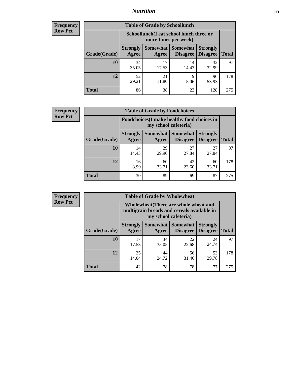## *Nutrition* **55**

| Frequency |
|-----------|
| Row Pct   |

| <b>Table of Grade by Schoollunch</b> |                          |                                                                 |                             |                                    |              |  |  |  |
|--------------------------------------|--------------------------|-----------------------------------------------------------------|-----------------------------|------------------------------------|--------------|--|--|--|
|                                      |                          | Schoollunch(I eat school lunch three or<br>more times per week) |                             |                                    |              |  |  |  |
| Grade(Grade)                         | <b>Strongly</b><br>Agree | Somewhat  <br>Agree                                             | <b>Somewhat</b><br>Disagree | <b>Strongly</b><br><b>Disagree</b> | <b>Total</b> |  |  |  |
| 10                                   | 34<br>35.05              | 17<br>17.53                                                     | 14<br>14.43                 | 32<br>32.99                        | 97           |  |  |  |
| 12                                   | 52<br>29.21              | 21<br>11.80                                                     | 9<br>5.06                   | 96<br>53.93                        | 178          |  |  |  |
| <b>Total</b>                         | 86                       | 38                                                              | 23                          | 128                                | 275          |  |  |  |

| <b>Frequency</b> |  |
|------------------|--|
| <b>Row Pct</b>   |  |

| <b>Table of Grade by Foodchoices</b>                                |                          |             |                                          |                                    |              |  |  |
|---------------------------------------------------------------------|--------------------------|-------------|------------------------------------------|------------------------------------|--------------|--|--|
| Foodchoices (I make healthy food choices in<br>my school cafeteria) |                          |             |                                          |                                    |              |  |  |
| Grade(Grade)                                                        | <b>Strongly</b><br>Agree | Agree       | Somewhat   Somewhat  <br><b>Disagree</b> | <b>Strongly</b><br><b>Disagree</b> | <b>Total</b> |  |  |
| 10                                                                  | 14<br>14.43              | 29<br>29.90 | 27<br>27.84                              | 27<br>27.84                        | 97           |  |  |
| 12                                                                  | 16<br>8.99               | 60<br>33.71 | 42<br>23.60                              | 60<br>33.71                        | 178          |  |  |
| <b>Total</b>                                                        | 30                       | 89          | 69                                       | 87                                 | 275          |  |  |

| Frequency<br>Row Pct |
|----------------------|
|----------------------|

п

| <b>Table of Grade by Wholewheat</b> |                          |                                                                                                             |                                   |                                    |              |  |
|-------------------------------------|--------------------------|-------------------------------------------------------------------------------------------------------------|-----------------------------------|------------------------------------|--------------|--|
|                                     |                          | Wholewheat (There are whole wheat and<br>multigrain breads and cereals available in<br>my school cafeteria) |                                   |                                    |              |  |
| Grade(Grade)                        | <b>Strongly</b><br>Agree | Agree                                                                                                       | Somewhat   Somewhat  <br>Disagree | <b>Strongly</b><br><b>Disagree</b> | <b>Total</b> |  |
| 10                                  | 17<br>17.53              | 34<br>35.05                                                                                                 | 22<br>22.68                       | 24<br>24.74                        | 97           |  |
| 12                                  | 25<br>14.04              | 44<br>24.72                                                                                                 | 56<br>31.46                       | 53<br>29.78                        | 178          |  |
| <b>Total</b>                        | 42                       | 78                                                                                                          | 78                                | 77                                 | 275          |  |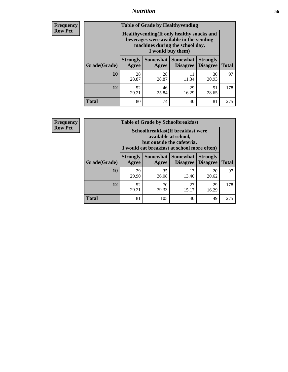## *Nutrition* **56**

**Frequency Row Pct**

| <b>Table of Grade by Healthyvending</b> |                                                                                                                                               |                          |                                    |                                    |              |
|-----------------------------------------|-----------------------------------------------------------------------------------------------------------------------------------------------|--------------------------|------------------------------------|------------------------------------|--------------|
|                                         | Healthyvending (If only healthy snacks and<br>beverages were available in the vending<br>machines during the school day,<br>I would buy them) |                          |                                    |                                    |              |
| Grade(Grade)                            | <b>Strongly</b><br>Agree                                                                                                                      | <b>Somewhat</b><br>Agree | <b>Somewhat</b><br><b>Disagree</b> | <b>Strongly</b><br><b>Disagree</b> | <b>Total</b> |
| 10                                      | 28<br>28.87                                                                                                                                   | 28<br>28.87              | 11<br>11.34                        | 30<br>30.93                        | 97           |
| 12                                      | 52<br>29.21                                                                                                                                   | 46<br>25.84              | 29<br>16.29                        | 51<br>28.65                        | 178          |
| <b>Total</b>                            | 80                                                                                                                                            | 74                       | 40                                 | 81                                 | 275          |

**Frequency Row Pct**

| <b>Table of Grade by Schoolbreakfast</b> |                                                                                                                                        |             |                                      |                                    |              |
|------------------------------------------|----------------------------------------------------------------------------------------------------------------------------------------|-------------|--------------------------------------|------------------------------------|--------------|
|                                          | Schoolbreakfast(If breakfast were<br>available at school,<br>but outside the cafeteria,<br>I would eat breakfast at school more often) |             |                                      |                                    |              |
| Grade(Grade)                             | <b>Strongly</b><br>Agree                                                                                                               | Agree       | Somewhat Somewhat<br><b>Disagree</b> | <b>Strongly</b><br><b>Disagree</b> | <b>Total</b> |
| 10                                       | 29<br>29.90                                                                                                                            | 35<br>36.08 | 13<br>13.40                          | 20<br>20.62                        | 97           |
| 12                                       | 52<br>29.21                                                                                                                            | 70<br>39.33 | 27<br>15.17                          | 29<br>16.29                        | 178          |
| <b>Total</b>                             | 81                                                                                                                                     | 105         | 40                                   | 49                                 | 275          |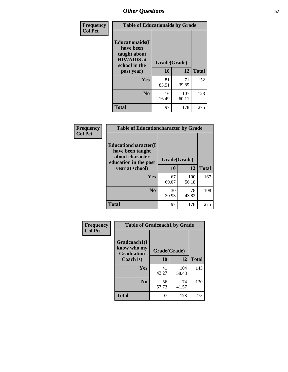| Frequency<br><b>Col Pct</b> | <b>Table of Educationaids by Grade</b>                                                                    |                    |              |              |  |
|-----------------------------|-----------------------------------------------------------------------------------------------------------|--------------------|--------------|--------------|--|
|                             | <b>Educationaids</b> (I<br>have been<br>taught about<br><b>HIV/AIDS</b> at<br>school in the<br>past year) | Grade(Grade)<br>10 | 12           | <b>Total</b> |  |
|                             | Yes                                                                                                       | 81<br>83.51        | 71<br>39.89  | 152          |  |
|                             | N <sub>0</sub>                                                                                            | 16<br>16.49        | 107<br>60.11 | 123          |  |
|                             | <b>Total</b>                                                                                              | 97                 | 178          | 275          |  |

| <b>Frequency</b> | <b>Table of Educationcharacter by Grade</b> |              |              |              |
|------------------|---------------------------------------------|--------------|--------------|--------------|
| <b>Col Pct</b>   | Educationcharacter(I<br>have been taught    |              |              |              |
|                  | about character<br>education in the past    | Grade(Grade) |              |              |
|                  | year at school)                             | 10           | 12           | <b>Total</b> |
|                  | Yes                                         | 67<br>69.07  | 100<br>56.18 | 167          |
|                  | N <sub>0</sub>                              | 30<br>30.93  | 78<br>43.82  | 108          |
|                  | <b>Total</b>                                | 97           | 178          | 275          |

| Frequency      | <b>Table of Gradcoach1 by Grade</b> |              |              |              |
|----------------|-------------------------------------|--------------|--------------|--------------|
| <b>Col Pct</b> | Gradcoach1(I<br>know who my         | Grade(Grade) |              |              |
|                | <b>Graduation</b><br>Coach is)      | 10           | 12           | <b>Total</b> |
|                | Yes                                 | 41<br>42.27  | 104<br>58.43 | 145          |
|                | N <sub>0</sub>                      | 56<br>57.73  | 74<br>41.57  | 130          |
|                | <b>Total</b>                        | 97           | 178          | 275          |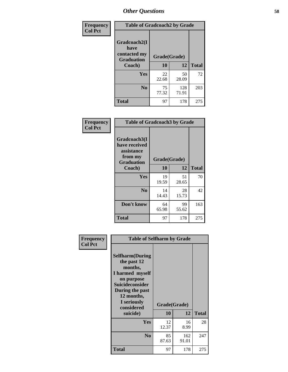| Frequency      | <b>Table of Gradcoach2 by Grade</b> |              |              |              |
|----------------|-------------------------------------|--------------|--------------|--------------|
| <b>Col Pct</b> |                                     |              |              |              |
|                | Gradcoach2(I<br>have                |              |              |              |
|                | contacted my<br><b>Graduation</b>   | Grade(Grade) |              |              |
|                | Coach)                              | 10           | 12           | <b>Total</b> |
|                | Yes                                 | 22<br>22.68  | 50<br>28.09  | 72           |
|                | N <sub>0</sub>                      | 75<br>77.32  | 128<br>71.91 | 203          |
|                | <b>Total</b>                        | 97           | 178          | 275          |

| Frequency<br><b>Col Pct</b> | <b>Table of Gradcoach3 by Grade</b>                                         |              |             |              |
|-----------------------------|-----------------------------------------------------------------------------|--------------|-------------|--------------|
|                             | Gradcoach3(I<br>have received<br>assistance<br>from my<br><b>Graduation</b> | Grade(Grade) |             |              |
|                             | Coach)                                                                      | 10           | 12          | <b>Total</b> |
|                             | Yes                                                                         | 19<br>19.59  | 51<br>28.65 | 70           |
|                             | N <sub>0</sub>                                                              | 14<br>14.43  | 28<br>15.73 | 42           |
|                             | Don't know                                                                  | 64<br>65.98  | 99<br>55.62 | 163          |
|                             | <b>Total</b>                                                                | 97           | 178         | 275          |

| Frequency<br><b>Col Pct</b> | <b>Table of Selfharm by Grade</b>                                                                                                                                                      |             |                    |              |
|-----------------------------|----------------------------------------------------------------------------------------------------------------------------------------------------------------------------------------|-------------|--------------------|--------------|
|                             | <b>Selfharm</b> (During<br>the past 12<br>months,<br>I harmed myself<br>on purpose<br><b>Suicideconsider</b><br>During the past<br>12 months,<br>I seriously<br>considered<br>suicide) | 10          | Grade(Grade)<br>12 | <b>Total</b> |
|                             |                                                                                                                                                                                        |             |                    |              |
|                             | Yes                                                                                                                                                                                    | 12<br>12.37 | 16<br>8.99         | 28           |
|                             | N <sub>0</sub>                                                                                                                                                                         | 85<br>87.63 | 162<br>91.01       | 247          |
|                             | <b>Total</b>                                                                                                                                                                           | 97          | 178                | 275          |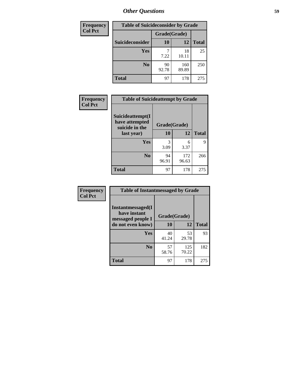| <b>Frequency</b> | <b>Table of Suicideconsider by Grade</b> |              |              |              |
|------------------|------------------------------------------|--------------|--------------|--------------|
| <b>Col Pct</b>   |                                          | Grade(Grade) |              |              |
|                  | Suicideconsider                          | <b>10</b>    | 12           | <b>Total</b> |
|                  | <b>Yes</b>                               | 7.22         | 18<br>10.11  | 25           |
|                  | N <sub>0</sub>                           | 90<br>92.78  | 160<br>89.89 | 250          |
|                  | <b>Total</b>                             | 97           | 178          | 275          |

| Frequency      | <b>Table of Suicideattempt by Grade</b>              |              |              |              |
|----------------|------------------------------------------------------|--------------|--------------|--------------|
| <b>Col Pct</b> | Suicideattempt(I<br>have attempted<br>suicide in the | Grade(Grade) |              |              |
|                | last year)                                           | 10           | 12           | <b>Total</b> |
|                | Yes                                                  | 3<br>3.09    | 6<br>3.37    | 9            |
|                | N <sub>0</sub>                                       | 94<br>96.91  | 172<br>96.63 | 266          |
|                | <b>Total</b>                                         | 97           | 178          | 275          |

| Frequency      | <b>Table of Instantmessaged by Grade</b>               |              |              |              |
|----------------|--------------------------------------------------------|--------------|--------------|--------------|
| <b>Col Pct</b> | Instantmessaged(I<br>have instant<br>messaged people I | Grade(Grade) |              |              |
|                | do not even know)                                      | 10           | 12           | <b>Total</b> |
|                | Yes                                                    | 40<br>41.24  | 53<br>29.78  | 93           |
|                | N <sub>0</sub>                                         | 57<br>58.76  | 125<br>70.22 | 182          |
|                | <b>Total</b>                                           | 97           | 178          | 275          |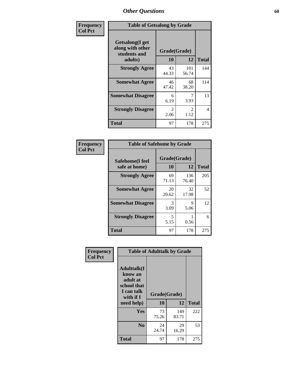| Frequency      | <b>Table of Getsalong by Grade</b>                          |                                     |                        |              |  |  |  |  |  |
|----------------|-------------------------------------------------------------|-------------------------------------|------------------------|--------------|--|--|--|--|--|
| <b>Col Pct</b> | <b>Getsalong</b> (I get<br>along with other<br>students and | Grade(Grade)<br>10<br>12<br>adults) |                        |              |  |  |  |  |  |
|                |                                                             |                                     |                        | <b>Total</b> |  |  |  |  |  |
|                | <b>Strongly Agree</b>                                       | 43<br>44.33                         | 101<br>56.74           | 144          |  |  |  |  |  |
|                | <b>Somewhat Agree</b>                                       | 46<br>47.42                         | 68<br>38.20            | 114          |  |  |  |  |  |
|                | <b>Somewhat Disagree</b>                                    | 6<br>6.19                           | 7<br>3.93              | 13           |  |  |  |  |  |
|                | <b>Strongly Disagree</b>                                    | $\mathcal{L}$<br>2.06               | $\mathfrak{D}$<br>1.12 | 4            |  |  |  |  |  |
|                | <b>Total</b>                                                | 97                                  | 178                    | 275          |  |  |  |  |  |

| Frequency      | <b>Table of Safehome by Grade</b> |                    |              |              |  |  |  |  |
|----------------|-----------------------------------|--------------------|--------------|--------------|--|--|--|--|
| <b>Col Pct</b> | Safehome(I feel<br>safe at home)  | Grade(Grade)<br>10 | 12           | <b>Total</b> |  |  |  |  |
|                | <b>Strongly Agree</b>             | 69<br>71.13        | 136<br>76.40 | 205          |  |  |  |  |
|                | <b>Somewhat Agree</b>             | 20<br>20.62        | 32<br>17.98  | 52           |  |  |  |  |
|                | <b>Somewhat Disagree</b>          | 3<br>3.09          | 9<br>5.06    | 12           |  |  |  |  |
|                | <b>Strongly Disagree</b>          | 5<br>5.15          | 0.56         | 6            |  |  |  |  |
|                | <b>Total</b>                      | 97                 | 178          | 275          |  |  |  |  |

| Frequency      |                                                                                     | <b>Table of Adulttalk by Grade</b> |              |              |
|----------------|-------------------------------------------------------------------------------------|------------------------------------|--------------|--------------|
| <b>Col Pct</b> | <b>Adulttalk(I</b><br>know an<br>adult at<br>school that<br>I can talk<br>with if I | Grade(Grade)                       |              |              |
|                | need help)                                                                          | 10                                 | 12           | <b>Total</b> |
|                | <b>Yes</b>                                                                          | 73<br>75.26                        | 149<br>83.71 | 222          |
|                | N <sub>0</sub>                                                                      | 24<br>24.74                        | 29<br>16.29  | 53           |
|                | <b>Total</b>                                                                        | 97                                 | 178          | 275          |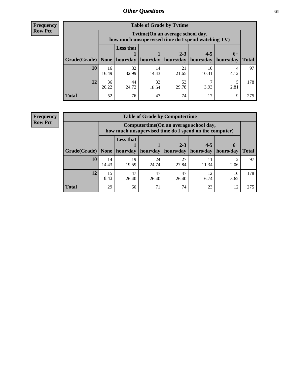**Frequency Row Pct**

| <b>Table of Grade by Tytime</b> |             |                                                                                        |             |             |             |           |              |  |  |  |  |
|---------------------------------|-------------|----------------------------------------------------------------------------------------|-------------|-------------|-------------|-----------|--------------|--|--|--|--|
|                                 |             | Tvtime(On an average school day,<br>how much unsupervised time do I spend watching TV) |             |             |             |           |              |  |  |  |  |
|                                 |             | <b>Less that</b><br>$2 - 3$<br>$4 - 5$<br>$6+$                                         |             |             |             |           |              |  |  |  |  |
| Grade(Grade)   None             |             | hour/day                                                                               | hour/day    | hours/day   | hours/day   | hours/day | <b>Total</b> |  |  |  |  |
| 10                              | 16<br>16.49 | 32<br>32.99                                                                            | 14<br>14.43 | 21<br>21.65 | 10<br>10.31 | 4.12      | 97           |  |  |  |  |
| 12                              | 36<br>20.22 | 44<br>24.72                                                                            | 33<br>18.54 | 53<br>29.78 | 3.93        | 2.81      | 178          |  |  |  |  |
| <b>Total</b>                    | 52          | 76                                                                                     | 47          | 74          | 17          | 9         | 275          |  |  |  |  |

**Frequency Row Pct**

| <b>Table of Grade by Computertime</b> |                                                                                     |                                                                                                   |                     |             |             |           |              |  |  |  |
|---------------------------------------|-------------------------------------------------------------------------------------|---------------------------------------------------------------------------------------------------|---------------------|-------------|-------------|-----------|--------------|--|--|--|
|                                       |                                                                                     | Computertime (On an average school day,<br>how much unsupervised time do I spend on the computer) |                     |             |             |           |              |  |  |  |
|                                       |                                                                                     | <b>Less that</b><br>$4 - 5$<br>$2 - 3$<br>$6+$                                                    |                     |             |             |           |              |  |  |  |
| Grade(Grade)                          | None                                                                                |                                                                                                   | hour/day   hour/day | hours/day   | hours/day   | hours/day | <b>Total</b> |  |  |  |
| 10                                    | 14<br>14.43                                                                         | 19<br>19.59                                                                                       | 24<br>24.74         | 27<br>27.84 | 11<br>11.34 | 2.06      | 97           |  |  |  |
| 12                                    | 47<br>47<br>15<br>47<br>12<br>10<br>8.43<br>6.74<br>26.40<br>26.40<br>26.40<br>5.62 |                                                                                                   |                     |             |             |           |              |  |  |  |
| <b>Total</b>                          | 29                                                                                  | 66                                                                                                | 71                  | 74          | 23          | 12        | 275          |  |  |  |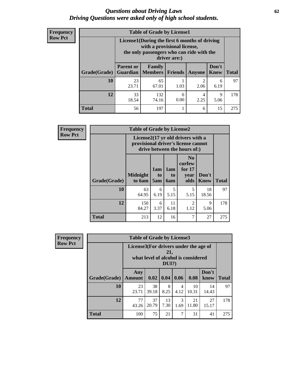#### *Questions about Driving Laws* **62** *Driving Questions were asked only of high school students.*

| <b>Frequency</b> |
|------------------|
| <b>Row Pct</b>   |

| <b>Table of Grade by License1</b> |                                                               |                                                                                                                                           |      |           |           |     |  |  |  |  |  |
|-----------------------------------|---------------------------------------------------------------|-------------------------------------------------------------------------------------------------------------------------------------------|------|-----------|-----------|-----|--|--|--|--|--|
|                                   |                                                               | License1(During the first 6 months of driving<br>with a provisional license,<br>the only passengers who can ride with the<br>driver are:) |      |           |           |     |  |  |  |  |  |
| Grade(Grade)                      | <b>Parent or</b><br>Guardian                                  | Don't<br>Family<br><b>Members</b><br><b>Friends</b><br><b>Total</b><br><b>Know</b><br>Anyone                                              |      |           |           |     |  |  |  |  |  |
| 10                                | 23<br>23.71                                                   | 65<br>67.01                                                                                                                               | 1.03 | 2<br>2.06 | 6<br>6.19 | 97  |  |  |  |  |  |
| 12                                | 33<br>132<br>9<br>4<br>0.00<br>2.25<br>18.54<br>74.16<br>5.06 |                                                                                                                                           |      |           |           |     |  |  |  |  |  |
| Total                             | 56                                                            | 197                                                                                                                                       |      | 6         | 15        | 275 |  |  |  |  |  |

| <b>Frequency</b> |              | <b>Table of Grade by License2</b>                                                                        |                              |                              |                                                      |                      |              |  |  |  |
|------------------|--------------|----------------------------------------------------------------------------------------------------------|------------------------------|------------------------------|------------------------------------------------------|----------------------|--------------|--|--|--|
| <b>Row Pct</b>   |              | License2(17 yr old drivers with a<br>provisional driver's license cannot<br>drive between the hours of:) |                              |                              |                                                      |                      |              |  |  |  |
|                  | Grade(Grade) | <b>Midnight</b><br>to 6am                                                                                | 1am<br>t <sub>0</sub><br>5am | 1am<br>t <sub>0</sub><br>6am | N <sub>0</sub><br>curfew<br>for $17$<br>year<br>olds | Don't<br><b>Know</b> | <b>Total</b> |  |  |  |
|                  | 10           | 63<br>64.95                                                                                              | 6<br>6.19                    | 5<br>5.15                    | 5<br>5.15                                            | 18<br>18.56          | 97           |  |  |  |
|                  | 12           | 150<br>84.27                                                                                             | 6<br>3.37                    | 11<br>6.18                   | $\overline{2}$<br>1.12                               | 9<br>5.06            | 178          |  |  |  |
|                  | <b>Total</b> | 213                                                                                                      | 12                           | 16                           | 7                                                    | 27                   | 275          |  |  |  |

| <b>Frequency</b> |                                                                                                | <b>Table of Grade by License3</b> |             |            |           |             |               |              |
|------------------|------------------------------------------------------------------------------------------------|-----------------------------------|-------------|------------|-----------|-------------|---------------|--------------|
| <b>Row Pct</b>   | License3(For drivers under the age of<br>21,<br>what level of alcohol is considered<br>$DUI$ ? |                                   |             |            |           |             |               |              |
|                  | Grade(Grade)                                                                                   | Any<br><b>Amount</b>              | 0.02        | 0.04       | 0.06      | 0.08        | Don't<br>know | <b>Total</b> |
|                  | 10                                                                                             | 23<br>23.71                       | 38<br>39.18 | 8<br>8.25  | 4<br>4.12 | 10<br>10.31 | 14<br>14.43   | 97           |
|                  | 12                                                                                             | 77<br>43.26                       | 37<br>20.79 | 13<br>7.30 | 3<br>1.69 | 21<br>11.80 | 27<br>15.17   | 178          |
|                  | <b>Total</b>                                                                                   | 100                               | 75          | 21         | 7         | 31          | 41            | 275          |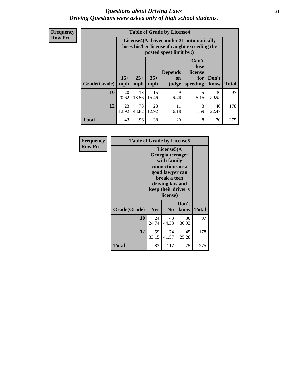#### *Questions about Driving Laws* **63** *Driving Questions were asked only of high school students.*

**Frequency Row Pct**

| <b>Table of Grade by License4</b> |              |                                                                                                                                                      |             |            |           |             |     |  |  |  |
|-----------------------------------|--------------|------------------------------------------------------------------------------------------------------------------------------------------------------|-------------|------------|-----------|-------------|-----|--|--|--|
|                                   |              | License4(A driver under 21 automatically<br>loses his/her license if caught exceeding the<br>posted speet limit by:)                                 |             |            |           |             |     |  |  |  |
| <b>Grade(Grade)</b>               | $15+$<br>mph | Can't<br>lose<br><b>Depends</b><br>license<br>$25+$<br>$35+$<br>Don't<br>for<br><b>on</b><br>mph<br>speeding<br><b>Total</b><br>know<br>mph<br>judge |             |            |           |             |     |  |  |  |
| 10                                | 20<br>20.62  | 18<br>18.56                                                                                                                                          | 15<br>15.46 | 9<br>9.28  | 5<br>5.15 | 30<br>30.93 | 97  |  |  |  |
| 12                                | 23<br>12.92  | 78<br>43.82                                                                                                                                          | 23<br>12.92 | 11<br>6.18 | 3<br>1.69 | 40<br>22.47 | 178 |  |  |  |
| <b>Total</b>                      | 43           | 96                                                                                                                                                   | 38          | 20         | 8         | 70          | 275 |  |  |  |

| Frequency      | <b>Table of Grade by License5</b> |                                                                                                                                                             |                |               |              |
|----------------|-----------------------------------|-------------------------------------------------------------------------------------------------------------------------------------------------------------|----------------|---------------|--------------|
| <b>Row Pct</b> |                                   | License5(A)<br>Georgia teenager<br>with family<br>connections or a<br>good lawyer can<br>break a teen<br>driving law and<br>keep their driver's<br>license) |                |               |              |
|                | Grade(Grade)                      | Yes                                                                                                                                                         | N <sub>0</sub> | Don't<br>know | <b>Total</b> |
|                | 10                                | 24<br>24.74                                                                                                                                                 | 43<br>44.33    | 30<br>30.93   | 97           |
|                | 12                                | 59<br>33.15                                                                                                                                                 | 74<br>41.57    | 45<br>25.28   | 178          |
|                | Total                             | 83                                                                                                                                                          | 117            | 75            | 275          |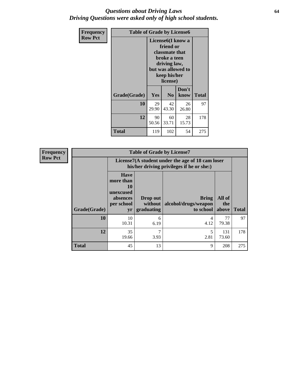#### *Questions about Driving Laws* **64** *Driving Questions were asked only of high school students.*

| <b>Frequency</b> | <b>Table of Grade by License6</b> |                                                                                                                                                 |                |               |              |
|------------------|-----------------------------------|-------------------------------------------------------------------------------------------------------------------------------------------------|----------------|---------------|--------------|
| <b>Row Pct</b>   |                                   | License <sub>6</sub> (I know a<br>friend or<br>classmate that<br>broke a teen<br>driving law,<br>but was allowed to<br>keep his/her<br>license) |                |               |              |
|                  | Grade(Grade)                      | <b>Yes</b>                                                                                                                                      | N <sub>0</sub> | Don't<br>know | <b>Total</b> |
|                  | 10                                | 29<br>29.90                                                                                                                                     | 42<br>43.30    | 26<br>26.80   | 97           |
|                  | 12                                | 90<br>50.56                                                                                                                                     | 60<br>33.71    | 28<br>15.73   | 178          |
|                  | <b>Total</b>                      | 119                                                                                                                                             | 102            | 54            | 275          |

| <b>Frequency</b> | <b>Table of Grade by License7</b> |                                                                             |                                   |                                                                                               |                        |              |  |
|------------------|-----------------------------------|-----------------------------------------------------------------------------|-----------------------------------|-----------------------------------------------------------------------------------------------|------------------------|--------------|--|
| <b>Row Pct</b>   |                                   |                                                                             |                                   | License7(A student under the age of 18 cam loser<br>his/her driving privileges if he or she:) |                        |              |  |
|                  | Grade(Grade)                      | <b>Have</b><br>more than<br>10<br>unexcused<br>absences<br>per school<br>yr | Drop out<br>without<br>graduating | Bring<br>alcohol/drugs/weapon<br>to school                                                    | All of<br>the<br>above | <b>Total</b> |  |
|                  | 10                                | 10<br>10.31                                                                 | 6<br>6.19                         | 4<br>4.12                                                                                     | 77<br>79.38            | 97           |  |
|                  | 12                                | 35<br>19.66                                                                 | 7<br>3.93                         | 2.81                                                                                          | 131<br>73.60           | 178          |  |
|                  | <b>Total</b>                      | 45                                                                          | 13                                | 9                                                                                             | 208                    | 275          |  |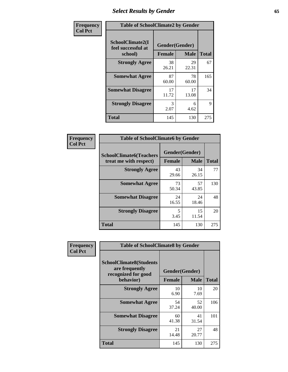# *Select Results by Gender* **65**

| Frequency      | <b>Table of SchoolClimate2 by Gender</b>          |                                 |             |              |
|----------------|---------------------------------------------------|---------------------------------|-------------|--------------|
| <b>Col Pct</b> | SchoolClimate2(I<br>feel successful at<br>school) | Gender(Gender)<br><b>Female</b> | <b>Male</b> | <b>Total</b> |
|                | <b>Strongly Agree</b>                             | 38<br>26.21                     | 29<br>22.31 | 67           |
|                | <b>Somewhat Agree</b>                             | 87<br>60.00                     | 78<br>60.00 | 165          |
|                | <b>Somewhat Disagree</b>                          | 17<br>11.72                     | 17<br>13.08 | 34           |
|                | <b>Strongly Disagree</b>                          | 3<br>2.07                       | 6<br>4.62   | 9            |
|                | <b>Total</b>                                      | 145                             | 130         | 275          |

| Frequency      | <b>Table of SchoolClimate6 by Gender</b>                 |                                 |             |              |  |
|----------------|----------------------------------------------------------|---------------------------------|-------------|--------------|--|
| <b>Col Pct</b> | <b>SchoolClimate6(Teachers</b><br>treat me with respect) | Gender(Gender)<br><b>Female</b> | <b>Male</b> | <b>Total</b> |  |
|                | <b>Strongly Agree</b>                                    | 43<br>29.66                     | 34<br>26.15 | 77           |  |
|                | <b>Somewhat Agree</b>                                    | 73<br>50.34                     | 57<br>43.85 | 130          |  |
|                | <b>Somewhat Disagree</b>                                 | 24<br>16.55                     | 24<br>18.46 | 48           |  |
|                | <b>Strongly Disagree</b>                                 | 5<br>3.45                       | 15<br>11.54 | 20           |  |
|                | <b>Total</b>                                             | 145                             | 130         | 275          |  |

| <b>Frequency</b> | <b>Table of SchoolClimate8 by Gender</b>                                             |                                 |                   |     |
|------------------|--------------------------------------------------------------------------------------|---------------------------------|-------------------|-----|
| <b>Col Pct</b>   | <b>SchoolClimate8(Students</b><br>are frequently<br>recognized for good<br>behavior) | Gender(Gender)<br><b>Female</b> | <b>Total</b>      |     |
|                  | <b>Strongly Agree</b>                                                                | 10                              | <b>Male</b><br>10 | 20  |
|                  |                                                                                      | 6.90                            | 7.69              |     |
|                  | <b>Somewhat Agree</b>                                                                | 54<br>37.24                     | 52<br>40.00       | 106 |
|                  | <b>Somewhat Disagree</b>                                                             | 60<br>41.38                     | 41<br>31.54       | 101 |
|                  | <b>Strongly Disagree</b>                                                             | 21<br>14.48                     | 27<br>20.77       | 48  |
|                  | Total                                                                                | 145                             | 130               | 275 |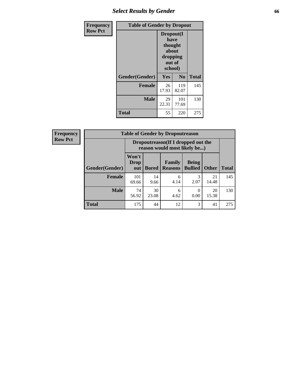## *Select Results by Gender* **66**

| Frequency      | <b>Table of Gender by Dropout</b> |                                                                        |                |              |
|----------------|-----------------------------------|------------------------------------------------------------------------|----------------|--------------|
| <b>Row Pct</b> |                                   | Dropout(I<br>have<br>thought<br>about<br>dropping<br>out of<br>school) |                |              |
|                | Gender(Gender)                    | Yes                                                                    | N <sub>0</sub> | <b>Total</b> |
|                | <b>Female</b>                     | 26<br>17.93                                                            | 119<br>82.07   | 145          |
|                | <b>Male</b>                       | 29<br>22.31                                                            | 101<br>77.69   | 130          |
|                | <b>Total</b>                      | 55                                                                     | 220            | 275          |

| <b>Frequency</b> | <b>Table of Gender by Dropoutreason</b> |                                                                     |              |                                 |                                |              |              |
|------------------|-----------------------------------------|---------------------------------------------------------------------|--------------|---------------------------------|--------------------------------|--------------|--------------|
| <b>Row Pct</b>   |                                         | Dropoutreason (If I dropped out the<br>reason would most likely be) |              |                                 |                                |              |              |
|                  | <b>Gender(Gender)</b>                   | Won't<br><b>Drop</b><br>out                                         | <b>Bored</b> | <b>Family</b><br><b>Reasons</b> | <b>Being</b><br><b>Bullied</b> | <b>Other</b> | <b>Total</b> |
|                  | <b>Female</b>                           | 101<br>69.66                                                        | 14<br>9.66   | 6<br>4.14                       | 2.07                           | 21<br>14.48  | 145          |
|                  | <b>Male</b>                             | 74<br>56.92                                                         | 30<br>23.08  | 6<br>4.62                       | 0.00                           | 20<br>15.38  | 130          |
|                  | <b>Total</b>                            | 175                                                                 | 44           | 12                              | 3                              | 41           | 275          |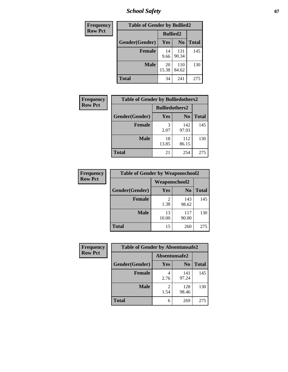*School Safety* **67**

| Frequency      | <b>Table of Gender by Bullied2</b> |                 |                |              |  |
|----------------|------------------------------------|-----------------|----------------|--------------|--|
| <b>Row Pct</b> |                                    | <b>Bullied2</b> |                |              |  |
|                | Gender(Gender)                     | <b>Yes</b>      | N <sub>0</sub> | <b>Total</b> |  |
|                | <b>Female</b>                      | 14<br>9.66      | 131<br>90.34   | 145          |  |
|                | <b>Male</b>                        | 20<br>15.38     | 110<br>84.62   | 130          |  |
|                | <b>Total</b>                       | 34              | 241            | 275          |  |

| Frequency      | <b>Table of Gender by Bulliedothers2</b> |                       |                |              |  |
|----------------|------------------------------------------|-----------------------|----------------|--------------|--|
| <b>Row Pct</b> |                                          | <b>Bulliedothers2</b> |                |              |  |
|                | Gender(Gender)                           | <b>Yes</b>            | N <sub>0</sub> | <b>Total</b> |  |
|                | <b>Female</b>                            | 3<br>2.07             | 142<br>97.93   | 145          |  |
|                | <b>Male</b>                              | 18<br>13.85           | 112<br>86.15   | 130          |  |
|                | <b>Total</b>                             | 21                    | 254            | 275          |  |

| Frequency      | <b>Table of Gender by Weaponschool2</b> |                        |                |              |  |
|----------------|-----------------------------------------|------------------------|----------------|--------------|--|
| <b>Row Pct</b> |                                         | <b>Weaponschool2</b>   |                |              |  |
|                | Gender(Gender)                          | Yes                    | N <sub>0</sub> | <b>Total</b> |  |
|                | <b>Female</b>                           | $\mathfrak{D}$<br>1.38 | 143<br>98.62   | 145          |  |
|                | <b>Male</b>                             | 13<br>10.00            | 117<br>90.00   | 130          |  |
|                | <b>Total</b>                            | 15                     | 260            | 275          |  |

| Frequency      | <b>Table of Gender by Absentunsafe2</b> |               |                |              |
|----------------|-----------------------------------------|---------------|----------------|--------------|
| <b>Row Pct</b> |                                         | Absentunsafe2 |                |              |
|                | Gender(Gender)                          | Yes           | N <sub>0</sub> | <b>Total</b> |
|                | <b>Female</b>                           | 2.76          | 141<br>97.24   | 145          |
|                | <b>Male</b>                             | 1.54          | 128<br>98.46   | 130          |
|                | <b>Total</b>                            | 6             | 269            | 275          |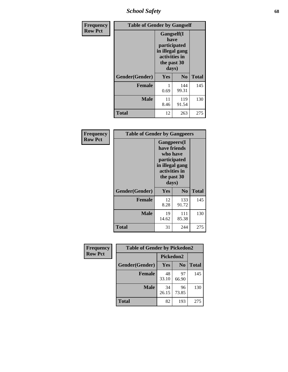*School Safety* **68**

| Frequency      | <b>Table of Gender by Gangself</b> |                                                                                                |                |              |  |
|----------------|------------------------------------|------------------------------------------------------------------------------------------------|----------------|--------------|--|
| <b>Row Pct</b> |                                    | Gangself(I<br>have<br>participated<br>in illegal gang<br>activities in<br>the past 30<br>days) |                |              |  |
|                | Gender(Gender)                     | Yes                                                                                            | N <sub>0</sub> | <b>Total</b> |  |
|                | <b>Female</b>                      | 0.69                                                                                           | 144<br>99.31   | 145          |  |
|                | <b>Male</b>                        | 11<br>8.46                                                                                     | 119<br>91.54   | 130          |  |
|                | <b>Total</b>                       | 12                                                                                             | 263            | 275          |  |

| Frequency      | <b>Table of Gender by Gangpeers</b> |                                                                                                                             |                |              |
|----------------|-------------------------------------|-----------------------------------------------------------------------------------------------------------------------------|----------------|--------------|
| <b>Row Pct</b> |                                     | <b>Gangpeers</b> (I<br>have friends<br>who have<br>participated<br>in illegal gang<br>activities in<br>the past 30<br>days) |                |              |
|                | Gender(Gender)                      | <b>Yes</b>                                                                                                                  | N <sub>0</sub> | <b>Total</b> |
|                | <b>Female</b>                       | 12<br>8.28                                                                                                                  | 133<br>91.72   | 145          |
|                | <b>Male</b>                         | 19<br>14.62                                                                                                                 | 111<br>85.38   | 130          |
|                | <b>Total</b>                        | 31                                                                                                                          | 244            | 275          |

| Frequency      | <b>Table of Gender by Pickedon2</b> |             |                |              |
|----------------|-------------------------------------|-------------|----------------|--------------|
| <b>Row Pct</b> |                                     | Pickedon2   |                |              |
|                | Gender(Gender)                      | Yes         | N <sub>0</sub> | <b>Total</b> |
|                | <b>Female</b>                       | 48<br>33.10 | 97<br>66.90    | 145          |
|                | <b>Male</b>                         | 34<br>26.15 | 96<br>73.85    | 130          |
|                | <b>Total</b>                        | 82          | 193            | 275          |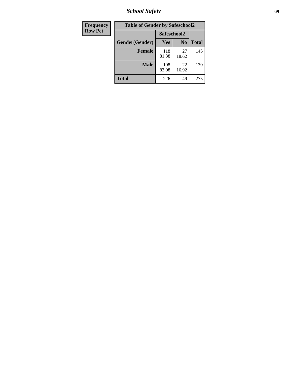*School Safety* **69**

| Frequency      | <b>Table of Gender by Safeschool2</b> |              |                |              |
|----------------|---------------------------------------|--------------|----------------|--------------|
| <b>Row Pct</b> |                                       | Safeschool2  |                |              |
|                | Gender(Gender)                        | Yes          | N <sub>0</sub> | <b>Total</b> |
|                | <b>Female</b>                         | 118<br>81.38 | 27<br>18.62    | 145          |
|                | <b>Male</b>                           | 108<br>83.08 | 22<br>16.92    | 130          |
|                | <b>Total</b>                          | 226          | 49             | 275          |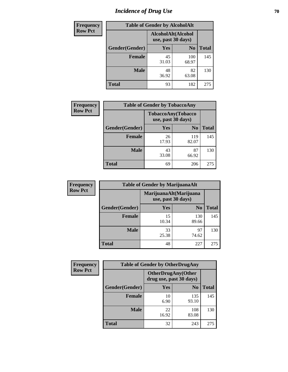# *Incidence of Drug Use* **70**

| <b>Frequency</b> | <b>Table of Gender by AlcoholAlt</b> |                                          |                |              |  |
|------------------|--------------------------------------|------------------------------------------|----------------|--------------|--|
| <b>Row Pct</b>   |                                      | AlcoholAlt(Alcohol<br>use, past 30 days) |                |              |  |
|                  | Gender(Gender)                       | <b>Yes</b>                               | N <sub>0</sub> | <b>Total</b> |  |
|                  | <b>Female</b>                        | 45<br>31.03                              | 100<br>68.97   | 145          |  |
|                  | <b>Male</b>                          | 48<br>36.92                              | 82<br>63.08    | 130          |  |
|                  | <b>Total</b>                         | 93                                       | 182            | 275          |  |

| <b>Frequency</b> | <b>Table of Gender by TobaccoAny</b> |                                          |                |              |
|------------------|--------------------------------------|------------------------------------------|----------------|--------------|
| <b>Row Pct</b>   |                                      | TobaccoAny(Tobacco<br>use, past 30 days) |                |              |
|                  | Gender(Gender)                       | Yes                                      | N <sub>0</sub> | <b>Total</b> |
|                  | <b>Female</b>                        | 26<br>17.93                              | 119<br>82.07   | 145          |
|                  | <b>Male</b>                          | 43<br>33.08                              | 87<br>66.92    | 130          |
|                  | <b>Total</b>                         | 69                                       | 206            | 275          |

| <b>Frequency</b> | <b>Table of Gender by MarijuanaAlt</b> |                    |                        |              |
|------------------|----------------------------------------|--------------------|------------------------|--------------|
| <b>Row Pct</b>   |                                        | use, past 30 days) | MarijuanaAlt(Marijuana |              |
|                  | Gender(Gender)                         | <b>Yes</b>         | N <sub>0</sub>         | <b>Total</b> |
|                  | Female                                 | 15<br>10.34        | 130<br>89.66           | 145          |
|                  | <b>Male</b>                            | 33<br>25.38        | 97<br>74.62            | 130          |
|                  | <b>Total</b>                           | 48                 | 227                    | 275          |

| <b>Frequency</b> | <b>Table of Gender by OtherDrugAny</b> |                                                       |                |              |
|------------------|----------------------------------------|-------------------------------------------------------|----------------|--------------|
| <b>Row Pct</b>   |                                        | <b>OtherDrugAny</b> (Other<br>drug use, past 30 days) |                |              |
|                  | Gender(Gender)                         | <b>Yes</b>                                            | N <sub>0</sub> | <b>Total</b> |
|                  | <b>Female</b>                          | 10<br>6.90                                            | 135<br>93.10   | 145          |
|                  | <b>Male</b>                            | 22<br>16.92                                           | 108<br>83.08   | 130          |
|                  | <b>Total</b>                           | 32                                                    | 243            | 275          |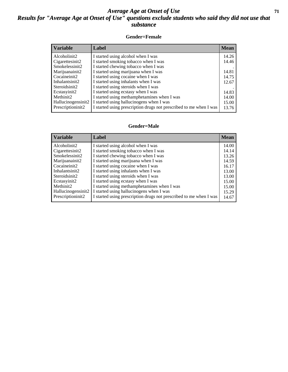### *Average Age at Onset of Use* **71** *Results for "Average Age at Onset of Use" questions exclude students who said they did not use that substance*

#### **Gender=Female**

| <b>Variable</b>    | <b>Label</b>                                                       | <b>Mean</b> |
|--------------------|--------------------------------------------------------------------|-------------|
| Alcoholinit2       | I started using alcohol when I was                                 | 14.26       |
| Cigarettesinit2    | I started smoking tobacco when I was                               | 14.46       |
| Smokelessinit2     | I started chewing tobacco when I was                               |             |
| Marijuanainit2     | I started using marijuana when I was                               | 14.81       |
| Cocaineinit2       | I started using cocaine when I was                                 | 14.75       |
| Inhalantsinit2     | I started using inhalants when I was                               | 12.67       |
| Steroidsinit2      | I started using steroids when I was                                |             |
| Ecstasyinit2       | I started using ecstasy when I was                                 | 14.83       |
| Methinit2          | I started using methamphetamines when I was                        | 14.00       |
| Hallucinogensinit2 | I started using hallucinogens when I was                           | 15.00       |
| Prescription in t2 | I started using prescription drugs not prescribed to me when I was | 13.76       |

#### **Gender=Male**

| <b>Variable</b>    | Label                                                              | <b>Mean</b> |
|--------------------|--------------------------------------------------------------------|-------------|
| Alcoholinit2       | I started using alcohol when I was                                 | 14.00       |
| Cigarettesinit2    | I started smoking tobacco when I was                               | 14.14       |
| Smokelessinit2     | I started chewing tobacco when I was                               | 13.26       |
| Marijuanainit2     | I started using marijuana when I was                               | 14.59       |
| Cocaineinit2       | I started using cocaine when I was                                 | 16.17       |
| Inhalantsinit2     | I started using inhalants when I was                               | 13.00       |
| Steroidsinit2      | I started using steroids when I was                                | 13.00       |
| Ecstasyinit2       | I started using ecstasy when I was                                 | 15.00       |
| Methinit2          | I started using methamphetamines when I was                        | 15.00       |
| Hallucinogensinit2 | I started using hallucinogens when I was                           | 15.29       |
| Prescriptioninit2  | I started using prescription drugs not prescribed to me when I was | 14.67       |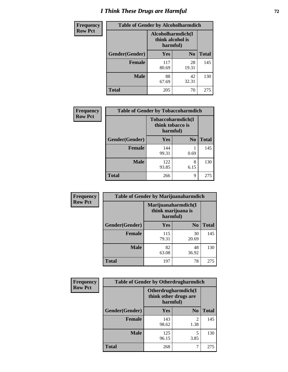# *I Think These Drugs are Harmful* **72**

| <b>Frequency</b> | <b>Table of Gender by Alcoholharmdich</b> |                                                   |                |              |
|------------------|-------------------------------------------|---------------------------------------------------|----------------|--------------|
| <b>Row Pct</b>   |                                           | Alcoholharmdich(I<br>think alcohol is<br>harmful) |                |              |
|                  | Gender(Gender)                            | Yes                                               | N <sub>0</sub> | <b>Total</b> |
|                  | <b>Female</b>                             | 117<br>80.69                                      | 28<br>19.31    | 145          |
|                  | <b>Male</b>                               | 88<br>67.69                                       | 42<br>32.31    | 130          |
|                  | Total                                     | 205                                               | 70             | 275          |

| Frequency      | <b>Table of Gender by Tobaccoharmdich</b> |                                       |                |              |
|----------------|-------------------------------------------|---------------------------------------|----------------|--------------|
| <b>Row Pct</b> |                                           | Tobaccoharmdich(I<br>think tobacco is | harmful)       |              |
|                | Gender(Gender)                            | Yes                                   | N <sub>0</sub> | <b>Total</b> |
|                | <b>Female</b>                             | 144<br>99.31                          | 0.69           | 145          |
|                | <b>Male</b>                               | 122<br>93.85                          | 8<br>6.15      | 130          |
|                | <b>Total</b>                              | 266                                   | 9              | 275          |

| Frequency      | <b>Table of Gender by Marijuanaharmdich</b> |                                                       |                |              |  |
|----------------|---------------------------------------------|-------------------------------------------------------|----------------|--------------|--|
| <b>Row Pct</b> |                                             | Marijuanaharmdich(I<br>think marijuana is<br>harmful) |                |              |  |
|                | Gender(Gender)                              | <b>Yes</b>                                            | N <sub>0</sub> | <b>Total</b> |  |
|                | <b>Female</b>                               | 115<br>79.31                                          | 30<br>20.69    | 145          |  |
|                | <b>Male</b>                                 | 82<br>63.08                                           | 48<br>36.92    | 130          |  |
|                | <b>Total</b>                                | 197                                                   | 78             | 275          |  |

| Frequency<br><b>Row Pct</b> | <b>Table of Gender by Otherdrugharmdich</b> |                                                          |                        |              |
|-----------------------------|---------------------------------------------|----------------------------------------------------------|------------------------|--------------|
|                             |                                             | Otherdrugharmdich(I<br>think other drugs are<br>harmful) |                        |              |
|                             | Gender(Gender)                              | <b>Yes</b>                                               | N <sub>0</sub>         | <b>Total</b> |
|                             | <b>Female</b>                               | 143<br>98.62                                             | $\mathfrak{D}$<br>1.38 | 145          |
|                             | <b>Male</b>                                 | 125<br>96.15                                             | 5<br>3.85              | 130          |
|                             | <b>Total</b>                                | 268                                                      | 7                      | 275          |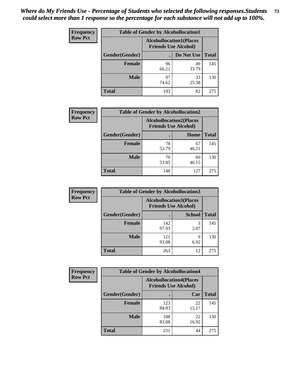| <b>Frequency</b> | <b>Table of Gender by Alcohollocation1</b> |                                                               |             |              |
|------------------|--------------------------------------------|---------------------------------------------------------------|-------------|--------------|
| <b>Row Pct</b>   |                                            | <b>Alcohollocation1(Places</b><br><b>Friends Use Alcohol)</b> |             |              |
|                  | Gender(Gender)                             |                                                               | Do Not Use  | <b>Total</b> |
|                  | <b>Female</b>                              | 96<br>66.21                                                   | 49<br>33.79 | 145          |
|                  | <b>Male</b>                                | 97<br>74.62                                                   | 33<br>25.38 | 130          |
|                  | <b>Total</b>                               | 193                                                           | 82          | 275          |

| <b>Frequency</b> | <b>Table of Gender by Alcohollocation2</b> |                                                               |             |              |
|------------------|--------------------------------------------|---------------------------------------------------------------|-------------|--------------|
| <b>Row Pct</b>   |                                            | <b>Alcohollocation2(Places</b><br><b>Friends Use Alcohol)</b> |             |              |
|                  | Gender(Gender)                             |                                                               | Home        | <b>Total</b> |
|                  | <b>Female</b>                              | 78<br>53.79                                                   | 67<br>46.21 | 145          |
|                  | <b>Male</b>                                | 70<br>53.85                                                   | 60<br>46.15 | 130          |
|                  | <b>Total</b>                               | 148                                                           | 127         | 275          |

| Frequency      | <b>Table of Gender by Alcohollocation3</b> |                                                               |               |              |
|----------------|--------------------------------------------|---------------------------------------------------------------|---------------|--------------|
| <b>Row Pct</b> |                                            | <b>Alcohollocation3(Places</b><br><b>Friends Use Alcohol)</b> |               |              |
|                | Gender(Gender)                             |                                                               | <b>School</b> | <b>Total</b> |
|                | <b>Female</b>                              | 142<br>97.93                                                  | 3<br>2.07     | 145          |
|                | <b>Male</b>                                | 121<br>93.08                                                  | q<br>6.92     | 130          |
|                | <b>Total</b>                               | 263                                                           | 12            | 275          |

| <b>Frequency</b> | <b>Table of Gender by Alcohollocation4</b> |                                                               |             |              |  |
|------------------|--------------------------------------------|---------------------------------------------------------------|-------------|--------------|--|
| <b>Row Pct</b>   |                                            | <b>Alcohollocation4(Places</b><br><b>Friends Use Alcohol)</b> |             |              |  |
|                  | Gender(Gender)                             |                                                               | Car         | <b>Total</b> |  |
|                  | <b>Female</b>                              | 123<br>84.83                                                  | 22<br>15.17 | 145          |  |
|                  | <b>Male</b>                                | 108<br>83.08                                                  | 22<br>16.92 | 130          |  |
|                  | <b>Total</b>                               | 231                                                           | 44          | 275          |  |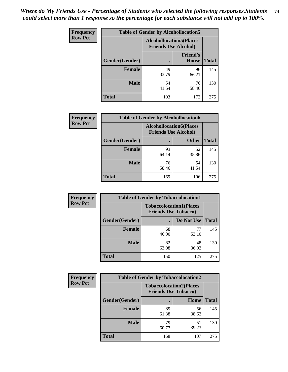| <b>Frequency</b> | <b>Table of Gender by Alcohollocation5</b> |                                                                |                                 |              |
|------------------|--------------------------------------------|----------------------------------------------------------------|---------------------------------|--------------|
| <b>Row Pct</b>   |                                            | <b>Alcohollocation5</b> (Places<br><b>Friends Use Alcohol)</b> |                                 |              |
|                  | Gender(Gender)                             | $\bullet$                                                      | <b>Friend's</b><br><b>House</b> | <b>Total</b> |
|                  | <b>Female</b>                              | 49<br>33.79                                                    | 96<br>66.21                     | 145          |
|                  | <b>Male</b>                                | 54<br>41.54                                                    | 76<br>58.46                     | 130          |
|                  | <b>Total</b>                               | 103                                                            | 172                             | 275          |

| Frequency      | <b>Table of Gender by Alcohollocation6</b> |                                                               |              |              |  |
|----------------|--------------------------------------------|---------------------------------------------------------------|--------------|--------------|--|
| <b>Row Pct</b> |                                            | <b>Alcohollocation6(Places</b><br><b>Friends Use Alcohol)</b> |              |              |  |
|                | <b>Gender</b> (Gender)                     |                                                               | <b>Other</b> | <b>Total</b> |  |
|                | <b>Female</b>                              | 93<br>64.14                                                   | 52<br>35.86  | 145          |  |
|                | <b>Male</b>                                | 76<br>58.46                                                   | 54<br>41.54  | 130          |  |
|                | <b>Total</b>                               | 169                                                           | 106          | 275          |  |

| Frequency      | <b>Table of Gender by Tobaccolocation1</b> |                                                               |             |              |  |
|----------------|--------------------------------------------|---------------------------------------------------------------|-------------|--------------|--|
| <b>Row Pct</b> |                                            | <b>Tobaccolocation1(Places</b><br><b>Friends Use Tobacco)</b> |             |              |  |
|                | Gender(Gender)                             |                                                               | Do Not Use  | <b>Total</b> |  |
|                | Female                                     | 68<br>46.90                                                   | 77<br>53.10 | 145          |  |
|                | <b>Male</b>                                | 82<br>63.08                                                   | 48<br>36.92 | 130          |  |
|                | <b>Total</b>                               | 150                                                           | 125         | 275          |  |

| <b>Frequency</b> | <b>Table of Gender by Tobaccolocation2</b> |                                                               |             |              |  |
|------------------|--------------------------------------------|---------------------------------------------------------------|-------------|--------------|--|
| <b>Row Pct</b>   |                                            | <b>Tobaccolocation2(Places</b><br><b>Friends Use Tobacco)</b> |             |              |  |
|                  | Gender(Gender)                             |                                                               | Home        | <b>Total</b> |  |
|                  | Female                                     | 89<br>61.38                                                   | 56<br>38.62 | 145          |  |
|                  | <b>Male</b>                                | 79<br>60.77                                                   | 51<br>39.23 | 130          |  |
|                  | <b>Total</b>                               | 168                                                           | 107         | 275          |  |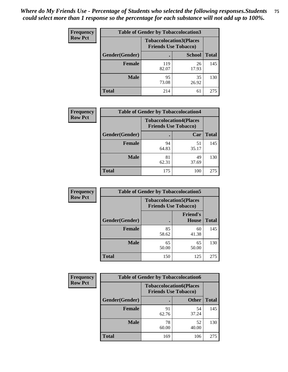| <b>Frequency</b> | <b>Table of Gender by Tobaccolocation3</b> |                                                               |               |              |
|------------------|--------------------------------------------|---------------------------------------------------------------|---------------|--------------|
| <b>Row Pct</b>   |                                            | <b>Tobaccolocation3(Places</b><br><b>Friends Use Tobacco)</b> |               |              |
|                  | Gender(Gender)                             |                                                               | <b>School</b> | <b>Total</b> |
|                  | <b>Female</b>                              | 119<br>82.07                                                  | 26<br>17.93   | 145          |
|                  | <b>Male</b>                                | 95<br>73.08                                                   | 35<br>26.92   | 130          |
|                  | Total                                      | 214                                                           | 61            | 275          |

| <b>Frequency</b> | <b>Table of Gender by Tobaccolocation4</b> |                                                               |             |              |
|------------------|--------------------------------------------|---------------------------------------------------------------|-------------|--------------|
| <b>Row Pct</b>   |                                            | <b>Tobaccolocation4(Places</b><br><b>Friends Use Tobacco)</b> |             |              |
|                  | Gender(Gender)                             |                                                               | Car         | <b>Total</b> |
|                  | <b>Female</b>                              | 94<br>64.83                                                   | 51<br>35.17 | 145          |
|                  | <b>Male</b>                                | 81<br>62.31                                                   | 49<br>37.69 | 130          |
|                  | <b>Total</b>                               | 175                                                           | 100         | 275          |

| <b>Frequency</b> | <b>Table of Gender by Tobaccolocation5</b> |                                                               |                                 |              |
|------------------|--------------------------------------------|---------------------------------------------------------------|---------------------------------|--------------|
| <b>Row Pct</b>   |                                            | <b>Tobaccolocation5(Places</b><br><b>Friends Use Tobacco)</b> |                                 |              |
|                  | Gender(Gender)                             |                                                               | <b>Friend's</b><br><b>House</b> | <b>Total</b> |
|                  | <b>Female</b>                              | 85<br>58.62                                                   | 60<br>41.38                     | 145          |
|                  | <b>Male</b>                                | 65<br>50.00                                                   | 65<br>50.00                     | 130          |
|                  | <b>Total</b>                               | 150                                                           | 125                             | 275          |

| <b>Frequency</b> | <b>Table of Gender by Tobaccolocation6</b> |                                                               |              |              |  |
|------------------|--------------------------------------------|---------------------------------------------------------------|--------------|--------------|--|
| <b>Row Pct</b>   |                                            | <b>Tobaccolocation6(Places</b><br><b>Friends Use Tobacco)</b> |              |              |  |
|                  | Gender(Gender)                             |                                                               | <b>Other</b> | <b>Total</b> |  |
|                  | Female                                     | 91<br>62.76                                                   | 54<br>37.24  | 145          |  |
|                  | <b>Male</b>                                | 78<br>60.00                                                   | 52<br>40.00  | 130          |  |
|                  | <b>Total</b>                               | 169                                                           | 106          | 275          |  |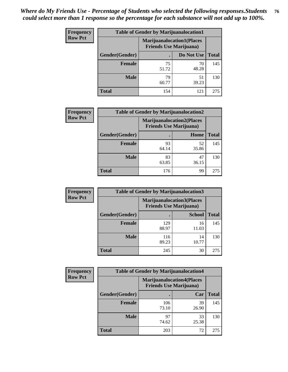| <b>Frequency</b> | <b>Table of Gender by Marijuanalocation1</b> |                                                                    |             |              |
|------------------|----------------------------------------------|--------------------------------------------------------------------|-------------|--------------|
| <b>Row Pct</b>   |                                              | <b>Marijuanalocation1(Places</b><br><b>Friends Use Marijuana</b> ) |             |              |
|                  | Gender(Gender)                               |                                                                    | Do Not Use  | <b>Total</b> |
|                  | <b>Female</b>                                | 75<br>51.72                                                        | 70<br>48.28 | 145          |
|                  | <b>Male</b>                                  | 79<br>60.77                                                        | 51<br>39.23 | 130          |
|                  | Total                                        | 154                                                                | 121         | 275          |

| <b>Frequency</b> | <b>Table of Gender by Marijuanalocation2</b> |                                                                    |             |              |
|------------------|----------------------------------------------|--------------------------------------------------------------------|-------------|--------------|
| <b>Row Pct</b>   |                                              | <b>Marijuanalocation2(Places</b><br><b>Friends Use Marijuana</b> ) |             |              |
|                  | Gender(Gender)                               |                                                                    | Home        | <b>Total</b> |
|                  | <b>Female</b>                                | 93<br>64.14                                                        | 52<br>35.86 | 145          |
|                  | <b>Male</b>                                  | 83<br>63.85                                                        | 47<br>36.15 | 130          |
|                  | <b>Total</b>                                 | 176                                                                | 99          | 275          |

| Frequency      | <b>Table of Gender by Marijuanalocation3</b> |                                                                    |               |              |
|----------------|----------------------------------------------|--------------------------------------------------------------------|---------------|--------------|
| <b>Row Pct</b> |                                              | <b>Marijuanalocation3(Places</b><br><b>Friends Use Marijuana</b> ) |               |              |
|                | Gender(Gender)                               |                                                                    | <b>School</b> | <b>Total</b> |
|                | Female                                       | 129<br>88.97                                                       | 16<br>11.03   | 145          |
|                | <b>Male</b>                                  | 116<br>89.23                                                       | 14<br>10.77   | 130          |
|                | <b>Total</b>                                 | 245                                                                | 30            | 275          |

| <b>Frequency</b> | <b>Table of Gender by Marijuanalocation4</b> |                                |                                  |              |  |
|------------------|----------------------------------------------|--------------------------------|----------------------------------|--------------|--|
| <b>Row Pct</b>   |                                              | <b>Friends Use Marijuana</b> ) | <b>Marijuanalocation4(Places</b> |              |  |
|                  | Gender(Gender)                               |                                | Car                              | <b>Total</b> |  |
|                  | <b>Female</b>                                | 106<br>73.10                   | 39<br>26.90                      | 145          |  |
|                  | <b>Male</b>                                  | 97<br>74.62                    | 33<br>25.38                      | 130          |  |
|                  | <b>Total</b>                                 | 203                            | 72                               | 275          |  |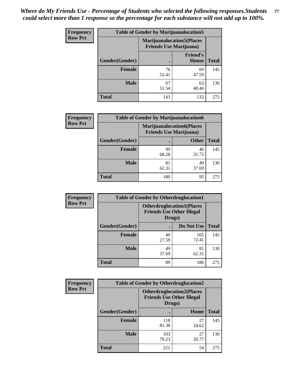| <b>Frequency</b> | <b>Table of Gender by Marijuanalocation5</b> |                                                                    |                          |              |
|------------------|----------------------------------------------|--------------------------------------------------------------------|--------------------------|--------------|
| <b>Row Pct</b>   |                                              | <b>Marijuanalocation5(Places</b><br><b>Friends Use Marijuana</b> ) |                          |              |
|                  | <b>Gender</b> (Gender)                       |                                                                    | <b>Friend's</b><br>House | <b>Total</b> |
|                  | <b>Female</b>                                | 76<br>52.41                                                        | 69<br>47.59              | 145          |
|                  | <b>Male</b>                                  | 67<br>51.54                                                        | 63<br>48.46              | 130          |
|                  | <b>Total</b>                                 | 143                                                                | 132                      | 275          |

| <b>Frequency</b> | <b>Table of Gender by Marijuanalocation6</b> |                                |                                  |              |
|------------------|----------------------------------------------|--------------------------------|----------------------------------|--------------|
| <b>Row Pct</b>   |                                              | <b>Friends Use Marijuana</b> ) | <b>Marijuanalocation6(Places</b> |              |
|                  | <b>Gender</b> (Gender)                       |                                | <b>Other</b>                     | <b>Total</b> |
|                  | <b>Female</b>                                | 99<br>68.28                    | 46<br>31.72                      | 145          |
|                  | <b>Male</b>                                  | 81<br>62.31                    | 49<br>37.69                      | 130          |
|                  | <b>Total</b>                                 | 180                            | 95                               | 275          |

| Frequency      | <b>Table of Gender by Otherdruglocation1</b> |                                                                                |              |              |
|----------------|----------------------------------------------|--------------------------------------------------------------------------------|--------------|--------------|
| <b>Row Pct</b> |                                              | <b>Otherdruglocation1(Places</b><br><b>Friends Use Other Illegal</b><br>Drugs) |              |              |
|                | Gender(Gender)                               |                                                                                | Do Not Use   | <b>Total</b> |
|                | <b>Female</b>                                | 40<br>27.59                                                                    | 105<br>72.41 | 145          |
|                | <b>Male</b>                                  | 49<br>37.69                                                                    | 81<br>62.31  | 130          |
|                | <b>Total</b>                                 | 89                                                                             | 186          | 275          |

| <b>Frequency</b> | <b>Table of Gender by Otherdruglocation2</b> |                                            |                                  |              |
|------------------|----------------------------------------------|--------------------------------------------|----------------------------------|--------------|
| <b>Row Pct</b>   |                                              | <b>Friends Use Other Illegal</b><br>Drugs) | <b>Otherdruglocation2(Places</b> |              |
|                  | Gender(Gender)                               |                                            | Home                             | <b>Total</b> |
|                  | <b>Female</b>                                | 118<br>81.38                               | 27<br>18.62                      | 145          |
|                  | <b>Male</b>                                  | 103<br>79.23                               | 27<br>20.77                      | 130          |
|                  | <b>Total</b>                                 | 221                                        | 54                               | 275          |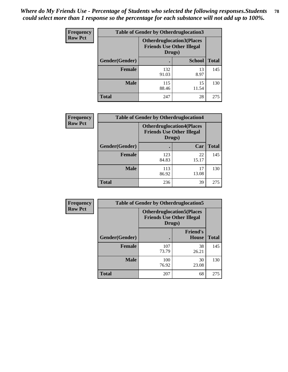| <b>Frequency</b> | <b>Table of Gender by Otherdruglocation3</b> |                                            |                                  |              |
|------------------|----------------------------------------------|--------------------------------------------|----------------------------------|--------------|
| <b>Row Pct</b>   |                                              | <b>Friends Use Other Illegal</b><br>Drugs) | <b>Otherdruglocation3(Places</b> |              |
|                  | <b>Gender</b> (Gender)                       |                                            | <b>School</b>                    | <b>Total</b> |
|                  | <b>Female</b>                                | 132<br>91.03                               | 13<br>8.97                       | 145          |
|                  | <b>Male</b>                                  | 115<br>88.46                               | 15<br>11.54                      | 130          |
|                  | <b>Total</b>                                 | 247                                        | 28                               | 275          |

| Frequency      | <b>Table of Gender by Otherdruglocation4</b> |                                            |                                  |              |
|----------------|----------------------------------------------|--------------------------------------------|----------------------------------|--------------|
| <b>Row Pct</b> |                                              | <b>Friends Use Other Illegal</b><br>Drugs) | <b>Otherdruglocation4(Places</b> |              |
|                | Gender(Gender)                               |                                            | Car                              | <b>Total</b> |
|                | Female                                       | 123<br>84.83                               | 22<br>15.17                      | 145          |
|                | <b>Male</b>                                  | 113<br>86.92                               | 17<br>13.08                      | 130          |
|                | <b>Total</b>                                 | 236                                        | 39                               | 275          |

| Frequency      | <b>Table of Gender by Otherdruglocation5</b>                                   |              |                                 |              |
|----------------|--------------------------------------------------------------------------------|--------------|---------------------------------|--------------|
| <b>Row Pct</b> | <b>Otherdruglocation5(Places</b><br><b>Friends Use Other Illegal</b><br>Drugs) |              |                                 |              |
|                | Gender(Gender)                                                                 |              | <b>Friend's</b><br><b>House</b> | <b>Total</b> |
|                | <b>Female</b>                                                                  | 107<br>73.79 | 38<br>26.21                     | 145          |
|                | <b>Male</b>                                                                    | 100<br>76.92 | 30<br>23.08                     | 130          |
|                | <b>Total</b>                                                                   | 207          | 68                              | 275          |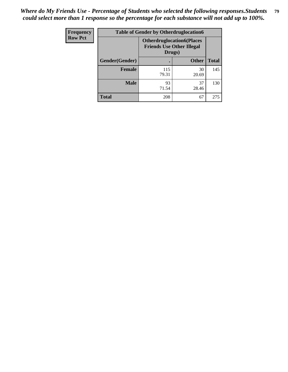| <b>Frequency</b> | <b>Table of Gender by Otherdruglocation6</b> |                                            |                                   |              |
|------------------|----------------------------------------------|--------------------------------------------|-----------------------------------|--------------|
| <b>Row Pct</b>   |                                              | <b>Friends Use Other Illegal</b><br>Drugs) | <b>Otherdruglocation6(Places)</b> |              |
|                  | Gender(Gender)                               |                                            | <b>Other</b>                      | <b>Total</b> |
|                  | <b>Female</b>                                | 115<br>79.31                               | 30<br>20.69                       | 145          |
|                  | <b>Male</b>                                  | 93<br>71.54                                | 37<br>28.46                       | 130          |
|                  | <b>Total</b>                                 | 208                                        | 67                                | 275          |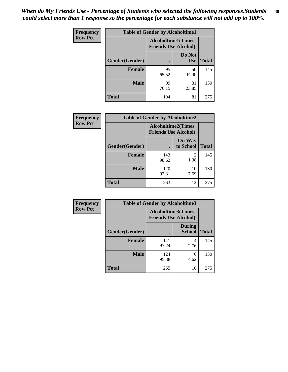| <b>Frequency</b> | <b>Table of Gender by Alcoholtime1</b> |                                                          |                      |              |
|------------------|----------------------------------------|----------------------------------------------------------|----------------------|--------------|
| <b>Row Pct</b>   |                                        | <b>Alcoholtime1(Times</b><br><b>Friends Use Alcohol)</b> |                      |              |
|                  | Gender(Gender)                         | $\bullet$                                                | Do Not<br><b>Use</b> | <b>Total</b> |
|                  | <b>Female</b>                          | 95<br>65.52                                              | 50<br>34.48          | 145          |
|                  | <b>Male</b>                            | 99<br>76.15                                              | 31<br>23.85          | 130          |
|                  | <b>Total</b>                           | 194                                                      | 81                   | 275          |

| <b>Frequency</b> | <b>Table of Gender by Alcoholtime2</b> |                                                          |                            |              |
|------------------|----------------------------------------|----------------------------------------------------------|----------------------------|--------------|
| <b>Row Pct</b>   |                                        | <b>Alcoholtime2(Times</b><br><b>Friends Use Alcohol)</b> |                            |              |
|                  | Gender(Gender)                         |                                                          | <b>On Way</b><br>to School | <b>Total</b> |
|                  | <b>Female</b>                          | 143<br>98.62                                             | 2<br>1.38                  | 145          |
|                  | <b>Male</b>                            | 120<br>92.31                                             | 10<br>7.69                 | 130          |
|                  | <b>Total</b>                           | 263                                                      | 12                         | 275          |

| <b>Frequency</b> | <b>Table of Gender by Alcoholtime3</b> |                                                          |                                |              |
|------------------|----------------------------------------|----------------------------------------------------------|--------------------------------|--------------|
| <b>Row Pct</b>   |                                        | <b>Alcoholtime3(Times</b><br><b>Friends Use Alcohol)</b> |                                |              |
|                  | Gender(Gender)                         |                                                          | <b>During</b><br><b>School</b> | <b>Total</b> |
|                  | Female                                 | 141<br>97.24                                             | 4<br>2.76                      | 145          |
|                  | <b>Male</b>                            | 124<br>95.38                                             | 6<br>4.62                      | 130          |
|                  | <b>Total</b>                           | 265                                                      | 10                             | 275          |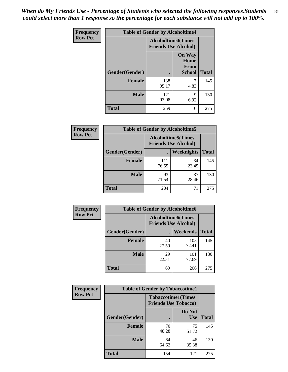*When do My Friends Use - Percentage of Students who selected the following responses.Students could select more than 1 response so the percentage for each substance will not add up to 100%.* **81**

| <b>Frequency</b> | <b>Table of Gender by Alcoholtime4</b> |                                                          |                                                |              |
|------------------|----------------------------------------|----------------------------------------------------------|------------------------------------------------|--------------|
| <b>Row Pct</b>   |                                        | <b>Alcoholtime4(Times</b><br><b>Friends Use Alcohol)</b> |                                                |              |
|                  | Gender(Gender)                         |                                                          | <b>On Way</b><br>Home<br>From<br><b>School</b> | <b>Total</b> |
|                  | <b>Female</b>                          | 138<br>95.17                                             | 7<br>4.83                                      | 145          |
|                  | <b>Male</b>                            | 121<br>93.08                                             | 9<br>6.92                                      | 130          |
|                  | <b>Total</b>                           | 259                                                      | 16                                             | 275          |

| <b>Frequency</b> | <b>Table of Gender by Alcoholtime5</b> |                                                           |             |              |
|------------------|----------------------------------------|-----------------------------------------------------------|-------------|--------------|
| <b>Row Pct</b>   |                                        | <b>Alcoholtime5</b> (Times<br><b>Friends Use Alcohol)</b> |             |              |
|                  | Gender(Gender)                         |                                                           | Weeknights  | <b>Total</b> |
|                  | <b>Female</b>                          | 111<br>76.55                                              | 34<br>23.45 | 145          |
|                  | <b>Male</b>                            | 93<br>71.54                                               | 37<br>28.46 | 130          |
|                  | <b>Total</b>                           | 204                                                       | 71          | 275          |

| Frequency      | <b>Table of Gender by Alcoholtime6</b> |             |                                                          |              |
|----------------|----------------------------------------|-------------|----------------------------------------------------------|--------------|
| <b>Row Pct</b> |                                        |             | <b>Alcoholtime6(Times</b><br><b>Friends Use Alcohol)</b> |              |
|                | Gender(Gender)                         |             | Weekends                                                 | <b>Total</b> |
|                | Female                                 | 40<br>27.59 | 105<br>72.41                                             | 145          |
|                | <b>Male</b>                            | 29<br>22.31 | 101<br>77.69                                             | 130          |
|                | <b>Total</b>                           | 69          | 206                                                      | 275          |

| <b>Frequency</b> | <b>Table of Gender by Tobaccotime1</b> |                                                          |                      |              |
|------------------|----------------------------------------|----------------------------------------------------------|----------------------|--------------|
| <b>Row Pct</b>   |                                        | <b>Tobaccotime1(Times</b><br><b>Friends Use Tobacco)</b> |                      |              |
|                  | Gender(Gender)                         |                                                          | Do Not<br><b>Use</b> | <b>Total</b> |
|                  | <b>Female</b>                          | 70<br>48.28                                              | 75<br>51.72          | 145          |
|                  | <b>Male</b>                            | 84<br>64.62                                              | 46<br>35.38          | 130          |
|                  | <b>Total</b>                           | 154                                                      | 121                  | 275          |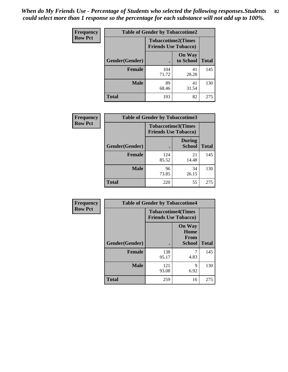*When do My Friends Use - Percentage of Students who selected the following responses.Students could select more than 1 response so the percentage for each substance will not add up to 100%.* **82**

| Frequency      | <b>Table of Gender by Tobaccotime2</b> |                                                          |                            |              |
|----------------|----------------------------------------|----------------------------------------------------------|----------------------------|--------------|
| <b>Row Pct</b> |                                        | <b>Tobaccotime2(Times</b><br><b>Friends Use Tobacco)</b> |                            |              |
|                | Gender(Gender)                         | $\bullet$                                                | <b>On Way</b><br>to School | <b>Total</b> |
|                | <b>Female</b>                          | 104<br>71.72                                             | 41<br>28.28                | 145          |
|                | <b>Male</b>                            | 89<br>68.46                                              | 41<br>31.54                | 130          |
|                | <b>Total</b>                           | 193                                                      | 82                         | 275          |

| Frequency      | <b>Table of Gender by Tobaccotime3</b> |                                                          |                                |              |
|----------------|----------------------------------------|----------------------------------------------------------|--------------------------------|--------------|
| <b>Row Pct</b> |                                        | <b>Tobaccotime3(Times</b><br><b>Friends Use Tobacco)</b> |                                |              |
|                | Gender(Gender)                         |                                                          | <b>During</b><br><b>School</b> | <b>Total</b> |
|                | <b>Female</b>                          | 124<br>85.52                                             | 21<br>14.48                    | 145          |
|                | <b>Male</b>                            | 96<br>73.85                                              | 34<br>26.15                    | 130          |
|                | <b>Total</b>                           | 220                                                      | 55                             | 275          |

| <b>Frequency</b> | <b>Table of Gender by Tobaccotime4</b> |                                                          |                                                |              |
|------------------|----------------------------------------|----------------------------------------------------------|------------------------------------------------|--------------|
| <b>Row Pct</b>   |                                        | <b>Tobaccotime4(Times</b><br><b>Friends Use Tobacco)</b> |                                                |              |
|                  | Gender(Gender)                         |                                                          | <b>On Way</b><br>Home<br>From<br><b>School</b> | <b>Total</b> |
|                  | <b>Female</b>                          | 138<br>95.17                                             | 4.83                                           | 145          |
|                  | <b>Male</b>                            | 121<br>93.08                                             | 9<br>6.92                                      | 130          |
|                  | <b>Total</b>                           | 259                                                      | 16                                             | 275          |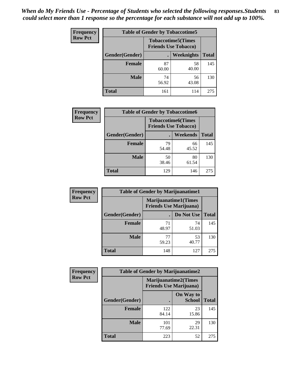| Frequency      | <b>Table of Gender by Tobaccotime5</b> |             |                                                          |              |
|----------------|----------------------------------------|-------------|----------------------------------------------------------|--------------|
| <b>Row Pct</b> |                                        |             | <b>Tobaccotime5(Times</b><br><b>Friends Use Tobacco)</b> |              |
|                | <b>Gender</b> (Gender)                 |             | Weeknights                                               | <b>Total</b> |
|                | <b>Female</b>                          | 87<br>60.00 | 58<br>40.00                                              | 145          |
|                | <b>Male</b>                            | 74<br>56.92 | 56<br>43.08                                              | 130          |
|                | <b>Total</b>                           | 161         | 114                                                      | 275          |

| <b>Frequency</b> | <b>Table of Gender by Tobaccotime6</b> |                                                          |             |              |
|------------------|----------------------------------------|----------------------------------------------------------|-------------|--------------|
| <b>Row Pct</b>   |                                        | <b>Tobaccotime6(Times</b><br><b>Friends Use Tobacco)</b> |             |              |
|                  | Gender(Gender)                         |                                                          | Weekends    | <b>Total</b> |
|                  | Female                                 | 79<br>54.48                                              | 66<br>45.52 | 145          |
|                  | <b>Male</b>                            | 50<br>38.46                                              | 80<br>61.54 | 130          |
|                  | <b>Total</b>                           | 129                                                      | 146         | 275          |

| <b>Frequency</b> | <b>Table of Gender by Marijuanatime1</b> |                                |                             |              |
|------------------|------------------------------------------|--------------------------------|-----------------------------|--------------|
| <b>Row Pct</b>   |                                          | <b>Friends Use Marijuana</b> ) | <b>Marijuanatime1(Times</b> |              |
|                  | Gender(Gender)                           |                                | Do Not Use                  | <b>Total</b> |
|                  | <b>Female</b>                            | 71<br>48.97                    | 74<br>51.03                 | 145          |
|                  | <b>Male</b>                              | 77<br>59.23                    | 53<br>40.77                 | 130          |
|                  | <b>Total</b>                             | 148                            | 127                         | 275          |

| <b>Frequency</b> | <b>Table of Gender by Marijuanatime2</b> |                                                        |                            |              |
|------------------|------------------------------------------|--------------------------------------------------------|----------------------------|--------------|
| <b>Row Pct</b>   |                                          | Marijuanatime2(Times<br><b>Friends Use Marijuana</b> ) |                            |              |
|                  | Gender(Gender)                           |                                                        | On Way to<br><b>School</b> | <b>Total</b> |
|                  | <b>Female</b>                            | 122<br>84.14                                           | 23<br>15.86                | 145          |
|                  | <b>Male</b>                              | 101<br>77.69                                           | 29<br>22.31                | 130          |
|                  | <b>Total</b>                             | 223                                                    | 52                         | 275          |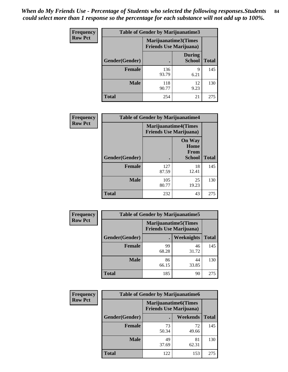*When do My Friends Use - Percentage of Students who selected the following responses.Students could select more than 1 response so the percentage for each substance will not add up to 100%.* **84**

| <b>Frequency</b> | Table of Gender by Marijuanatime3 |                                                        |                                |              |
|------------------|-----------------------------------|--------------------------------------------------------|--------------------------------|--------------|
| <b>Row Pct</b>   |                                   | Marijuanatime3(Times<br><b>Friends Use Marijuana</b> ) |                                |              |
|                  | Gender(Gender)                    |                                                        | <b>During</b><br><b>School</b> | <b>Total</b> |
|                  | <b>Female</b>                     | 136<br>93.79                                           | 9<br>6.21                      | 145          |
|                  | <b>Male</b>                       | 118<br>90.77                                           | 12<br>9.23                     | 130          |
|                  | <b>Total</b>                      | 254                                                    | 21                             | 275          |

| Frequency      | <b>Table of Gender by Marijuanatime4</b> |                                                               |                                                |              |
|----------------|------------------------------------------|---------------------------------------------------------------|------------------------------------------------|--------------|
| <b>Row Pct</b> |                                          | <b>Marijuanatime4(Times</b><br><b>Friends Use Marijuana</b> ) |                                                |              |
|                | Gender(Gender)                           |                                                               | <b>On Way</b><br>Home<br>From<br><b>School</b> | <b>Total</b> |
|                | <b>Female</b>                            | 127<br>87.59                                                  | 18<br>12.41                                    | 145          |
|                | <b>Male</b>                              | 105<br>80.77                                                  | 25<br>19.23                                    | 130          |
|                | <b>Total</b>                             | 232                                                           | 43                                             | 275          |

| <b>Frequency</b> | <b>Table of Gender by Marijuanatime5</b> |                                                                |                   |              |  |
|------------------|------------------------------------------|----------------------------------------------------------------|-------------------|--------------|--|
| <b>Row Pct</b>   |                                          | <b>Marijuanatime5</b> (Times<br><b>Friends Use Marijuana</b> ) |                   |              |  |
|                  | Gender(Gender)                           | $\blacksquare$                                                 | <b>Weeknights</b> | <b>Total</b> |  |
|                  | <b>Female</b>                            | 99<br>68.28                                                    | 46<br>31.72       | 145          |  |
|                  | <b>Male</b>                              | 86<br>66.15                                                    | 44<br>33.85       | 130          |  |
|                  | <b>Total</b>                             | 185                                                            | 90                | 275          |  |

| <b>Frequency</b> | <b>Table of Gender by Marijuanatime6</b> |                                                               |                 |              |  |
|------------------|------------------------------------------|---------------------------------------------------------------|-----------------|--------------|--|
| <b>Row Pct</b>   |                                          | <b>Marijuanatime6(Times</b><br><b>Friends Use Marijuana</b> ) |                 |              |  |
|                  | Gender(Gender)                           |                                                               | <b>Weekends</b> | <b>Total</b> |  |
|                  | <b>Female</b>                            | 73<br>50.34                                                   | 72<br>49.66     | 145          |  |
|                  | <b>Male</b>                              | 49<br>37.69                                                   | 81<br>62.31     | 130          |  |
|                  | <b>Total</b>                             | 122                                                           | 153             | 275          |  |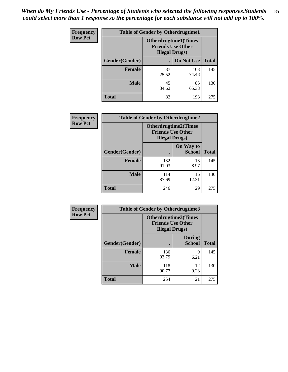*When do My Friends Use - Percentage of Students who selected the following responses.Students could select more than 1 response so the percentage for each substance will not add up to 100%.* **85**

| <b>Frequency</b> | <b>Table of Gender by Otherdrugtime1</b> |                                                    |                              |              |  |
|------------------|------------------------------------------|----------------------------------------------------|------------------------------|--------------|--|
| <b>Row Pct</b>   |                                          | <b>Friends Use Other</b><br><b>Illegal Drugs</b> ) | <b>Otherdrugtime1</b> (Times |              |  |
|                  | Gender(Gender)                           |                                                    | Do Not Use                   | <b>Total</b> |  |
|                  | <b>Female</b>                            | 37<br>25.52                                        | 108<br>74.48                 | 145          |  |
|                  | <b>Male</b>                              | 45<br>34.62                                        | 85<br>65.38                  | 130          |  |
|                  | <b>Total</b>                             | 82                                                 | 193                          | 275          |  |

| Frequency      | <b>Table of Gender by Otherdrugtime2</b> |                                                                                   |                            |              |
|----------------|------------------------------------------|-----------------------------------------------------------------------------------|----------------------------|--------------|
| <b>Row Pct</b> |                                          | <b>Otherdrugtime2(Times</b><br><b>Friends Use Other</b><br><b>Illegal Drugs</b> ) |                            |              |
|                | Gender(Gender)                           |                                                                                   | On Way to<br><b>School</b> | <b>Total</b> |
|                | <b>Female</b>                            | 132<br>91.03                                                                      | 13<br>8.97                 | 145          |
|                | <b>Male</b>                              | 114<br>87.69                                                                      | 16<br>12.31                | 130          |
|                | <b>Total</b>                             | 246                                                                               | 29                         | 275          |

| Frequency      | <b>Table of Gender by Otherdrugtime3</b> |                        |                                                  |              |
|----------------|------------------------------------------|------------------------|--------------------------------------------------|--------------|
| <b>Row Pct</b> |                                          | <b>Illegal Drugs</b> ) | Otherdrugtime3(Times<br><b>Friends Use Other</b> |              |
|                | Gender(Gender)                           |                        | <b>During</b><br><b>School</b>                   | <b>Total</b> |
|                | <b>Female</b>                            | 136<br>93.79           | 9<br>6.21                                        | 145          |
|                | <b>Male</b>                              | 118<br>90.77           | 12<br>9.23                                       | 130          |
|                | <b>Total</b>                             | 254                    | 21                                               | 275          |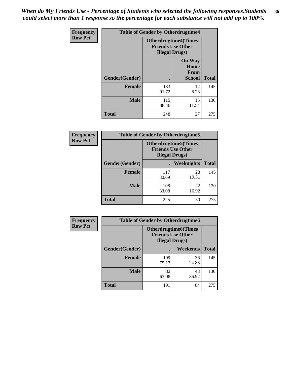*When do My Friends Use - Percentage of Students who selected the following responses.Students could select more than 1 response so the percentage for each substance will not add up to 100%.* **86**

| <b>Frequency</b> | <b>Table of Gender by Otherdrugtime4</b> |                                                                                   |                                                |              |
|------------------|------------------------------------------|-----------------------------------------------------------------------------------|------------------------------------------------|--------------|
| <b>Row Pct</b>   |                                          | <b>Otherdrugtime4(Times</b><br><b>Friends Use Other</b><br><b>Illegal Drugs</b> ) |                                                |              |
|                  | Gender(Gender)                           |                                                                                   | <b>On Way</b><br>Home<br>From<br><b>School</b> | <b>Total</b> |
|                  | Female                                   | 133<br>91.72                                                                      | 12<br>8.28                                     | 145          |
|                  | <b>Male</b>                              | 115<br>88.46                                                                      | 15<br>11.54                                    | 130          |
|                  | <b>Total</b>                             | 248                                                                               | 27                                             | 275          |

| Frequency      | <b>Table of Gender by Otherdrugtime5</b> |                                                                                    |             |              |
|----------------|------------------------------------------|------------------------------------------------------------------------------------|-------------|--------------|
| <b>Row Pct</b> |                                          | <b>Otherdrugtime5</b> (Times<br><b>Friends Use Other</b><br><b>Illegal Drugs</b> ) |             |              |
|                | Gender(Gender)                           |                                                                                    | Weeknights  | <b>Total</b> |
|                | <b>Female</b>                            | 117<br>80.69                                                                       | 28<br>19.31 | 145          |
|                | <b>Male</b>                              | 108<br>83.08                                                                       | 22<br>16.92 | 130          |
|                | <b>Total</b>                             | 225                                                                                | 50          | 275          |

| <b>Frequency</b> | <b>Table of Gender by Otherdrugtime6</b> |                                                                                   |             |              |
|------------------|------------------------------------------|-----------------------------------------------------------------------------------|-------------|--------------|
| <b>Row Pct</b>   |                                          | <b>Otherdrugtime6(Times</b><br><b>Friends Use Other</b><br><b>Illegal Drugs</b> ) |             |              |
|                  | Gender(Gender)                           |                                                                                   | Weekends    | <b>Total</b> |
|                  | <b>Female</b>                            | 109<br>75.17                                                                      | 36<br>24.83 | 145          |
|                  | <b>Male</b>                              | 82<br>63.08                                                                       | 48<br>36.92 | 130          |
|                  | <b>Total</b>                             | 191                                                                               | 84          | 275          |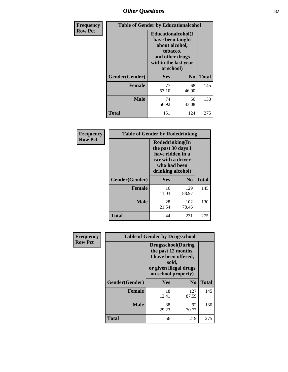# *Other Questions* **87**

| Frequency      | <b>Table of Gender by Educationalcohol</b> |                                                                                                                                       |                |              |  |
|----------------|--------------------------------------------|---------------------------------------------------------------------------------------------------------------------------------------|----------------|--------------|--|
| <b>Row Pct</b> |                                            | <b>Educationalcohol</b> (I<br>have been taught<br>about alcohol,<br>tobacco,<br>and other drugs<br>within the last year<br>at school) |                |              |  |
|                | Gender(Gender)                             | <b>Yes</b>                                                                                                                            | N <sub>0</sub> | <b>Total</b> |  |
|                | Female                                     | 77<br>53.10                                                                                                                           | 68<br>46.90    | 145          |  |
|                | <b>Male</b>                                | 74<br>56.92                                                                                                                           | 56<br>43.08    | 130          |  |
|                | Total                                      | 151                                                                                                                                   | 124            | 275          |  |

| Frequency      | <b>Table of Gender by Rodedrinking</b> |                                                                                                                     |              |              |  |
|----------------|----------------------------------------|---------------------------------------------------------------------------------------------------------------------|--------------|--------------|--|
| <b>Row Pct</b> |                                        | Rodedrinking(In<br>the past 30 days I<br>have ridden in a<br>car with a driver<br>who had been<br>drinking alcohol) |              |              |  |
|                | Gender(Gender)                         | Yes                                                                                                                 | $\bf N_0$    | <b>Total</b> |  |
|                | <b>Female</b>                          | 16<br>11.03                                                                                                         | 129<br>88.97 | 145          |  |
|                | <b>Male</b>                            | 28<br>21.54                                                                                                         | 102<br>78.46 | 130          |  |
|                | <b>Total</b>                           | 44                                                                                                                  | 231          | 275          |  |

| Frequency      | <b>Table of Gender by Drugsschool</b> |                                                                                                                                     |                |              |  |
|----------------|---------------------------------------|-------------------------------------------------------------------------------------------------------------------------------------|----------------|--------------|--|
| <b>Row Pct</b> |                                       | <b>Drugsschool</b> (During<br>the past 12 months,<br>I have been offered,<br>sold,<br>or given illegal drugs<br>on school property) |                |              |  |
|                | Gender(Gender)                        | Yes                                                                                                                                 | N <sub>0</sub> | <b>Total</b> |  |
|                | <b>Female</b>                         | 18<br>12.41                                                                                                                         | 127<br>87.59   | 145          |  |
|                | <b>Male</b>                           | 38<br>29.23                                                                                                                         | 92<br>70.77    | 130          |  |
|                | <b>Total</b>                          | 56                                                                                                                                  | 219            | 275          |  |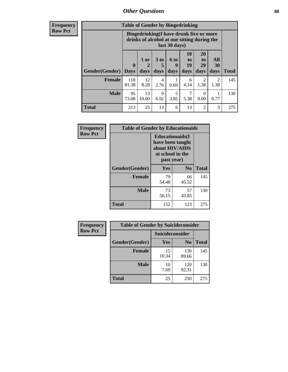## *Other Questions* **88**

**Frequency Row Pct**

| <b>Table of Gender by Bingedrinking</b> |                            |                                                                                                         |                   |                   |                               |                               |                        |              |
|-----------------------------------------|----------------------------|---------------------------------------------------------------------------------------------------------|-------------------|-------------------|-------------------------------|-------------------------------|------------------------|--------------|
|                                         |                            | Bingedrinking(I have drunk five or more<br>drinks of alcohol at one sitting during the<br>last 30 days) |                   |                   |                               |                               |                        |              |
| <b>Gender</b> (Gender)                  | $\mathbf 0$<br><b>Days</b> | 1 or<br>2<br>days                                                                                       | 3 to<br>5<br>days | 6 to<br>9<br>days | <b>10</b><br>to<br>19<br>days | <b>20</b><br>to<br>29<br>days | All<br>30<br>days      | <b>Total</b> |
| Female                                  | 118<br>81.38               | 12<br>8.28                                                                                              | 4<br>2.76         | 0.69              | 6<br>4.14                     | 2<br>1.38                     | $\mathfrak{D}$<br>1.38 | 145          |
| <b>Male</b>                             | 95                         | 13                                                                                                      | 9                 | 5                 | 7                             | 0                             |                        | 130          |
|                                         | 73.08                      | 10.00                                                                                                   | 6.92              | 3.85              | 5.38                          | 0.00                          | 0.77                   |              |

| Frequency      | <b>Table of Gender by Educationaids</b> |                                                                                                 |                |              |  |
|----------------|-----------------------------------------|-------------------------------------------------------------------------------------------------|----------------|--------------|--|
| <b>Row Pct</b> |                                         | <b>Educationaids</b> (I<br>have been taught<br>about HIV/AIDS<br>at school in the<br>past year) |                |              |  |
|                | Gender(Gender)                          | Yes                                                                                             | $\mathbf{N_0}$ | <b>Total</b> |  |
|                | <b>Female</b>                           | 79<br>54.48                                                                                     | 66<br>45.52    | 145          |  |
|                | <b>Male</b>                             | 73<br>56.15                                                                                     | 57<br>43.85    | 130          |  |
|                | <b>Total</b>                            | 152                                                                                             | 123            | 275          |  |

| <b>Frequency</b> | <b>Table of Gender by Suicideconsider</b> |                 |                |              |  |
|------------------|-------------------------------------------|-----------------|----------------|--------------|--|
| <b>Row Pct</b>   |                                           | Suicideconsider |                |              |  |
|                  | Gender(Gender)                            | Yes             | N <sub>0</sub> | <b>Total</b> |  |
|                  | <b>Female</b>                             | 15<br>10.34     | 130<br>89.66   | 145          |  |
|                  | <b>Male</b>                               | 10<br>7.69      | 120<br>92.31   | 130          |  |
|                  | Total                                     | 25              | 250            | 275          |  |